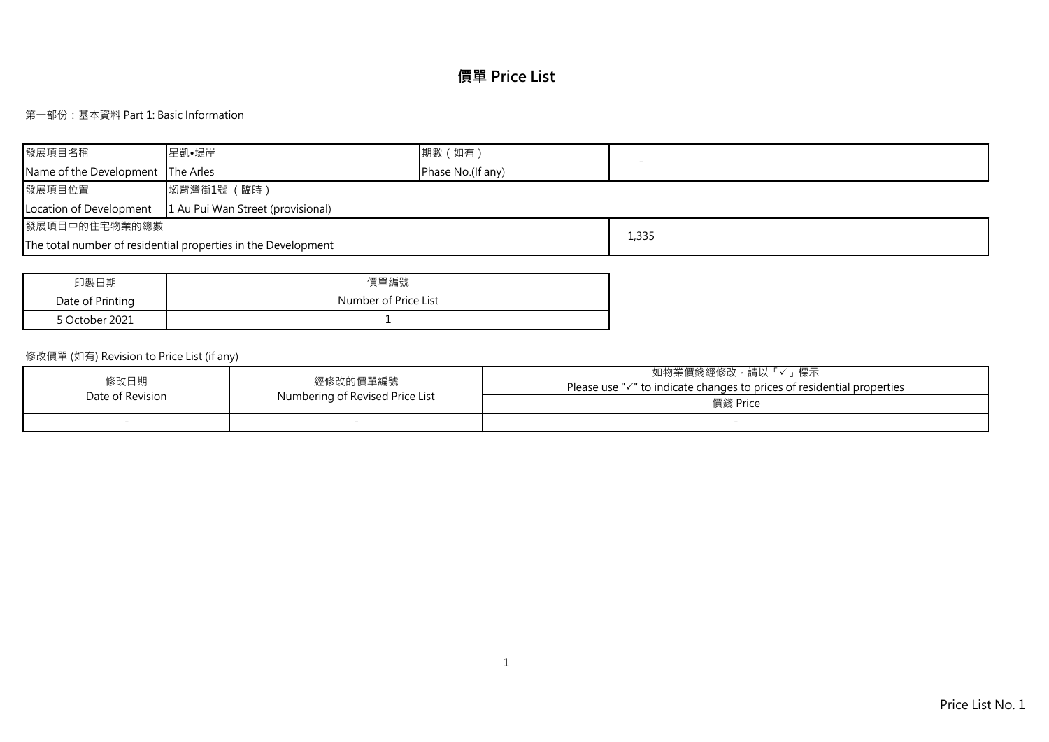# **價單 Price List**

## 第一部份:基本資料 Part 1: Basic Information

| 發展項目名稱                            | 星凱•堤岸                                                         | 期數 (如有)           |       |
|-----------------------------------|---------------------------------------------------------------|-------------------|-------|
| Name of the Development The Arles |                                                               | Phase No.(If any) |       |
| 發展項目位置                            | 坳背灣街1號 (臨時)                                                   |                   |       |
| Location of Development           | 1 Au Pui Wan Street (provisional)                             |                   |       |
| 發展項目中的住宅物業的總數                     |                                                               |                   |       |
|                                   | The total number of residential properties in the Development |                   | 1,335 |

| 印製日期             | 價單編號                 |
|------------------|----------------------|
| Date of Printing | Number of Price List |
| 5 October 2021   |                      |

## 修改價單 (如有) Revision to Price List (if any)

| 修改日期             | 經修改的價單編號                        | 「✓」標示<br>如物業價錢經修改,請以<br>Please use $\sqrt{ }$ to indicate changes to prices of residential properties |
|------------------|---------------------------------|-------------------------------------------------------------------------------------------------------|
| Date of Revision | Numbering of Revised Price List | 價錢 Price                                                                                              |
|                  |                                 |                                                                                                       |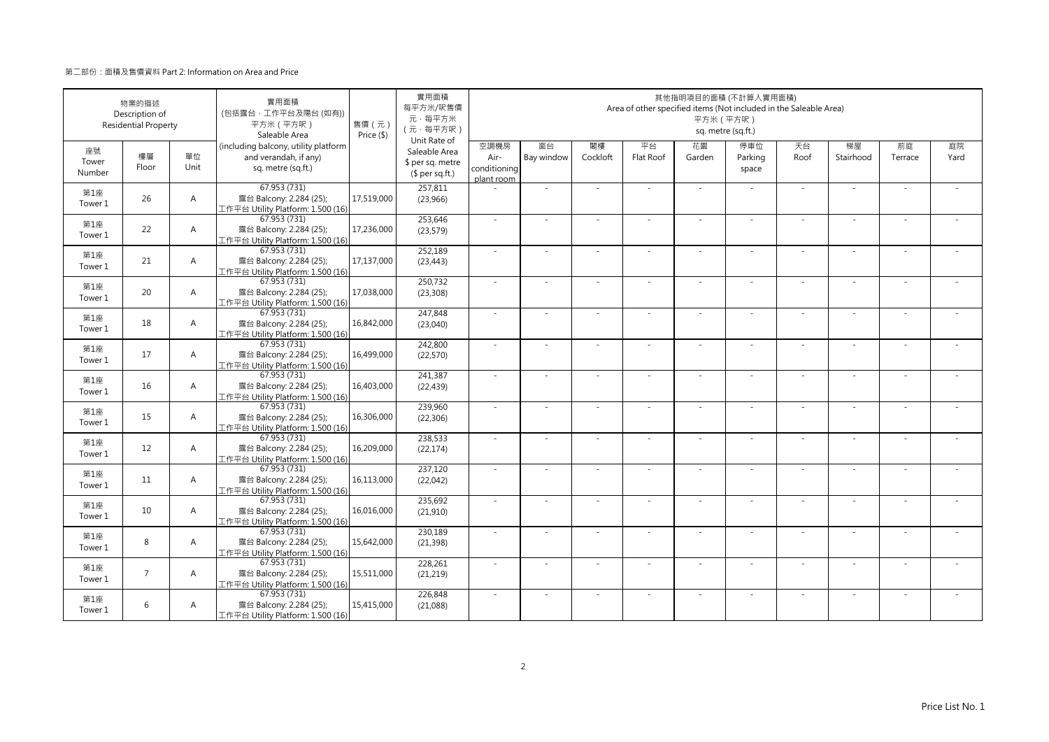|                       | 物業的描述<br>Description of<br><b>Residential Property</b> |                | 實用面積<br>(包括露台·工作平台及陽台(如有))<br>平方米 (平方呎)<br>Saleable Area                            | 售價 (元)<br>Price (\$) | 實用面積<br>每平方米/呎售價<br>元·每平方米<br>(元·每平方呎)<br>Unit Rate of |                                            |                  |                | Area of other specified items (Not included in the Saleable Area) | 平方米 (平方呎)    | 其他指明項目的面積 (不計算入實用面積)<br>sq. metre (sq.ft.) |            |                          |               |            |
|-----------------------|--------------------------------------------------------|----------------|-------------------------------------------------------------------------------------|----------------------|--------------------------------------------------------|--------------------------------------------|------------------|----------------|-------------------------------------------------------------------|--------------|--------------------------------------------|------------|--------------------------|---------------|------------|
| 座號<br>Tower<br>Number | 樓層<br>Floor                                            | 單位<br>Unit     | (including balcony, utility platform<br>and verandah, if any)<br>sq. metre (sq.ft.) |                      | Saleable Area<br>\$ per sq. metre<br>$$$ per sq.ft.)   | 空調機房<br>Air-<br>conditioning<br>plant room | 窗台<br>Bay window | 閣樓<br>Cockloft | 平台<br>Flat Roof                                                   | 花園<br>Garden | 停車位<br>Parking<br>space                    | 天台<br>Roof | 梯屋<br>Stairhood          | 前庭<br>Terrace | 庭院<br>Yard |
| 第1座<br>Tower 1        | 26                                                     | $\overline{A}$ | 67.953 (731)<br>露台 Balcony: 2.284 (25);<br>工作平台 Utility Platform: 1.500 (16)        | 17,519,000           | 257,811<br>(23,966)                                    |                                            | $\sim$           |                |                                                                   | ÷.           |                                            | ×.         | ×.                       |               |            |
| 第1座<br>Tower 1        | 22                                                     | $\overline{A}$ | 67.953 (731)<br>露台 Balcony: 2.284 (25);<br>工作平台 Utility Platform: 1.500 (16)        | 17,236,000           | 253,646<br>(23, 579)                                   | $\sim$                                     | ×.               | $\sim$         | ÷.                                                                | ÷.           | $\sim$                                     | ×.         | ×.                       |               |            |
| 第1座<br>Tower 1        | 21                                                     | A              | 67.953 (731)<br>露台 Balcony: 2.284 (25);<br>工作平台 Utility Platform: 1.500 (16)        | 17,137,000           | 252,189<br>(23, 443)                                   | $\sim$                                     | ÷,               |                |                                                                   | ÷            |                                            | $\sim$     | ÷                        |               |            |
| 第1座<br>Tower 1        | 20                                                     | $\overline{A}$ | 67.953 (731)<br>露台 Balcony: 2.284 (25);<br>工作平台 Utility Platform: 1.500 (16)        | 17,038,000           | 250,732<br>(23, 308)                                   | $\sim$                                     | $\sim$           |                |                                                                   | ÷,           |                                            | $\sim$     | $\sim$                   |               |            |
| 第1座<br>Tower 1        | 18                                                     | $\overline{A}$ | 67.953 (731)<br>露台 Balcony: 2.284 (25);<br>工作平台 Utility Platform: 1.500 (16)        | 16,842,000           | 247,848<br>(23,040)                                    | $\sim$                                     | $\sim$           |                | $\overline{\phantom{a}}$                                          | $\sim$       | $\sim$                                     | $\sim$     | $\sim$                   |               |            |
| 第1座<br>Tower 1        | 17                                                     | $\overline{A}$ | 67.953 (731)<br>露台 Balcony: 2.284 (25);<br>工作平台 Utility Platform: 1.500 (16)        | 16,499,000           | 242,800<br>(22, 570)                                   | $\sim$                                     | ÷.               |                | ÷                                                                 | ä,           |                                            | $\sim$     | ÷,                       |               |            |
| 第1座<br>Tower 1        | 16                                                     | $\overline{A}$ | 67.953 (731)<br>露台 Balcony: 2.284 (25);<br>工作平台 Utility Platform: 1.500 (16)        | 16,403,000           | 241,387<br>(22, 439)                                   | ×.                                         | ×.               |                | ÷.                                                                | ä,           |                                            | ×.         | ×.                       |               |            |
| 第1座<br>Tower 1        | 15                                                     | A              | 67.953 (731)<br>露台 Balcony: 2.284 (25);<br>工作平台 Utility Platform: 1.500 (16)        | 16,306,000           | 239,960<br>(22, 306)                                   | $\sim$                                     | ä,               |                |                                                                   |              |                                            | ×.         | ä,                       |               |            |
| 第1座<br>Tower 1        | 12                                                     | $\overline{A}$ | 67.953 (731)<br>露台 Balcony: 2.284 (25);<br>工作平台 Utility Platform: 1.500 (16)        | 16,209,000           | 238,533<br>(22, 174)                                   | $\sim$                                     | $\sim$           |                | ÷.                                                                | ÷,           |                                            | $\sim$     | $\sim$                   |               |            |
| 第1座<br>Tower 1        | 11                                                     | $\overline{A}$ | 67.953 (731)<br>露台 Balcony: 2.284 (25);<br>工作平台 Utility Platform: 1.500 (16)        | 16,113,000           | 237.120<br>(22,042)                                    | $\omega$                                   | ×.               |                | $\overline{\phantom{a}}$                                          | ÷.           | $\sim$                                     | $\sim$     | $\bar{a}$                |               |            |
| 第1座<br>Tower 1        | 10                                                     | $\overline{A}$ | 67.953 (731)<br>露台 Balcony: 2.284 (25);<br>工作平台 Utility Platform: 1.500 (16)        | 16,016,000           | 235,692<br>(21, 910)                                   | $\sim$                                     | ٠                |                | ٠                                                                 | ÷            |                                            | $\sim$     | $\overline{\phantom{a}}$ |               |            |
| 第1座<br>Tower 1        | 8                                                      | $\overline{A}$ | 67.953 (731)<br>露台 Balcony: 2.284 (25);<br>工作平台 Utility Platform: 1.500 (16)        | 15,642,000           | 230,189<br>(21, 398)                                   | $\sim$                                     |                  |                |                                                                   |              |                                            | $\sim$     | ä,                       |               |            |
| 第1座<br>Tower 1        | $\overline{7}$                                         | $\overline{A}$ | 67.953 (731)<br>露台 Balcony: 2.284 (25);<br>工作平台 Utility Platform: 1.500 (16)        | 15,511,000           | 228,261<br>(21, 219)                                   | $\sim$                                     | ×.               | - 1            | $\sim$                                                            | ÷.           | $\sim$                                     | $\sim$     | ×.                       | - 1           |            |
| 第1座<br>Tower 1        | 6                                                      | A              | 67.953 (731)<br>露台 Balcony: 2.284 (25);<br>工作平台 Utility Platform: 1.500 (16)        | 15,415,000           | 226,848<br>(21,088)                                    | $\sim$                                     | ä,               |                | ÷.                                                                | ÷.           | ×.                                         | ×.         | ä,                       |               |            |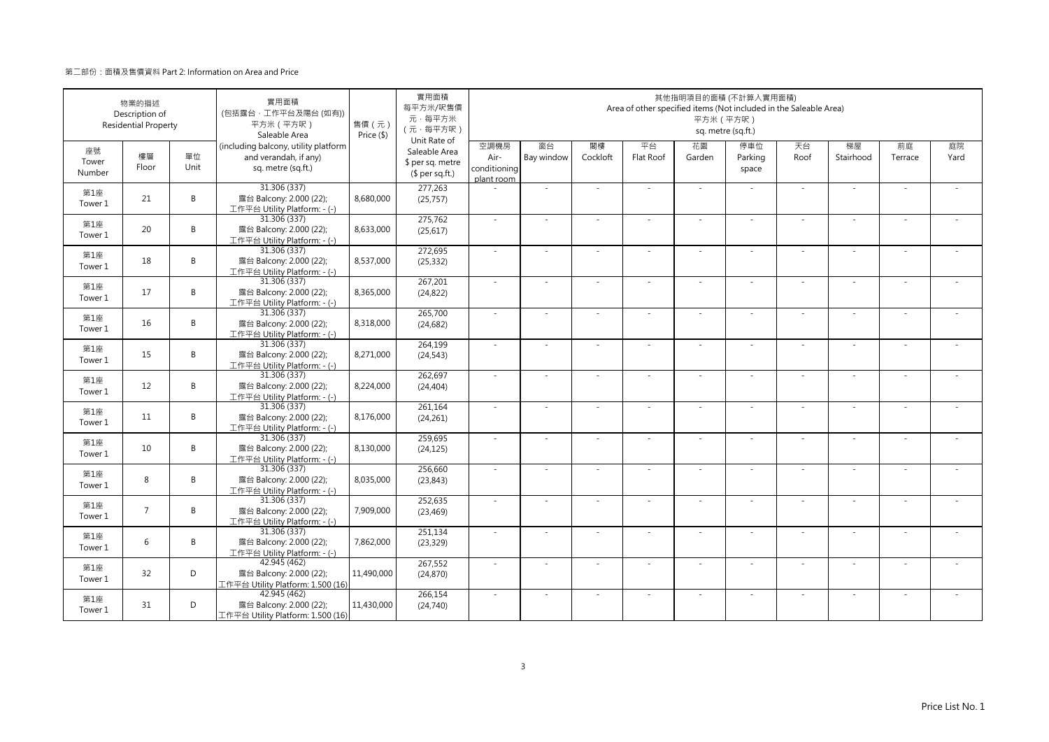|                       | 物業的描述<br>Description of<br><b>Residential Property</b> |            | 實用面積<br>(包括露台·工作平台及陽台(如有))<br>平方米 (平方呎)<br>Saleable Area                            | 售價 (元)<br>Price (\$) | 實用面積<br>每平方米/呎售價<br>元·每平方米<br>(元·每平方呎)<br>Unit Rate of |                                            |                  |                | Area of other specified items (Not included in the Saleable Area) | 平方米 (平方呎)                | 其他指明項目的面積 (不計算入實用面積)<br>sq. metre (sq.ft.) |            |                 |               |            |
|-----------------------|--------------------------------------------------------|------------|-------------------------------------------------------------------------------------|----------------------|--------------------------------------------------------|--------------------------------------------|------------------|----------------|-------------------------------------------------------------------|--------------------------|--------------------------------------------|------------|-----------------|---------------|------------|
| 座號<br>Tower<br>Number | 樓層<br>Floor                                            | 單位<br>Unit | (including balcony, utility platform<br>and verandah, if any)<br>sq. metre (sq.ft.) |                      | Saleable Area<br>\$ per sq. metre<br>$$$ per sq.ft.)   | 空調機房<br>Air-<br>conditioning<br>plant room | 窗台<br>Bay window | 閣樓<br>Cockloft | 平台<br>Flat Roof                                                   | 花園<br>Garden             | 停車位<br>Parking<br>space                    | 天台<br>Roof | 梯屋<br>Stairhood | 前庭<br>Terrace | 庭院<br>Yard |
| 第1座<br>Tower 1        | 21                                                     | B          | 31.306 (337)<br>露台 Balcony: 2.000 (22);<br>工作平台 Utility Platform: - (-)             | 8,680,000            | 277,263<br>(25, 757)                                   |                                            | $\sim$           |                | ÷.                                                                | ÷.                       | $\sim$                                     | ×.         | ×.              |               |            |
| 第1座<br>Tower 1        | 20                                                     | B          | 31.306 (337)<br>露台 Balcony: 2.000 (22);<br>工作平台 Utility Platform: - (-)             | 8,633,000            | 275,762<br>(25, 617)                                   | $\sim$                                     | ×.               | $\sim$         | ÷.                                                                | ÷.                       | $\sim$                                     | ×.         | ×.              | $\sim$        |            |
| 第1座<br>Tower 1        | 18                                                     | B          | 31.306 (337)<br>露台 Balcony: 2.000 (22);<br>工作平台 Utility Platform: - (-)             | 8,537,000            | 272,695<br>(25, 332)                                   | $\sim$                                     | ×                |                |                                                                   | ۰                        |                                            | $\sim$     | ÷               |               |            |
| 第1座<br>Tower 1        | 17                                                     | B          | 31.306 (337)<br>露台 Balcony: 2.000 (22);<br>工作平台 Utility Platform: - (-)             | 8,365,000            | 267,201<br>(24, 822)                                   | $\sim$                                     | $\sim$           |                | $\sim$                                                            | ÷,                       |                                            | $\sim$     | $\sim$          |               |            |
| 第1座<br>Tower 1        | 16                                                     | B          | 31.306 (337)<br>露台 Balcony: 2.000 (22);<br>工作平台 Utility Platform: - (-)             | 8,318,000            | 265,700<br>(24, 682)                                   | $\sim$                                     | $\sim$           |                | $\overline{\phantom{a}}$                                          | $\sim$                   | $\sim$                                     | $\sim$     | $\sim$          |               |            |
| 第1座<br>Tower 1        | 15                                                     | B          | 31.306 (337)<br>露台 Balcony: 2.000 (22);<br>工作平台 Utility Platform: - (-)             | 8,271,000            | 264,199<br>(24, 543)                                   | $\sim$                                     | ÷,               |                | ÷.                                                                | ÷.                       |                                            | $\sim$     | $\sim$          |               |            |
| 第1座<br>Tower 1        | 12                                                     | B          | 31.306 (337)<br>露台 Balcony: 2.000 (22);<br>工作平台 Utility Platform: - (-)             | 8,224,000            | 262,697<br>(24, 404)                                   | ×.                                         | ×.               |                | ÷.                                                                | ä,                       | $\sim$                                     | ×.         | ×.              |               |            |
| 第1座<br>Tower 1        | 11                                                     | B          | 31.306 (337)<br>露台 Balcony: 2.000 (22);<br>工作平台 Utility Platform: - (-)             | 8,176,000            | 261,164<br>(24, 261)                                   | $\sim$                                     | ä,               |                |                                                                   |                          |                                            | ×.         | ä,              |               |            |
| 第1座<br>Tower 1        | 10                                                     | B          | 31.306 (337)<br>露台 Balcony: 2.000 (22);<br>工作平台 Utility Platform: - (-)             | 8,130,000            | 259,695<br>(24, 125)                                   | $\sim$                                     | $\sim$           |                | ÷.                                                                | ÷,                       | $\sim$                                     | $\sim$     | $\sim$          |               |            |
| 第1座<br>Tower 1        | 8                                                      | B          | 31.306 (337)<br>露台 Balcony: 2.000 (22);<br>工作平台 Utility Platform: - (-)             | 8,035,000            | 256.660<br>(23, 843)                                   | $\omega$                                   | ×.               |                | $\overline{\phantom{a}}$                                          | $\overline{\phantom{a}}$ | $\sim$                                     | $\sim$     | $\bar{a}$       | $\sim$        |            |
| 第1座<br>Tower 1        | $\overline{7}$                                         | B          | 31.306 (337)<br>露台 Balcony: 2.000 (22);<br>工作平台 Utility Platform: - (-)             | 7,909,000            | 252,635<br>(23, 469)                                   | ×.                                         | $\sim$           |                | $\sim$                                                            | ٠                        |                                            | $\sim$     | $\sim$          |               |            |
| 第1座<br>Tower 1        | 6                                                      | B          | 31.306 (337)<br>露台 Balcony: 2.000 (22);<br>工作平台 Utility Platform: - (-)             | 7,862,000            | 251,134<br>(23, 329)                                   | $\sim$                                     |                  |                |                                                                   |                          |                                            | $\sim$     | ٠               |               |            |
| 第1座<br>Tower 1        | 32                                                     | D          | 42.945 (462)<br>露台 Balcony: 2.000 (22);<br>工作平台 Utility Platform: 1.500 (16)        | 11,490,000           | 267,552<br>(24, 870)                                   | $\sim$                                     | ×.               | $\sim$         | $\sim$                                                            | ÷.                       | $\sim$                                     | $\sim$     | ×.              | - 1           |            |
| 第1座<br>Tower 1        | 31                                                     | D          | 42.945 (462)<br>露台 Balcony: 2.000 (22);<br>工作平台 Utility Platform: 1.500 (16)        | 11,430,000           | 266,154<br>(24,740)                                    | $\sim$                                     | ä,               |                | ×                                                                 | ÷.                       | $\sim$                                     | ×.         | ×.              |               |            |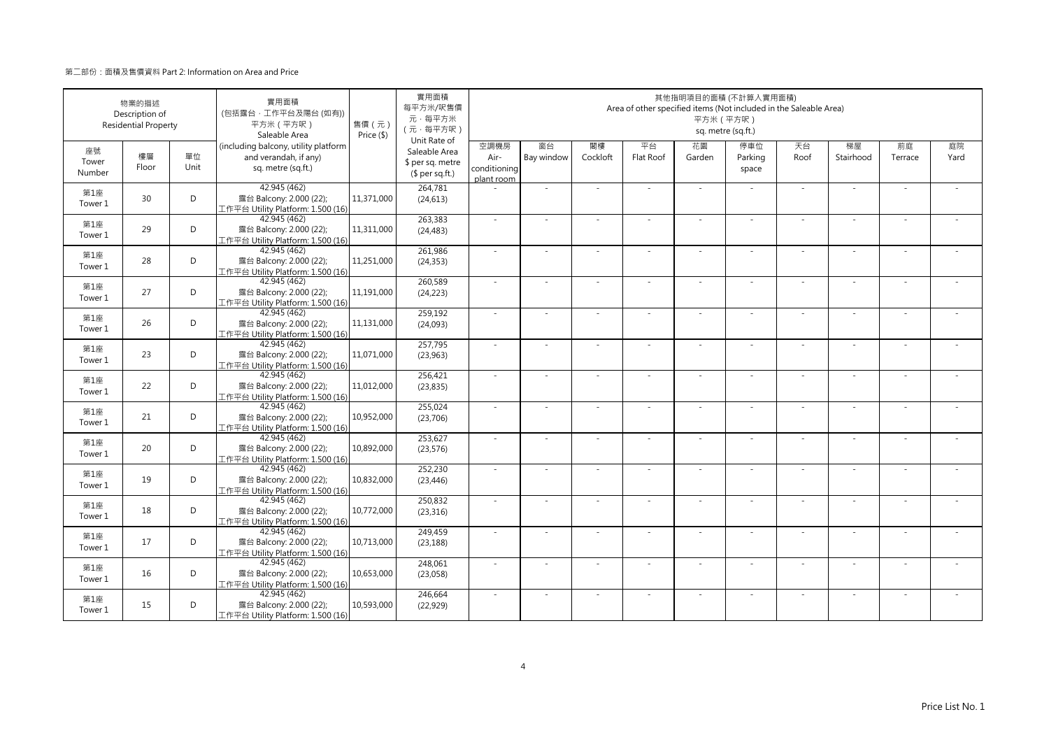|                       | 物業的描述<br>Description of<br><b>Residential Property</b> |            | 實用面積<br>(包括露台·工作平台及陽台(如有))<br>平方米 (平方呎)<br>Saleable Area                            | 售價(元)<br>Price (\$) | 實用面積<br>每平方米/呎售價<br>元·每平方米<br>(元·每平方呎)                               |                                            |                  |                | Area of other specified items (Not included in the Saleable Area) |              | 其他指明項目的面積 (不計算入實用面積)<br>平方米 (平方呎)<br>sq. metre (sq.ft.) |            |                 |                          |            |
|-----------------------|--------------------------------------------------------|------------|-------------------------------------------------------------------------------------|---------------------|----------------------------------------------------------------------|--------------------------------------------|------------------|----------------|-------------------------------------------------------------------|--------------|---------------------------------------------------------|------------|-----------------|--------------------------|------------|
| 座號<br>Tower<br>Number | 樓層<br>Floor                                            | 單位<br>Unit | (including balcony, utility platform<br>and verandah, if any)<br>sq. metre (sq.ft.) |                     | Unit Rate of<br>Saleable Area<br>\$ per sq. metre<br>$$$ per sq.ft.) | 空調機房<br>Air-<br>conditioning<br>plant room | 窗台<br>Bay window | 閣樓<br>Cockloft | 平台<br>Flat Roof                                                   | 花園<br>Garden | 停車位<br>Parking<br>space                                 | 天台<br>Roof | 梯屋<br>Stairhood | 前庭<br>Terrace            | 庭院<br>Yard |
| 第1座<br>Tower 1        | 30                                                     | D          | 42.945 (462)<br>露台 Balcony: 2.000 (22);<br>[作平台 Utility Platform: 1.500 (16)        | 11,371,000          | 264,781<br>(24, 613)                                                 |                                            | $\sim$           |                |                                                                   | ÷.           | $\sim$                                                  | $\sim$     | ×.              | ÷.                       |            |
| 第1座<br>Tower 1        | 29                                                     | D          | 42.945 (462)<br>露台 Balcony: 2.000 (22);<br>工作平台 Utility Platform: 1.500 (16)        | 11,311,000          | 263,383<br>(24, 483)                                                 | $\sim$                                     | $\sim$           | $\sim$         | ÷.                                                                | $\sim$       | ×.                                                      | $\sim$     | ×.              | $\sim$                   | ÷.         |
| 第1座<br>Tower 1        | 28                                                     | D          | 42.945 (462)<br>露台 Balcony: 2.000 (22);<br>工作平台 Utility Platform: 1.500 (16)        | 11,251,000          | 261,986<br>(24, 353)                                                 | ×.                                         | i.               |                |                                                                   |              |                                                         | $\sim$     |                 |                          |            |
| 第1座<br>Tower 1        | 27                                                     | D          | 42.945 (462)<br>露台 Balcony: 2.000 (22);<br>工作平台 Utility Platform: 1.500 (16)        | 11,191,000          | 260,589<br>(24, 223)                                                 | ×.                                         | $\overline{a}$   |                |                                                                   |              |                                                         | ä,         |                 |                          |            |
| 第1座<br>Tower 1        | 26                                                     | D          | 42.945 (462)<br>露台 Balcony: 2.000 (22);<br>工作平台 Utility Platform: 1.500 (16)        | 11,131,000          | 259,192<br>(24,093)                                                  | ×.                                         | $\sim$           |                |                                                                   | $\sim$       | $\sim$                                                  | ×.         | $\sim$          | $\sim$                   |            |
| 第1座<br>Tower 1        | 23                                                     | D          | 42.945 (462)<br>露台 Balcony: 2.000 (22);<br>工作平台 Utility Platform: 1.500 (16)        | 11,071,000          | 257,795<br>(23, 963)                                                 | ×.                                         | i.               |                | ×.                                                                |              |                                                         | $\sim$     |                 | $\sim$                   |            |
| 第1座<br>Tower 1        | 22                                                     | D          | 42.945 (462)<br>露台 Balcony: 2.000 (22);<br>工作平台 Utility Platform: 1.500 (16)        | 11,012,000          | 256,421<br>(23, 835)                                                 |                                            | i.               |                |                                                                   |              |                                                         | $\sim$     |                 |                          |            |
| 第1座<br>Tower 1        | 21                                                     | D          | 42.945 (462)<br>露台 Balcony: 2.000 (22);<br>工作平台 Utility Platform: 1.500 (16)        | 10,952,000          | 255,024<br>(23,706)                                                  | $\sim$                                     | $\sim$           |                | ÷.                                                                |              |                                                         | $\sim$     | $\sim$          | ÷.                       |            |
| 第1座<br>Tower 1        | 20                                                     | D          | 42.945 (462)<br>露台 Balcony: 2.000 (22);<br>工作平台 Utility Platform: 1.500 (16)        | 10,892,000          | 253,627<br>(23, 576)                                                 | $\sim$                                     | ÷.               |                |                                                                   |              |                                                         | ä,         | ×.              | ÷.                       |            |
| 第1座<br>Tower 1        | 19                                                     | D          | 42.945 (462)<br>露台 Balcony: 2.000 (22);<br>工作平台 Utility Platform: 1.500 (16)        | 10,832,000          | 252,230<br>(23, 446)                                                 | $\sim$                                     | ×.               | ×.             | ÷.                                                                | ÷.           | ×.                                                      | $\sim$     | ×.              | $\sim$                   |            |
| 第1座<br>Tower 1        | 18                                                     | D          | 42.945 (462)<br>露台 Balcony: 2.000 (22);<br>工作平台 Utility Platform: 1.500 (16)        | 10,772,000          | 250,832<br>(23, 316)                                                 | $\sim$                                     | ÷.               | $\overline{a}$ | $\overline{\phantom{a}}$                                          | $\sim$       | $\sim$                                                  | ×.         | $\sim$          | $\sim$                   |            |
| 第1座<br>Tower 1        | 17                                                     | D          | 42.945 (462)<br>露台 Balcony: 2.000 (22);<br>工作平台 Utility Platform: 1.500 (16)        | 10,713,000          | 249,459<br>(23, 188)                                                 | $\sim$                                     | $\sim$           |                |                                                                   |              |                                                         | $\sim$     |                 | $\overline{\phantom{a}}$ |            |
| 第1座<br>Tower 1        | 16                                                     | D          | 42.945 (462)<br>露台 Balcony: 2.000 (22);<br>工作平台 Utility Platform: 1.500 (16)        | 10,653,000          | 248,061<br>(23,058)                                                  | $\sim$                                     | $\sim$           | $\sim$         | $\sim$                                                            | ÷.           | $\sim$                                                  | $\sim$     | $\sim$          | $\sim$                   |            |
| 第1座<br>Tower 1        | 15                                                     | D          | 42.945 (462)<br>露台 Balcony: 2.000 (22);<br>工作平台 Utility Platform: 1.500 (16)        | 10,593,000          | 246,664<br>(22, 929)                                                 | $\sim$                                     | ×,               | ×.             |                                                                   | ÷.           | ×.                                                      | ä,         | ×.              | ÷.                       |            |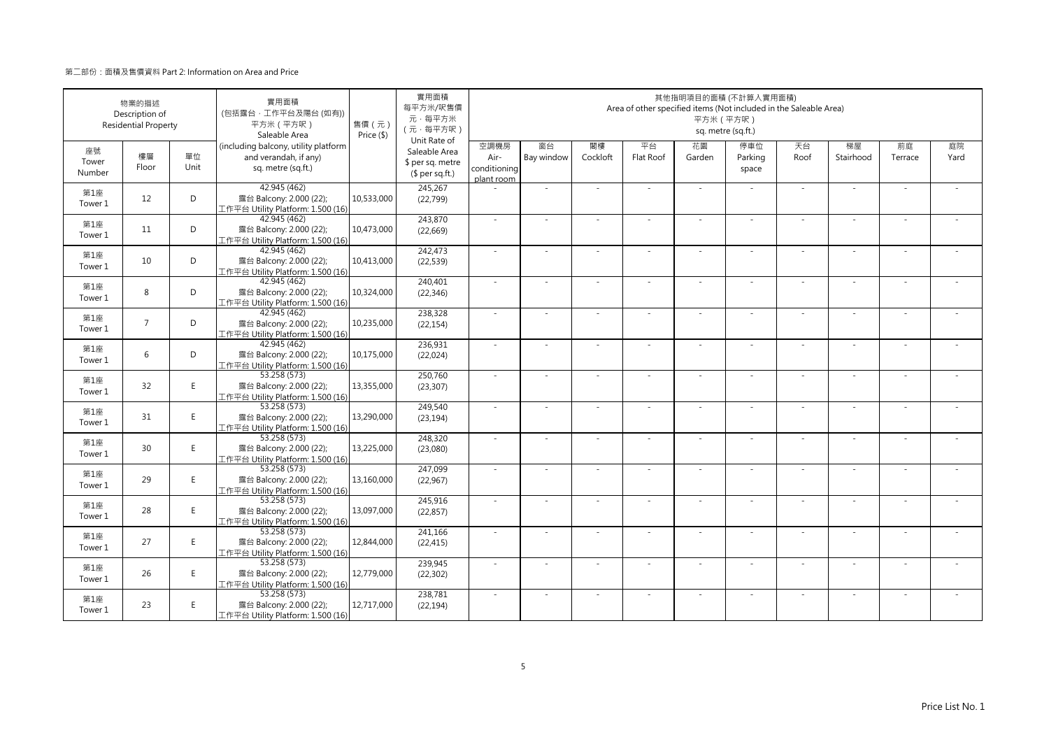|                       | 物業的描述<br>Description of<br><b>Residential Property</b> |            | 實用面積<br>(包括露台·工作平台及陽台(如有))<br>平方米 (平方呎)<br>Saleable Area                            | 售價(元)<br>Price (\$) | 實用面積<br>每平方米/呎售價<br>元·每平方米<br>(元·每平方呎)                               |                                            |                  |                | Area of other specified items (Not included in the Saleable Area) | 其他指明項目的面積 (不計算入實用面積)<br>平方米 (平方呎) | sq. metre (sq.ft.)      |            |                          |               |            |
|-----------------------|--------------------------------------------------------|------------|-------------------------------------------------------------------------------------|---------------------|----------------------------------------------------------------------|--------------------------------------------|------------------|----------------|-------------------------------------------------------------------|-----------------------------------|-------------------------|------------|--------------------------|---------------|------------|
| 座號<br>Tower<br>Number | 樓層<br>Floor                                            | 單位<br>Unit | (including balcony, utility platform<br>and verandah, if any)<br>sq. metre (sq.ft.) |                     | Unit Rate of<br>Saleable Area<br>\$ per sq. metre<br>$$$ per sq.ft.) | 空調機房<br>Air-<br>conditioning<br>plant room | 窗台<br>Bay window | 閣樓<br>Cockloft | 平台<br>Flat Roof                                                   | 花園<br>Garden                      | 停車位<br>Parking<br>space | 天台<br>Roof | 梯屋<br>Stairhood          | 前庭<br>Terrace | 庭院<br>Yard |
| 第1座<br>Tower 1        | 12                                                     | D          | 42.945 (462)<br>露台 Balcony: 2.000 (22);<br>工作平台 Utility Platform: 1.500 (16)        | 10,533,000          | 245,267<br>(22,799)                                                  |                                            | ÷,               |                |                                                                   | $\sim$                            |                         | $\sim$     | ä,                       |               |            |
| 第1座<br>Tower 1        | 11                                                     | D          | 42.945 (462)<br>露台 Balcony: 2.000 (22);<br>工作平台 Utility Platform: 1.500 (16)        | 10,473,000          | 243.870<br>(22, 669)                                                 | $\sim$                                     | $\sim$           | $\sim$         | ×                                                                 | $\overline{\phantom{a}}$          | $\sim$                  | $\sim$     | $\overline{\phantom{a}}$ | $\sim$        |            |
| 第1座<br>Tower 1        | 10                                                     | D          | 42.945 (462)<br>露台 Balcony: 2.000 (22);<br>工作平台 Utility Platform: 1.500 (16)        | 10,413,000          | 242,473<br>(22, 539)                                                 | $\sim$                                     | i.               |                |                                                                   | ٠                                 |                         | $\sim$     | ÷                        |               |            |
| 第1座<br>Tower 1        | 8                                                      | D          | 42.945 (462)<br>露台 Balcony: 2.000 (22);<br>工作平台 Utility Platform: 1.500 (16)        | 10,324,000          | 240,401<br>(22, 346)                                                 | ×.                                         | ÷,               |                |                                                                   |                                   |                         | $\sim$     | ä,                       |               |            |
| 第1座<br>Tower 1        | $\overline{7}$                                         | D          | 42.945 (462)<br>露台 Balcony: 2.000 (22);<br>L作平台 Utility Platform: 1.500 (16)        | 10,235,000          | 238,328<br>(22, 154)                                                 | $\sim$                                     | $\sim$           |                | ÷.                                                                | $\sim$                            | $\sim$                  | $\sim$     | $\sim$                   |               |            |
| 第1座<br>Tower 1        | 6                                                      | D          | 42.945 (462)<br>露台 Balcony: 2.000 (22);<br>C作平台 Utility Platform: 1.500 (16)        | 10,175,000          | 236,931<br>(22, 024)                                                 | ÷.                                         | ÷,               |                | ÷,                                                                | ÷,                                |                         | ×.         | $\overline{\phantom{a}}$ |               |            |
| 第1座<br>Tower 1        | 32                                                     | E          | 53.258 (573)<br>露台 Balcony: 2.000 (22);<br>工作平台 Utility Platform: 1.500 (16)        | 13,355,000          | 250,760<br>(23, 307)                                                 | $\sim$                                     | $\sim$           |                | ÷.                                                                | ×.                                | $\sim$                  | $\sim$     | $\sim$                   |               |            |
| 第1座<br>Tower 1        | 31                                                     | E.         | 53.258 (573)<br>露台 Balcony: 2.000 (22);<br>工作平台 Utility Platform: 1.500 (16)        | 13,290,000          | 249,540<br>(23, 194)                                                 | ×.                                         |                  |                |                                                                   |                                   |                         | $\sim$     |                          |               |            |
| 第1座<br>Tower 1        | 30                                                     | E          | 53.258 (573)<br>露台 Balcony: 2.000 (22);<br>工作平台 Utility Platform: 1.500 (16)        | 13,225,000          | 248,320<br>(23,080)                                                  | ×.                                         | ×.               |                | ÷.                                                                | $\sim$                            |                         | ×.         | ×.                       |               |            |
| 第1座<br>Tower 1        | 29                                                     | E.         | 53.258(573)<br>露台 Balcony: 2.000 (22);<br>工作平台 Utility Platform: 1.500 (16)         | 13,160,000          | 247,099<br>(22,967)                                                  | $\sim$                                     | $\sim$           |                | ÷.                                                                | ×.                                | $\sim$                  | $\sim$     | $\sim$                   |               |            |
| 第1座<br>Tower 1        | 28                                                     | E.         | 53.258 (573)<br>露台 Balcony: 2.000 (22);<br>工作平台 Utility Platform: 1.500 (16)        | 13,097,000          | 245,916<br>(22, 857)                                                 | ×.                                         | i.               |                | ÷.                                                                | $\overline{\phantom{a}}$          |                         | $\sim$     | ÷,                       |               |            |
| 第1座<br>Tower 1        | 27                                                     | E          | 53.258 (573)<br>露台 Balcony: 2.000 (22);<br>工作平台 Utility Platform: 1.500 (16)        | 12.844.000          | 241,166<br>(22, 415)                                                 | $\sim$                                     | ×.               |                |                                                                   | ä,                                |                         | $\sim$     | ٠                        |               |            |
| 第1座<br>Tower 1        | 26                                                     | E          | 53.258 (573)<br>露台 Balcony: 2.000 (22);<br>工作平台 Utility Platform: 1.500 (16)        | 12,779,000          | 239,945<br>(22, 302)                                                 | ×.                                         | $\sim$           |                |                                                                   | ٠                                 |                         | $\sim$     | ٠                        |               |            |
| 第1座<br>Tower 1        | 23                                                     | E          | 53.258 (573)<br>露台 Balcony: 2.000 (22);<br>工作平台 Utility Platform: 1.500 (16)        | 12,717,000          | 238,781<br>(22, 194)                                                 | ×.                                         | ×.               |                |                                                                   | ×.                                |                         | $\sim$     | ٠                        |               |            |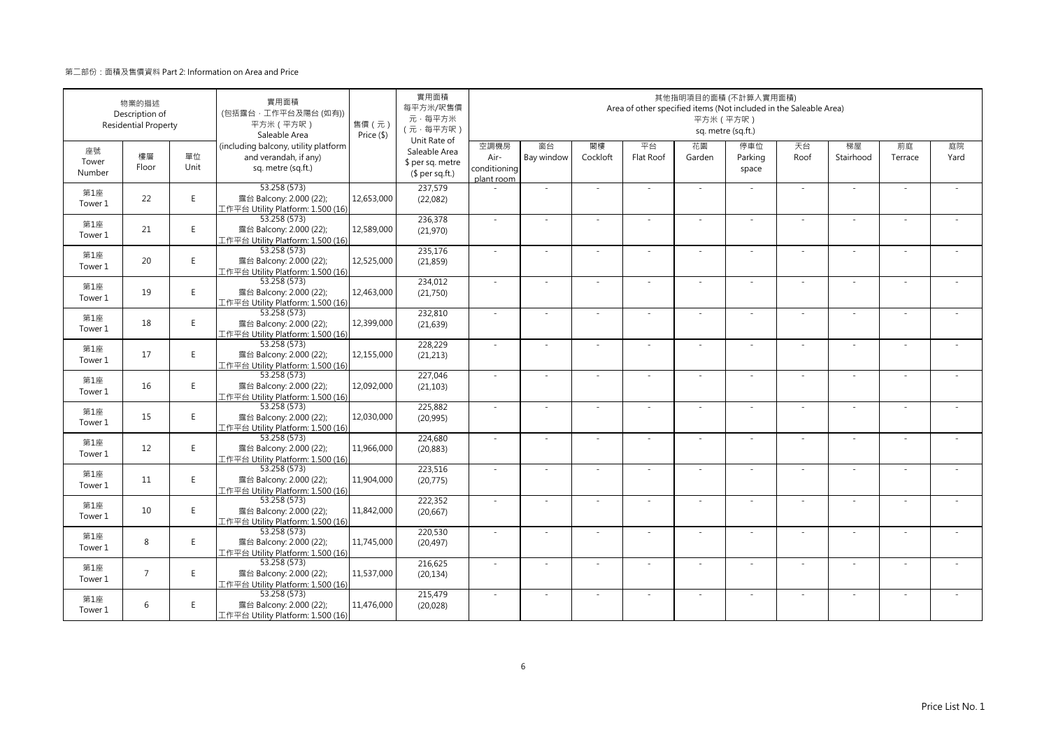|                       | 物業的描述<br>Description of<br><b>Residential Property</b> |            | 實用面積<br>(包括露台·工作平台及陽台(如有))<br>平方米 (平方呎)<br>Saleable Area                            | 售價 (元)<br>Price (\$) | 實用面積<br>每平方米/呎售價<br>元·每平方米<br>(元·每平方呎)<br>Unit Rate of |                                            |                  |                | Area of other specified items (Not included in the Saleable Area) | 平方米 (平方呎)    | 其他指明項目的面積 (不計算入實用面積)<br>sq. metre (sq.ft.) |            |                          |               |            |
|-----------------------|--------------------------------------------------------|------------|-------------------------------------------------------------------------------------|----------------------|--------------------------------------------------------|--------------------------------------------|------------------|----------------|-------------------------------------------------------------------|--------------|--------------------------------------------|------------|--------------------------|---------------|------------|
| 座號<br>Tower<br>Number | 樓層<br>Floor                                            | 單位<br>Unit | (including balcony, utility platform<br>and verandah, if any)<br>sq. metre (sq.ft.) |                      | Saleable Area<br>\$ per sq. metre<br>$$$ per sq.ft.)   | 空調機房<br>Air-<br>conditioning<br>plant room | 窗台<br>Bay window | 閣樓<br>Cockloft | 平台<br>Flat Roof                                                   | 花園<br>Garden | 停車位<br>Parking<br>space                    | 天台<br>Roof | 梯屋<br>Stairhood          | 前庭<br>Terrace | 庭院<br>Yard |
| 第1座<br>Tower 1        | 22                                                     | E          | 53.258 (573)<br>露台 Balcony: 2.000 (22);<br>工作平台 Utility Platform: 1.500 (16)        | 12,653,000           | 237,579<br>(22,082)                                    |                                            | $\sim$           |                |                                                                   | ÷.           |                                            | ×.         | ×.                       |               |            |
| 第1座<br>Tower 1        | 21                                                     | E          | 53.258 (573)<br>露台 Balcony: 2.000 (22);<br>工作平台 Utility Platform: 1.500 (16)        | 12,589,000           | 236,378<br>(21,970)                                    | $\sim$                                     | ×.               | $\sim$         | ÷.                                                                | ÷.           | $\sim$                                     | ×.         | ×.                       |               |            |
| 第1座<br>Tower 1        | 20                                                     | E          | 53.258 (573)<br>露台 Balcony: 2.000 (22);<br>工作平台 Utility Platform: 1.500 (16)        | 12,525,000           | 235,176<br>(21, 859)                                   | $\sim$                                     | ÷,               |                |                                                                   | ÷            |                                            | $\sim$     | ÷                        |               |            |
| 第1座<br>Tower 1        | 19                                                     | E.         | 53.258 (573)<br>露台 Balcony: 2.000 (22);<br>工作平台 Utility Platform: 1.500 (16)        | 12,463,000           | 234,012<br>(21,750)                                    | $\sim$                                     | $\sim$           |                |                                                                   | ÷,           |                                            | $\sim$     | $\sim$                   |               |            |
| 第1座<br>Tower 1        | 18                                                     | E          | 53.258 (573)<br>露台 Balcony: 2.000 (22);<br>L作平台 Utility Platform: 1.500 (16)        | 12,399,000           | 232,810<br>(21, 639)                                   | $\sim$                                     | $\sim$           |                | $\overline{\phantom{a}}$                                          | $\sim$       | $\sim$                                     | $\sim$     | $\sim$                   |               |            |
| 第1座<br>Tower 1        | 17                                                     | E          | 53.258 (573)<br>露台 Balcony: 2.000 (22);<br>工作平台 Utility Platform: 1.500 (16)        | 12,155,000           | 228,229<br>(21, 213)                                   | $\sim$                                     | ÷.               |                | ÷                                                                 | ä,           |                                            | $\sim$     | ÷,                       |               |            |
| 第1座<br>Tower 1        | 16                                                     | E          | 53.258 (573)<br>露台 Balcony: 2.000 (22);<br>工作平台 Utility Platform: 1.500 (16)        | 12,092,000           | 227,046<br>(21, 103)                                   | ×.                                         | ×.               |                | ÷.                                                                | ä,           |                                            | ×.         | ×.                       |               |            |
| 第1座<br>Tower 1        | 15                                                     | E          | 53.258 (573)<br>露台 Balcony: 2.000 (22);<br>工作平台 Utility Platform: 1.500 (16)        | 12,030,000           | 225,882<br>(20, 995)                                   | $\sim$                                     | ä,               |                |                                                                   |              |                                            | ×.         | ä,                       |               |            |
| 第1座<br>Tower 1        | 12                                                     | E          | 53.258 (573)<br>露台 Balcony: 2.000 (22);<br>工作平台 Utility Platform: 1.500 (16)        | 11,966,000           | 224,680<br>(20, 883)                                   | $\sim$                                     | $\sim$           |                | ÷.                                                                | ÷,           |                                            | $\sim$     | $\sim$                   |               |            |
| 第1座<br>Tower 1        | 11                                                     | E.         | 53.258 (573)<br>露台 Balcony: 2.000 (22);<br>工作平台 Utility Platform: 1.500 (16)        | 11,904,000           | 223.516<br>(20, 775)                                   | $\omega$                                   | ×.               |                | ÷.                                                                | ÷.           | $\sim$                                     | $\sim$     | $\bar{a}$                |               |            |
| 第1座<br>Tower 1        | 10                                                     | E          | 53.258 (573)<br>露台 Balcony: 2.000 (22);<br>工作平台 Utility Platform: 1.500 (16)        | 11,842,000           | 222,352<br>(20, 667)                                   | $\sim$                                     | ٠                |                | ٠                                                                 | ÷            |                                            | $\sim$     | $\overline{\phantom{a}}$ |               |            |
| 第1座<br>Tower 1        | 8                                                      | E          | 53.258 (573)<br>露台 Balcony: 2.000 (22);<br>工作平台 Utility Platform: 1.500 (16)        | 11,745,000           | 220,530<br>(20, 497)                                   | $\sim$                                     |                  |                |                                                                   |              |                                            | $\sim$     | ä,                       |               |            |
| 第1座<br>Tower 1        | $\overline{7}$                                         | E          | 53.258 (573)<br>露台 Balcony: 2.000 (22);<br>工作平台 Utility Platform: 1.500 (16)        | 11,537,000           | 216,625<br>(20, 134)                                   | $\sim$                                     | ×.               | - 1            | $\sim$                                                            | ÷.           | $\sim$                                     | $\sim$     | ×.                       | - 1           |            |
| 第1座<br>Tower 1        | 6                                                      | E          | 53.258 (573)<br>露台 Balcony: 2.000 (22);<br>工作平台 Utility Platform: 1.500 (16)        | 11,476,000           | 215,479<br>(20,028)                                    | $\sim$                                     | ä,               |                | ÷.                                                                | ÷.           |                                            | ×.         | ä,                       |               |            |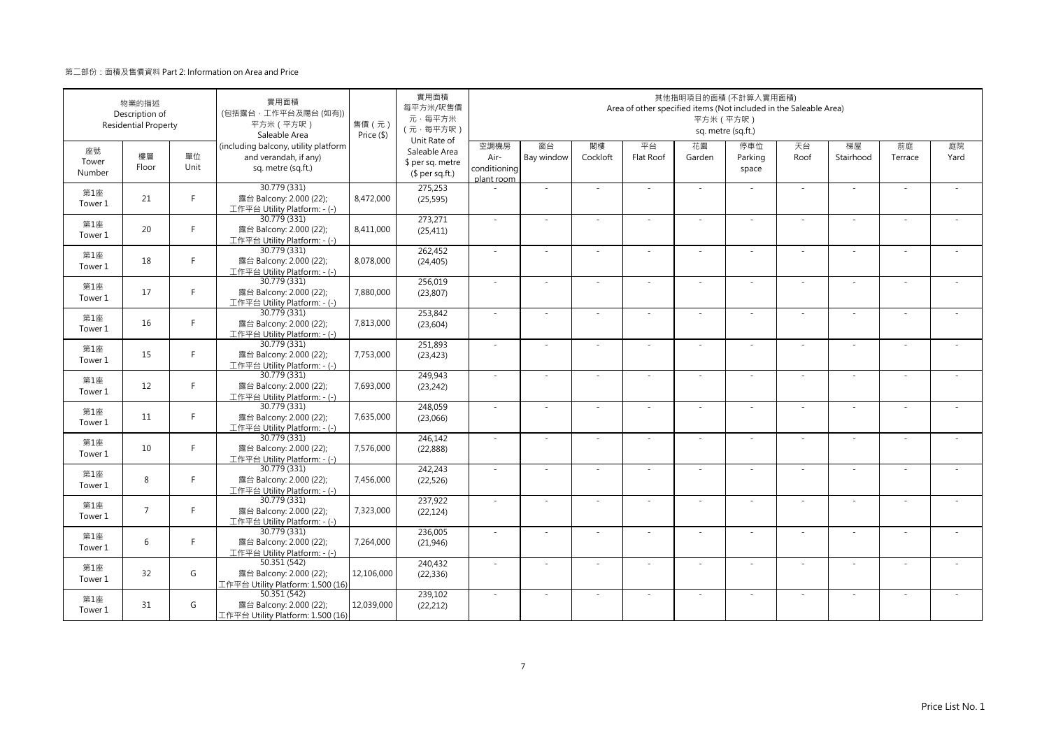|                       | 物業的描述<br>Description of<br><b>Residential Property</b> |            | 實用面積<br>(包括露台·工作平台及陽台(如有))<br>平方米 (平方呎)<br>Saleable Area                            | 售價 (元)<br>Price (\$) | 實用面積<br>每平方米/呎售價<br>元·每平方米<br>(元·每平方呎)<br>Unit Rate of |                                            |                  |                | Area of other specified items (Not included in the Saleable Area) | 平方米 (平方呎)                | 其他指明項目的面積 (不計算入實用面積)<br>sq. metre (sq.ft.) |            |                          |               |            |
|-----------------------|--------------------------------------------------------|------------|-------------------------------------------------------------------------------------|----------------------|--------------------------------------------------------|--------------------------------------------|------------------|----------------|-------------------------------------------------------------------|--------------------------|--------------------------------------------|------------|--------------------------|---------------|------------|
| 座號<br>Tower<br>Number | 樓層<br>Floor                                            | 單位<br>Unit | (including balcony, utility platform<br>and verandah, if any)<br>sq. metre (sq.ft.) |                      | Saleable Area<br>\$ per sq. metre<br>$$$ per sq.ft.)   | 空調機房<br>Air-<br>conditioning<br>plant room | 窗台<br>Bay window | 閣樓<br>Cockloft | 平台<br>Flat Roof                                                   | 花園<br>Garden             | 停車位<br>Parking<br>space                    | 天台<br>Roof | 梯屋<br>Stairhood          | 前庭<br>Terrace | 庭院<br>Yard |
| 第1座<br>Tower 1        | 21                                                     | F.         | 30.779 (331)<br>露台 Balcony: 2.000 (22);<br>工作平台 Utility Platform: - (-)             | 8,472,000            | 275,253<br>(25, 595)                                   |                                            | $\sim$           |                | ÷.                                                                | ÷.                       | $\sim$                                     | ×.         | ×.                       |               |            |
| 第1座<br>Tower 1        | 20                                                     | F.         | 30.779 (331)<br>露台 Balcony: 2.000 (22);<br>工作平台 Utility Platform: - (-)             | 8,411,000            | 273,271<br>(25, 411)                                   | $\sim$                                     | ×.               | $\sim$         | ÷.                                                                | ÷.                       | $\sim$                                     | ×.         | ×.                       | $\sim$        |            |
| 第1座<br>Tower 1        | 18                                                     | F          | 30.779 (331)<br>露台 Balcony: 2.000 (22);<br>工作平台 Utility Platform: - (-)             | 8,078,000            | 262,452<br>(24, 405)                                   | $\sim$                                     | ×                |                |                                                                   | ۰                        |                                            | $\sim$     | ÷                        |               |            |
| 第1座<br>Tower 1        | 17                                                     | F.         | 30.779 (331)<br>露台 Balcony: 2.000 (22);<br>工作平台 Utility Platform: - (-)             | 7,880,000            | 256,019<br>(23, 807)                                   | $\sim$                                     | $\sim$           |                | ÷,                                                                | ÷,                       |                                            | $\sim$     | $\sim$                   |               |            |
| 第1座<br>Tower 1        | 16                                                     | F.         | 30.779 (331)<br>露台 Balcony: 2.000 (22);<br>工作平台 Utility Platform: - (-)             | 7,813,000            | 253,842<br>(23, 604)                                   | $\sim$                                     | $\sim$           |                | $\overline{\phantom{a}}$                                          | $\sim$                   | $\sim$                                     | $\sim$     | $\sim$                   |               |            |
| 第1座<br>Tower 1        | 15                                                     | F.         | 30.779 (331)<br>露台 Balcony: 2.000 (22);<br>工作平台 Utility Platform: - (-)             | 7,753,000            | 251,893<br>(23, 423)                                   | $\sim$                                     | ÷,               |                | ÷                                                                 | ÷.                       |                                            | $\sim$     | ÷,                       |               |            |
| 第1座<br>Tower 1        | 12                                                     | F.         | 30.779 (331)<br>露台 Balcony: 2.000 (22);<br>工作平台 Utility Platform: - (-)             | 7,693,000            | 249,943<br>(23, 242)                                   | ×.                                         | ×.               |                | ÷.                                                                | ä,                       | $\sim$                                     | ×.         | ×.                       |               |            |
| 第1座<br>Tower 1        | 11                                                     | F.         | 30.779 (331)<br>露台 Balcony: 2.000 (22);<br>工作平台 Utility Platform: - (-)             | 7,635,000            | 248,059<br>(23,066)                                    | $\sim$                                     | ä,               |                |                                                                   |                          |                                            | ×.         | ä,                       |               |            |
| 第1座<br>Tower 1        | 10                                                     | F.         | 30.779 (331)<br>露台 Balcony: 2.000 (22);<br>工作平台 Utility Platform: - (-)             | 7,576,000            | 246,142<br>(22, 888)                                   | $\sim$                                     | $\sim$           |                | ÷.                                                                | ÷,                       | $\sim$                                     | $\sim$     | $\sim$                   |               |            |
| 第1座<br>Tower 1        | 8                                                      | F.         | 30.779 (331)<br>露台 Balcony: 2.000 (22);<br>工作平台 Utility Platform: - (-)             | 7,456,000            | 242.243<br>(22, 526)                                   | $\omega$                                   | ×.               |                | $\overline{\phantom{a}}$                                          | $\overline{\phantom{a}}$ | $\sim$                                     | $\sim$     | $\bar{a}$                |               |            |
| 第1座<br>Tower 1        | $\overline{7}$                                         | F          | 30.779 (331)<br>露台 Balcony: 2.000 (22);<br>工作平台 Utility Platform: - (-)             | 7,323,000            | 237,922<br>(22, 124)                                   | ×.                                         | $\sim$           |                | $\sim$                                                            | ٠                        |                                            | $\sim$     | $\overline{\phantom{a}}$ |               |            |
| 第1座<br>Tower 1        | 6                                                      | F.         | 30.779 (331)<br>露台 Balcony: 2.000 (22);<br>工作平台 Utility Platform: - (-)             | 7,264,000            | 236,005<br>(21, 946)                                   | $\sim$                                     |                  |                |                                                                   |                          |                                            | $\sim$     | ٠                        |               |            |
| 第1座<br>Tower 1        | 32                                                     | G          | 50.351 (542)<br>露台 Balcony: 2.000 (22);<br>工作平台 Utility Platform: 1.500 (16)        | 12,106,000           | 240,432<br>(22, 336)                                   | $\sim$                                     | ×.               | - 1            | $\sim$                                                            | ÷.                       | $\sim$                                     | $\sim$     | ×.                       | - 1           |            |
| 第1座<br>Tower 1        | 31                                                     | G          | 50.351 (542)<br>露台 Balcony: 2.000 (22);<br>工作平台 Utility Platform: 1.500 (16)        | 12,039,000           | 239,102<br>(22, 212)                                   | $\sim$                                     | ä,               |                | ÷.                                                                | ÷.                       | $\sim$                                     | ×.         | ×.                       |               |            |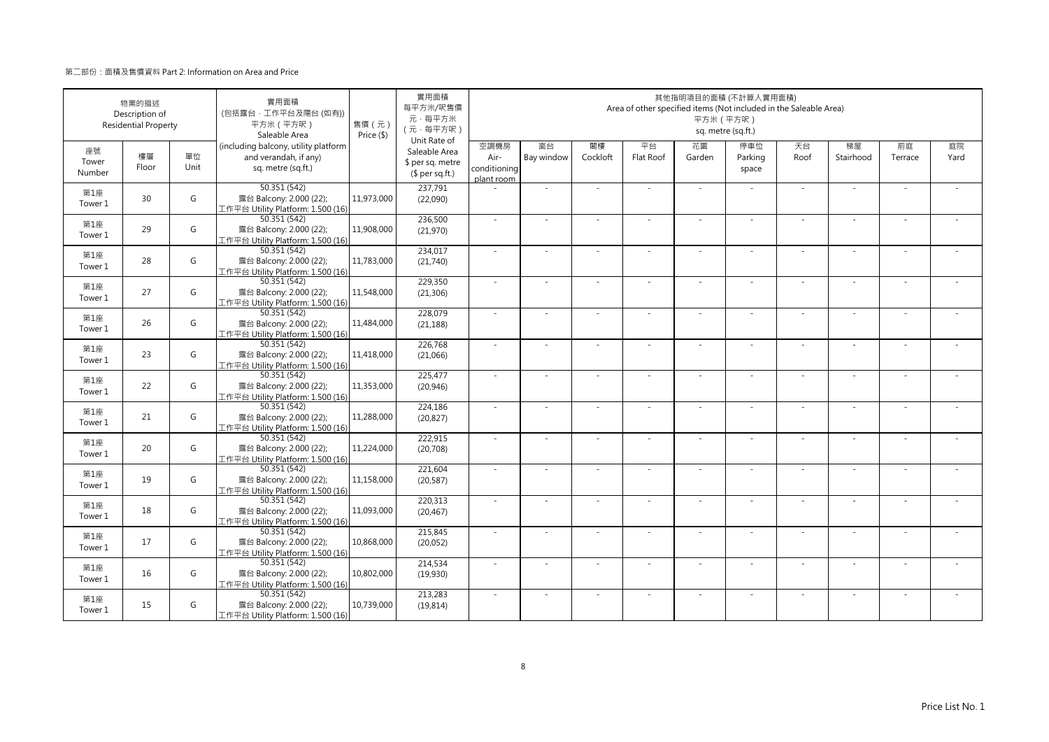|                       | 物業的描述<br>Description of<br><b>Residential Property</b> |            | 實用面積<br>(包括露台·工作平台及陽台(如有))<br>平方米 (平方呎)<br>Saleable Area                            | 售價 (元)<br>Price (\$) | 實用面積<br>每平方米/呎售價<br>元·每平方米<br>(元·每平方呎)<br>Unit Rate of |                                            |                  |                | Area of other specified items (Not included in the Saleable Area) | 平方米 (平方呎)    | 其他指明項目的面積 (不計算入實用面積)<br>sq. metre (sq.ft.) |            |                          |               |            |
|-----------------------|--------------------------------------------------------|------------|-------------------------------------------------------------------------------------|----------------------|--------------------------------------------------------|--------------------------------------------|------------------|----------------|-------------------------------------------------------------------|--------------|--------------------------------------------|------------|--------------------------|---------------|------------|
| 座號<br>Tower<br>Number | 樓層<br>Floor                                            | 單位<br>Unit | (including balcony, utility platform<br>and verandah, if any)<br>sq. metre (sq.ft.) |                      | Saleable Area<br>\$ per sq. metre<br>$$$ per sq.ft.)   | 空調機房<br>Air-<br>conditioning<br>plant room | 窗台<br>Bay window | 閣樓<br>Cockloft | 平台<br>Flat Roof                                                   | 花園<br>Garden | 停車位<br>Parking<br>space                    | 天台<br>Roof | 梯屋<br>Stairhood          | 前庭<br>Terrace | 庭院<br>Yard |
| 第1座<br>Tower 1        | 30                                                     | G          | 50.351 (542)<br>露台 Balcony: 2.000 (22);<br>工作平台 Utility Platform: 1.500 (16)        | 11,973,000           | 237,791<br>(22,090)                                    |                                            | $\sim$           |                |                                                                   | ÷.           |                                            | ×.         | ×.                       |               |            |
| 第1座<br>Tower 1        | 29                                                     | G          | 50.351 (542)<br>露台 Balcony: 2.000 (22);<br>工作平台 Utility Platform: 1.500 (16)        | 11,908,000           | 236,500<br>(21,970)                                    | $\sim$                                     | ×.               | $\sim$         | ÷.                                                                | ÷.           | $\sim$                                     | ×.         | ×.                       |               |            |
| 第1座<br>Tower 1        | 28                                                     | G          | 50.351 (542)<br>露台 Balcony: 2.000 (22);<br>工作平台 Utility Platform: 1.500 (16)        | 11,783,000           | 234,017<br>(21,740)                                    | $\sim$                                     | ÷,               |                |                                                                   | ÷            |                                            | $\sim$     | ÷                        |               |            |
| 第1座<br>Tower 1        | 27                                                     | G          | 50.351(542)<br>露台 Balcony: 2.000 (22);<br>工作平台 Utility Platform: 1.500 (16)         | 11,548,000           | 229,350<br>(21, 306)                                   | $\sim$                                     | $\sim$           |                |                                                                   | ÷,           |                                            | $\sim$     | $\sim$                   |               |            |
| 第1座<br>Tower 1        | 26                                                     | G          | 50.351 (542)<br>露台 Balcony: 2.000 (22);<br>工作平台 Utility Platform: 1.500 (16)        | 11,484,000           | 228,079<br>(21, 188)                                   | $\sim$                                     | $\sim$           |                | $\overline{\phantom{a}}$                                          | $\sim$       | $\sim$                                     | $\sim$     | $\sim$                   |               |            |
| 第1座<br>Tower 1        | 23                                                     | G          | 50.351 (542)<br>露台 Balcony: 2.000 (22);<br>工作平台 Utility Platform: 1.500 (16)        | 11,418,000           | 226,768<br>(21,066)                                    | $\sim$                                     | ÷,               |                | ÷                                                                 | ä,           |                                            | $\sim$     | ÷,                       |               |            |
| 第1座<br>Tower 1        | 22                                                     | G          | 50.351 (542)<br>露台 Balcony: 2.000 (22);<br>工作平台 Utility Platform: 1.500 (16)        | 11,353,000           | 225,477<br>(20, 946)                                   | ×.                                         | ×.               |                | ÷.                                                                | ä,           |                                            | ×.         | ×.                       |               |            |
| 第1座<br>Tower 1        | 21                                                     | G          | 50.351 (542)<br>露台 Balcony: 2.000 (22);<br>工作平台 Utility Platform: 1.500 (16)        | 11,288,000           | 224,186<br>(20, 827)                                   | $\sim$                                     | ä,               |                |                                                                   |              |                                            | ×.         | ä,                       |               |            |
| 第1座<br>Tower 1        | 20                                                     | G          | 50.351 (542)<br>露台 Balcony: 2.000 (22);<br>工作平台 Utility Platform: 1.500 (16)        | 11,224,000           | 222,915<br>(20, 708)                                   | $\sim$                                     | $\sim$           |                | ÷.                                                                | ÷,           |                                            | $\sim$     | $\sim$                   |               |            |
| 第1座<br>Tower 1        | 19                                                     | G          | 50.351 (542)<br>露台 Balcony: 2.000 (22);<br>工作平台 Utility Platform: 1.500 (16)        | 11,158,000           | 221.604<br>(20, 587)                                   | $\omega$                                   | ×.               |                | ÷.                                                                | ÷.           | $\sim$                                     | $\sim$     | $\bar{a}$                |               |            |
| 第1座<br>Tower 1        | 18                                                     | G          | 50.351 (542)<br>露台 Balcony: 2.000 (22);<br>工作平台 Utility Platform: 1.500 (16)        | 11,093,000           | 220,313<br>(20, 467)                                   | $\sim$                                     | ٠                |                | ٠                                                                 | ÷            |                                            | $\sim$     | $\overline{\phantom{a}}$ |               |            |
| 第1座<br>Tower 1        | 17                                                     | G          | 50.351 (542)<br>露台 Balcony: 2.000 (22);<br>工作平台 Utility Platform: 1.500 (16)        | 10,868,000           | 215,845<br>(20, 052)                                   | $\sim$                                     |                  |                |                                                                   |              |                                            | $\sim$     | ä,                       |               |            |
| 第1座<br>Tower 1        | 16                                                     | G          | 50.351 (542)<br>露台 Balcony: 2.000 (22);<br>工作平台 Utility Platform: 1.500 (16)        | 10,802,000           | 214,534<br>(19,930)                                    | $\sim$                                     | ×.               | - 1            | $\sim$                                                            | ÷.           | $\sim$                                     | $\sim$     | ×.                       | - 1           |            |
| 第1座<br>Tower 1        | 15                                                     | G          | 50.351 (542)<br>露台 Balcony: 2.000 (22);<br>工作平台 Utility Platform: 1.500 (16)        | 10,739,000           | 213,283<br>(19, 814)                                   | $\sim$                                     | ä,               |                | ÷.                                                                | ÷.           |                                            | ×.         | ä,                       |               |            |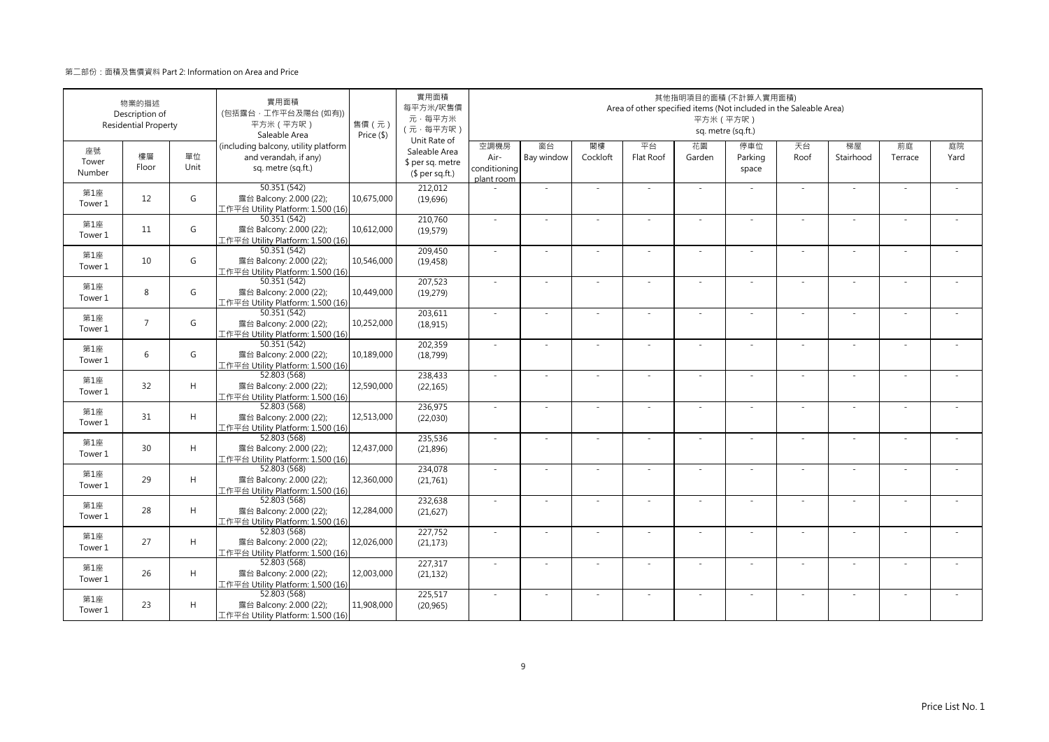|                       | 物業的描述<br>Description of<br><b>Residential Property</b> |            | 實用面積<br>(包括露台·工作平台及陽台(如有))<br>平方米 (平方呎)<br>Saleable Area                            | 售價 (元)<br>Price (\$) | 實用面積<br>每平方米/呎售價<br>元·每平方米<br>(元·每平方呎)<br>Unit Rate of |                                            |                  |                | Area of other specified items (Not included in the Saleable Area) | 平方米 (平方呎)    | 其他指明項目的面積 (不計算入實用面積)<br>sq. metre (sq.ft.) |            |                          |               |            |
|-----------------------|--------------------------------------------------------|------------|-------------------------------------------------------------------------------------|----------------------|--------------------------------------------------------|--------------------------------------------|------------------|----------------|-------------------------------------------------------------------|--------------|--------------------------------------------|------------|--------------------------|---------------|------------|
| 座號<br>Tower<br>Number | 樓層<br>Floor                                            | 單位<br>Unit | (including balcony, utility platform<br>and verandah, if any)<br>sq. metre (sq.ft.) |                      | Saleable Area<br>\$ per sq. metre<br>$$$ per sq.ft.)   | 空調機房<br>Air-<br>conditioning<br>plant room | 窗台<br>Bay window | 閣樓<br>Cockloft | 平台<br>Flat Roof                                                   | 花園<br>Garden | 停車位<br>Parking<br>space                    | 天台<br>Roof | 梯屋<br>Stairhood          | 前庭<br>Terrace | 庭院<br>Yard |
| 第1座<br>Tower 1        | 12                                                     | G          | 50.351 (542)<br>露台 Balcony: 2.000 (22);<br>工作平台 Utility Platform: 1.500 (16)        | 10,675,000           | 212,012<br>(19,696)                                    |                                            | $\sim$           |                |                                                                   | ÷.           |                                            | ×.         | ×.                       |               |            |
| 第1座<br>Tower 1        | 11                                                     | G          | 50.351 (542)<br>露台 Balcony: 2.000 (22);<br>工作平台 Utility Platform: 1.500 (16)        | 10,612,000           | 210,760<br>(19, 579)                                   | $\sim$                                     | ×.               | $\sim$         | ÷.                                                                | ÷.           | $\sim$                                     | ×.         | ×.                       |               |            |
| 第1座<br>Tower 1        | 10                                                     | G          | 50.351 (542)<br>露台 Balcony: 2.000 (22);<br>工作平台 Utility Platform: 1.500 (16)        | 10,546,000           | 209,450<br>(19, 458)                                   | $\sim$                                     | ÷,               |                |                                                                   | ÷            |                                            | $\sim$     | ÷                        |               |            |
| 第1座<br>Tower 1        | 8                                                      | G          | 50.351(542)<br>露台 Balcony: 2.000 (22);<br>工作平台 Utility Platform: 1.500 (16)         | 10,449,000           | 207,523<br>(19,279)                                    | $\sim$                                     | $\sim$           |                |                                                                   | ÷,           |                                            | $\sim$     | $\sim$                   |               |            |
| 第1座<br>Tower 1        | $\overline{7}$                                         | G          | 50.351 (542)<br>露台 Balcony: 2.000 (22);<br>工作平台 Utility Platform: 1.500 (16)        | 10,252,000           | 203,611<br>(18, 915)                                   | $\sim$                                     | $\sim$           |                | $\overline{\phantom{a}}$                                          | $\sim$       | $\sim$                                     | $\sim$     | $\sim$                   |               |            |
| 第1座<br>Tower 1        | 6                                                      | G          | 50.351 (542)<br>露台 Balcony: 2.000 (22);<br>工作平台 Utility Platform: 1.500 (16)        | 10,189,000           | 202,359<br>(18,799)                                    | $\sim$                                     | ÷                |                | ÷                                                                 | ä,           |                                            | $\sim$     | ÷,                       |               |            |
| 第1座<br>Tower 1        | 32                                                     | H          | 52.803 (568)<br>露台 Balcony: 2.000 (22);<br>工作平台 Utility Platform: 1.500 (16)        | 12,590,000           | 238,433<br>(22, 165)                                   | ×.                                         | ×.               |                | ÷.                                                                | ä,           |                                            | ×.         | ×.                       |               |            |
| 第1座<br>Tower 1        | 31                                                     | H          | 52.803 (568)<br>露台 Balcony: 2.000 (22);<br>工作平台 Utility Platform: 1.500 (16)        | 12,513,000           | 236,975<br>(22,030)                                    | $\sim$                                     | ä,               |                |                                                                   |              |                                            | ×.         | ä,                       |               |            |
| 第1座<br>Tower 1        | 30                                                     | H          | 52.803 (568)<br>露台 Balcony: 2.000 (22);<br>工作平台 Utility Platform: 1.500 (16)        | 12,437,000           | 235,536<br>(21, 896)                                   | $\sim$                                     | $\sim$           |                | ÷.                                                                | ÷,           |                                            | $\sim$     | $\sim$                   |               |            |
| 第1座<br>Tower 1        | 29                                                     | H          | 52.803 (568)<br>露台 Balcony: 2.000 (22);<br>工作平台 Utility Platform: 1.500 (16)        | 12,360,000           | 234,078<br>(21,761)                                    | $\omega$                                   | ×.               |                | ÷.                                                                | ÷.           | $\sim$                                     | $\sim$     | $\bar{a}$                |               |            |
| 第1座<br>Tower 1        | 28                                                     | H          | 52.803 (568)<br>露台 Balcony: 2.000 (22);<br>工作平台 Utility Platform: 1.500 (16)        | 12,284,000           | 232,638<br>(21, 627)                                   | $\sim$                                     | ٠                |                | ٠                                                                 | ÷            |                                            | $\sim$     | $\overline{\phantom{a}}$ |               |            |
| 第1座<br>Tower 1        | 27                                                     | H          | 52.803 (568)<br>露台 Balcony: 2.000 (22);<br>工作平台 Utility Platform: 1.500 (16)        | 12,026,000           | 227,752<br>(21, 173)                                   | $\sim$                                     |                  |                |                                                                   |              |                                            | $\sim$     | ä,                       |               |            |
| 第1座<br>Tower 1        | 26                                                     | H          | 52.803 (568)<br>露台 Balcony: 2.000 (22);<br>工作平台 Utility Platform: 1.500 (16)        | 12,003,000           | 227,317<br>(21, 132)                                   | $\sim$                                     | ×.               | - 1            | $\sim$                                                            | ÷.           | $\sim$                                     | $\sim$     | ×.                       | - 1           |            |
| 第1座<br>Tower 1        | 23                                                     | H          | 52.803 (568)<br>露台 Balcony: 2.000 (22);<br>工作平台 Utility Platform: 1.500 (16)        | 11,908,000           | 225,517<br>(20, 965)                                   | $\sim$                                     | ä,               |                | ÷.                                                                | ÷.           |                                            | ×.         | ä,                       |               |            |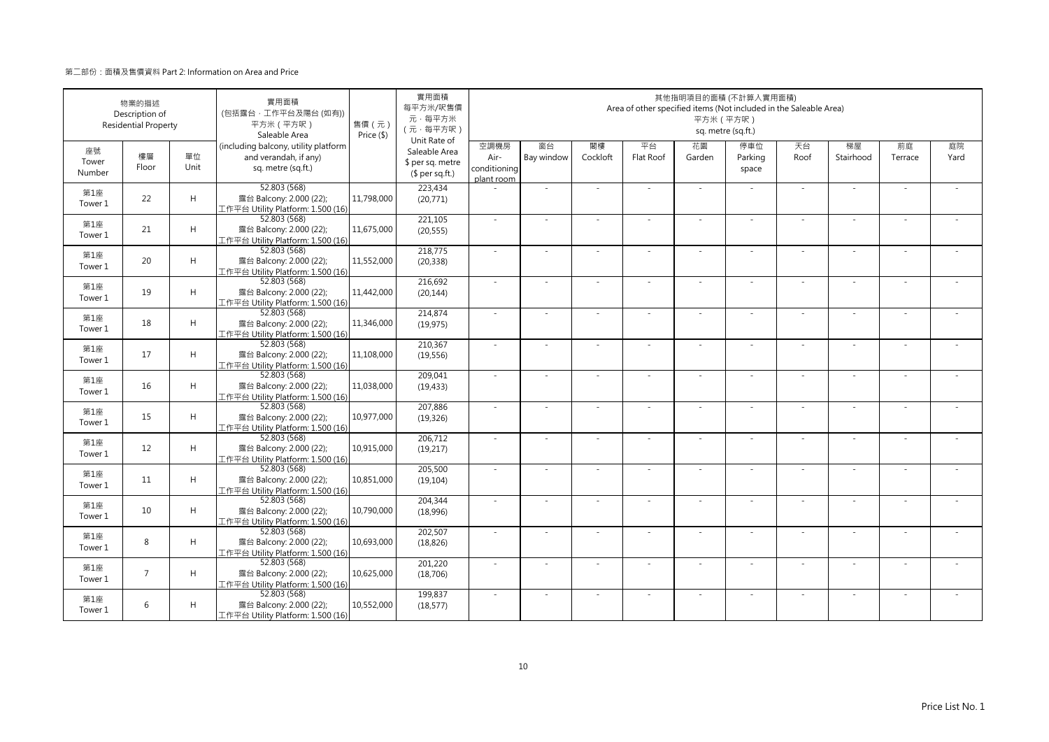|                       | 物業的描述<br>Description of<br><b>Residential Property</b> |            | 實用面積<br>(包括露台·工作平台及陽台(如有))<br>平方米 (平方呎)<br>Saleable Area                            | 售價 (元)<br>Price (\$) | 實用面積<br>每平方米/呎售價<br>元·每平方米<br>(元·每平方呎)<br>Unit Rate of |                                            |                  |                | Area of other specified items (Not included in the Saleable Area) | 平方米 (平方呎)    | 其他指明項目的面積 (不計算入實用面積)<br>sq. metre (sq.ft.) |            |                 |               |            |
|-----------------------|--------------------------------------------------------|------------|-------------------------------------------------------------------------------------|----------------------|--------------------------------------------------------|--------------------------------------------|------------------|----------------|-------------------------------------------------------------------|--------------|--------------------------------------------|------------|-----------------|---------------|------------|
| 座號<br>Tower<br>Number | 樓層<br>Floor                                            | 單位<br>Unit | (including balcony, utility platform<br>and verandah, if any)<br>sq. metre (sq.ft.) |                      | Saleable Area<br>\$ per sq. metre<br>$$$ per sq.ft.)   | 空調機房<br>Air-<br>conditioning<br>plant room | 窗台<br>Bay window | 閣樓<br>Cockloft | 平台<br>Flat Roof                                                   | 花園<br>Garden | 停車位<br>Parking<br>space                    | 天台<br>Roof | 梯屋<br>Stairhood | 前庭<br>Terrace | 庭院<br>Yard |
| 第1座<br>Tower 1        | 22                                                     | H          | 52.803 (568)<br>露台 Balcony: 2.000 (22);<br>工作平台 Utility Platform: 1.500 (16)        | 11.798.000           | 223,434<br>(20,771)                                    |                                            | $\sim$           |                |                                                                   | ÷,           |                                            | $\sim$     | $\sim$          |               |            |
| 第1座<br>Tower 1        | 21                                                     | H          | 52.803 (568)<br>露台 Balcony: 2.000 (22);<br>工作平台 Utility Platform: 1.500 (16)        | 11,675,000           | 221.105<br>(20, 555)                                   | $\sim$                                     | ×.               | $\sim$         | ×                                                                 | ÷.           | $\sim$                                     | ×.         | ×.              | $\sim$        |            |
| 第1座<br>Tower 1        | 20                                                     | H          | 52.803 (568)<br>露台 Balcony: 2.000 (22);<br>工作平台 Utility Platform: 1.500 (16)        | 11,552,000           | 218,775<br>(20, 338)                                   | $\sim$                                     | ×.               |                | ÷.                                                                | ä,           |                                            | $\sim$     | J.              |               |            |
| 第1座<br>Tower 1        | 19                                                     | H          | 52.803 (568)<br>露台 Balcony: 2.000 (22);<br>工作平台 Utility Platform: 1.500 (16)        | 11,442,000           | 216,692<br>(20, 144)                                   | $\sim$                                     |                  |                |                                                                   |              |                                            | ×.         | ä,              |               |            |
| 第1座<br>Tower 1        | 18                                                     | H          | 52.803 (568)<br>露台 Balcony: 2.000 (22);<br>工作平台 Utility Platform: 1.500 (16)        | 11,346,000           | 214,874<br>(19, 975)                                   | $\sim$                                     | $\sim$           | $\sim$         | ×                                                                 | ÷,           | $\sim$                                     | $\sim$     | $\sim$          | $\sim$        |            |
| 第1座<br>Tower 1        | 17                                                     | H          | 52.803 (568)<br>露台 Balcony: 2.000 (22);<br>工作平台 Utility Platform: 1.500 (16)        | 11,108,000           | 210,367<br>(19, 556)                                   |                                            |                  |                |                                                                   |              |                                            |            | ä,              |               |            |
| 第1座<br>Tower 1        | 16                                                     | H          | 52.803 (568)<br>露台 Balcony: 2.000 (22);<br>工作平台 Utility Platform: 1.500 (16)        | 11,038,000           | 209,041<br>(19, 433)                                   | $\sim$                                     | $\sim$           |                | ÷.                                                                | ÷.           |                                            | ×.         | $\sim$          |               |            |
| 第1座<br>Tower 1        | 15                                                     | H          | 52.803 (568)<br>露台 Balcony: 2.000 (22);<br>工作平台 Utility Platform: 1.500 (16)        | 10.977.000           | 207,886<br>(19, 326)                                   | ×.                                         |                  |                |                                                                   |              |                                            | $\sim$     |                 |               |            |
| 第1座<br>Tower 1        | 12                                                     | H          | 52.803 (568)<br>露台 Balcony: 2.000 (22);<br>工作平台 Utility Platform: 1.500 (16)        | 10,915,000           | 206,712<br>(19,217)                                    | $\sim$                                     | ×.               |                |                                                                   | ÷,           |                                            | $\sim$     | ×.              |               |            |
| 第1座<br>Tower 1        | 11                                                     | H          | 52.803 (568)<br>露台 Balcony: 2.000 (22);<br>工作平台 Utility Platform: 1.500 (16)        | 10,851,000           | 205,500<br>(19, 104)                                   | $\sim$                                     | $\sim$           |                | $\sim$                                                            | $\sim$       | $\sim$                                     | $\sim$     | ×.              |               |            |
| 第1座<br>Tower 1        | 10                                                     | H          | 52.803 (568)<br>露台 Balcony: 2.000 (22);<br>工作平台 Utility Platform: 1.500 (16)        | 10,790,000           | 204,344<br>(18,996)                                    | $\sim$                                     | ×.               |                | J.                                                                | ä,           |                                            | ×.         | ×.              |               |            |
| 第1座<br>Tower 1        | 8                                                      | H          | 52.803 (568)<br>露台 Balcony: 2.000 (22);<br>工作平台 Utility Platform: 1.500 (16)        | 10,693,000           | 202,507<br>(18, 826)                                   | $\sim$                                     | $\sim$           | $\sim$         | ÷.                                                                | ÷.           | $\sim$                                     | $\sim$     | $\bar{a}$       |               |            |
| 第1座<br>Tower 1        | $\overline{7}$                                         | H          | 52.803 (568)<br>露台 Balcony: 2.000 (22);<br>工作平台 Utility Platform: 1.500 (16)        | 10,625,000           | 201,220<br>(18, 706)                                   | ×.                                         |                  |                |                                                                   |              |                                            | $\sim$     |                 |               |            |
| 第1座<br>Tower 1        | 6                                                      | H          | 52.803 (568)<br>露台 Balcony: 2.000 (22);<br>工作平台 Utility Platform: 1.500 (16)        | 10,552,000           | 199,837<br>(18, 577)                                   | $\sim$                                     | $\sim$           |                | ÷.                                                                | $\sim$       | $\sim$                                     | $\sim$     | $\sim$          |               |            |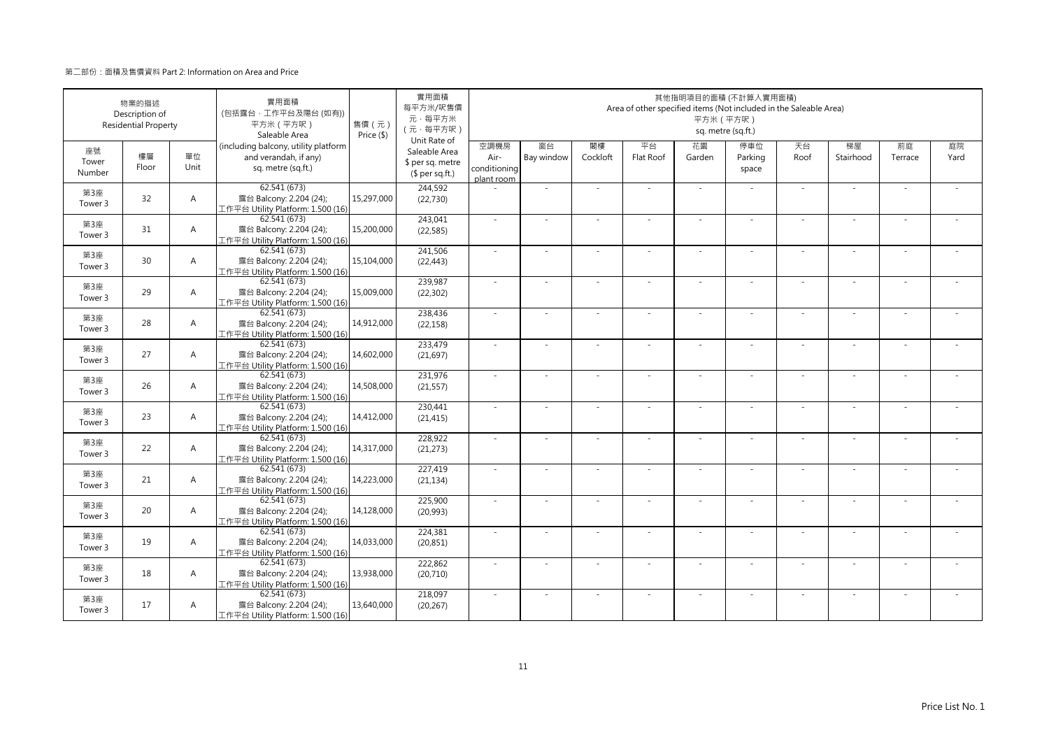|                       | 物業的描述<br>Description of<br><b>Residential Property</b> |                | 實用面積<br>(包括露台·工作平台及陽台(如有))<br>平方米 (平方呎)<br>Saleable Area                            | 售價(元)<br>Price (\$) | 實用面積<br>每平方米/呎售價<br>元·每平方米<br>(元·每平方呎)<br>Unit Rate of |                                            |                          |                | Area of other specified items (Not included in the Saleable Area) | 平方米 (平方呎)                | 其他指明項目的面積 (不計算入實用面積)<br>sq. metre (sq.ft.) |            |                          |               |            |
|-----------------------|--------------------------------------------------------|----------------|-------------------------------------------------------------------------------------|---------------------|--------------------------------------------------------|--------------------------------------------|--------------------------|----------------|-------------------------------------------------------------------|--------------------------|--------------------------------------------|------------|--------------------------|---------------|------------|
| 座號<br>Tower<br>Number | 樓層<br>Floor                                            | 單位<br>Unit     | (including balcony, utility platform<br>and verandah, if any)<br>sq. metre (sq.ft.) |                     | Saleable Area<br>\$ per sq. metre<br>$$$ per sq.ft.)   | 空調機房<br>Air-<br>conditioning<br>plant room | 窗台<br>Bay window         | 閣樓<br>Cockloft | 平台<br>Flat Roof                                                   | 花園<br>Garden             | 停車位<br>Parking<br>space                    | 天台<br>Roof | 梯屋<br>Stairhood          | 前庭<br>Terrace | 庭院<br>Yard |
| 第3座<br>Tower 3        | 32                                                     | $\overline{A}$ | 62.541 (673)<br>露台 Balcony: 2.204 (24);<br>工作平台 Utility Platform: 1.500 (16)        | 15,297,000          | 244,592<br>(22, 730)                                   |                                            | ÷,                       |                |                                                                   | ×.                       |                                            | ×.         | ٠                        |               |            |
| 第3座<br>Tower 3        | 31                                                     | $\overline{A}$ | 62.541 (673)<br>露台 Balcony: 2.204 (24);<br>工作平台 Utility Platform: 1.500 (16)        | 15,200,000          | 243,041<br>(22, 585)                                   | $\sim$                                     | ×.                       | $\sim$         | ÷.                                                                | ×.                       | $\sim$                                     | ×.         | ×.                       | $\sim$        |            |
| 第3座<br>Tower 3        | 30                                                     | $\overline{A}$ | 62.541 (673)<br>露台 Balcony: 2.204 (24);<br>工作平台 Utility Platform: 1.500 (16)        | 15,104,000          | 241,506<br>(22, 443)                                   | ×.                                         | $\sim$                   |                |                                                                   | ÷                        |                                            | $\sim$     | ä,                       |               |            |
| 第3座<br>Tower 3        | 29                                                     | $\overline{A}$ | 62.541 (673)<br>露台 Balcony: 2.204 (24);<br>工作平台 Utility Platform: 1.500 (16)        | 15,009,000          | 239,987<br>(22, 302)                                   | $\sim$                                     | $\overline{\phantom{a}}$ |                |                                                                   | $\overline{\phantom{a}}$ |                                            | $\sim$     | $\overline{\phantom{a}}$ |               |            |
| 第3座<br>Tower 3        | 28                                                     | $\overline{A}$ | 62.541 (673)<br>露台 Balcony: 2.204 (24);<br>L作平台 Utility Platform: 1.500 (16)        | 14,912,000          | 238,436<br>(22, 158)                                   | ×.                                         | $\sim$                   |                | ÷.                                                                | $\sim$                   | $\sim$                                     | $\sim$     | ×.                       |               |            |
| 第3座<br>Tower 3        | 27                                                     | $\overline{A}$ | 62.541 (673)<br>露台 Balcony: 2.204 (24);<br>工作平台 Utility Platform: 1.500 (16)        | 14,602,000          | 233,479<br>(21, 697)                                   | $\sim$                                     | i.                       |                | ÷.                                                                | $\sim$                   |                                            | $\sim$     | ÷.                       |               |            |
| 第3座<br>Tower 3        | 26                                                     | $\overline{A}$ | 62.541 (673)<br>露台 Balcony: 2.204 (24);<br>工作平台 Utility Platform: 1.500 (16)        | 14,508,000          | 231,976<br>(21, 557)                                   | ×.                                         | ×.                       |                | ÷.                                                                | ×.                       |                                            | ×.         | ä,                       |               |            |
| 第3座<br>Tower 3        | 23                                                     | $\overline{A}$ | 62.541 (673)<br>露台 Balcony: 2.204 (24);<br>工作平台 Utility Platform: 1.500 (16)        | 14,412,000          | 230,441<br>(21, 415)                                   | ÷.                                         | ×.                       |                |                                                                   | ä,                       |                                            | ×.         | ×,                       |               |            |
| 第3座<br>Tower 3        | 22                                                     | $\overline{A}$ | 62.541 (673)<br>露台 Balcony: 2.204 (24);<br>工作平台 Utility Platform: 1.500 (16)        | 14,317,000          | 228,922<br>(21, 273)                                   | ÷.                                         | $\sim$                   |                |                                                                   | $\sim$                   |                                            | $\sim$     | $\sim$                   |               |            |
| 第3座<br>Tower 3        | 21                                                     | $\overline{A}$ | 62.541 (673)<br>露台 Balcony: 2.204 (24);<br>工作平台 Utility Platform: 1.500 (16)        | 14,223,000          | 227,419<br>(21, 134)                                   | $\sim$                                     | $\sim$                   |                | ÷.                                                                | $\overline{\phantom{a}}$ | $\sim$                                     | $\sim$     | $\sim$                   |               |            |
| 第3座<br>Tower 3        | 20                                                     | $\overline{A}$ | 62.541 (673)<br>露台 Balcony: 2.204 (24);<br>工作平台 Utility Platform: 1.500 (16)        | 14,128,000          | 225,900<br>(20,993)                                    | ×.                                         | $\sim$                   |                | ٠                                                                 | ٠                        |                                            | $\sim$     | ÷,                       |               |            |
| 第3座<br>Tower 3        | 19                                                     | $\overline{A}$ | 62.541(673)<br>露台 Balcony: 2.204 (24);<br>工作平台 Utility Platform: 1.500 (16)         | 14,033,000          | 224,381<br>(20, 851)                                   | $\sim$                                     | ä,                       |                |                                                                   |                          |                                            | $\sim$     | ÷,                       |               |            |
| 第3座<br>Tower 3        | 18                                                     | $\overline{A}$ | 62.541 (673)<br>露台 Balcony: 2.204 (24);<br>工作平台 Utility Platform: 1.500 (16)        | 13,938,000          | 222,862<br>(20, 710)                                   | $\sim$                                     | ×.                       | $\sim$         | ÷.                                                                | ×.                       | $\sim$                                     | $\sim$     | ×,                       | $\sim$        |            |
| 第3座<br>Tower 3        | 17                                                     | $\mathsf{A}$   | 62.541 (673)<br>露台 Balcony: 2.204 (24);<br>工作平台 Utility Platform: 1.500 (16)        | 13,640,000          | 218,097<br>(20, 267)                                   | ÷.                                         | ×.                       |                | ÷.                                                                | ×.                       |                                            | $\sim$     | ×,                       |               |            |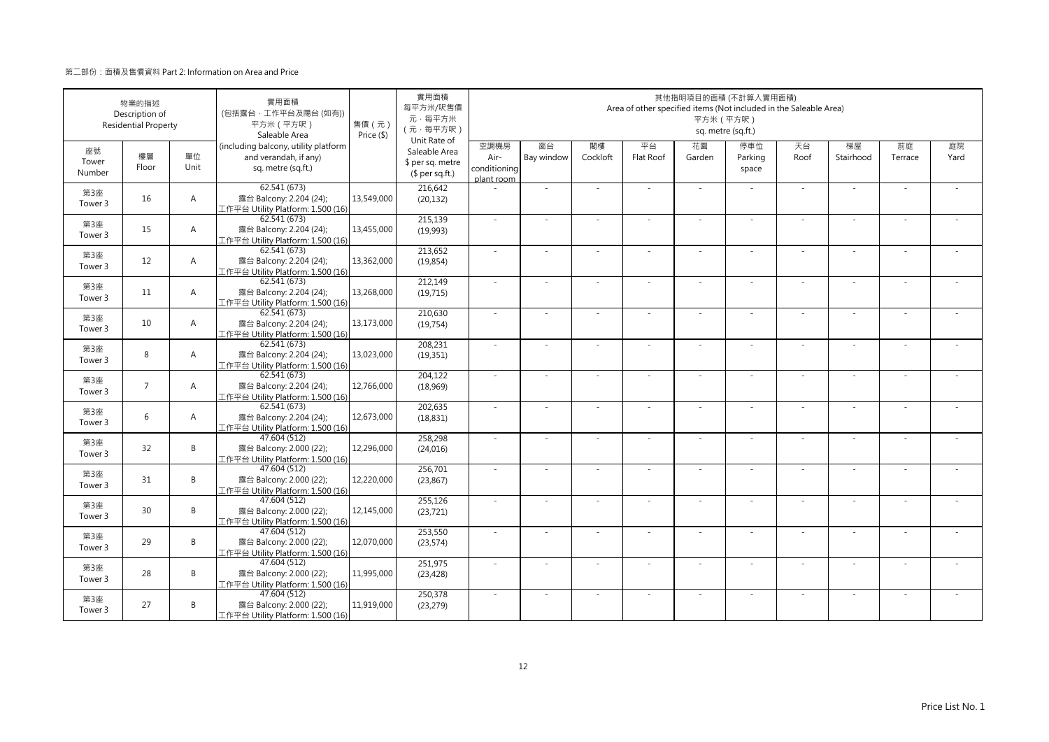|                       | 物業的描述<br>Description of<br><b>Residential Property</b> |                | 實用面積<br>(包括露台·工作平台及陽台(如有))<br>平方米 (平方呎)<br>Saleable Area                            | 售價(元)<br>Price (\$) | 實用面積<br>每平方米/呎售價<br>元·每平方米<br>(元·每平方呎)<br>Unit Rate of |                                            |                          |                | Area of other specified items (Not included in the Saleable Area) | 平方米 (平方呎)                | 其他指明項目的面積 (不計算入實用面積)<br>sq. metre (sq.ft.) |            |                          |               |            |
|-----------------------|--------------------------------------------------------|----------------|-------------------------------------------------------------------------------------|---------------------|--------------------------------------------------------|--------------------------------------------|--------------------------|----------------|-------------------------------------------------------------------|--------------------------|--------------------------------------------|------------|--------------------------|---------------|------------|
| 座號<br>Tower<br>Number | 樓層<br>Floor                                            | 單位<br>Unit     | (including balcony, utility platform<br>and verandah, if any)<br>sq. metre (sq.ft.) |                     | Saleable Area<br>\$ per sq. metre<br>$$$ per sq.ft.)   | 空調機房<br>Air-<br>conditioning<br>plant room | 窗台<br>Bay window         | 閣樓<br>Cockloft | 平台<br>Flat Roof                                                   | 花園<br>Garden             | 停車位<br>Parking<br>space                    | 天台<br>Roof | 梯屋<br>Stairhood          | 前庭<br>Terrace | 庭院<br>Yard |
| 第3座<br>Tower 3        | 16                                                     | $\overline{A}$ | 62.541 (673)<br>露台 Balcony: 2.204 (24);<br>工作平台 Utility Platform: 1.500 (16)        | 13,549,000          | 216,642<br>(20, 132)                                   |                                            | ÷,                       |                |                                                                   | ×.                       |                                            | ×.         | ×,                       |               |            |
| 第3座<br>Tower 3        | 15                                                     | $\overline{A}$ | 62.541 (673)<br>露台 Balcony: 2.204 (24);<br>工作平台 Utility Platform: 1.500 (16)        | 13,455,000          | 215,139<br>(19,993)                                    | $\sim$                                     | ×.                       | $\sim$         | ÷.                                                                | ×.                       | $\sim$                                     | ×.         | ×.                       | $\sim$        |            |
| 第3座<br>Tower 3        | 12                                                     | $\overline{A}$ | 62.541 (673)<br>露台 Balcony: 2.204 (24);<br>工作平台 Utility Platform: 1.500 (16)        | 13,362,000          | 213,652<br>(19, 854)                                   | ×.                                         | ä,                       |                |                                                                   | ÷                        |                                            | $\sim$     | ä,                       |               |            |
| 第3座<br>Tower 3        | 11                                                     | $\overline{A}$ | 62.541 (673)<br>露台 Balcony: 2.204 (24);<br>工作平台 Utility Platform: 1.500 (16)        | 13,268,000          | 212,149<br>(19, 715)                                   | $\sim$                                     | $\overline{\phantom{a}}$ |                |                                                                   | $\overline{\phantom{a}}$ |                                            | $\sim$     | $\overline{\phantom{a}}$ |               |            |
| 第3座<br>Tower 3        | 10                                                     | $\overline{A}$ | 62.541 (673)<br>露台 Balcony: 2.204 (24);<br>L作平台 Utility Platform: 1.500 (16)        | 13,173,000          | 210,630<br>(19, 754)                                   | ×.                                         | $\sim$                   |                | ÷.                                                                | $\sim$                   | $\sim$                                     | $\sim$     | ×.                       |               |            |
| 第3座<br>Tower 3        | 8                                                      | $\overline{A}$ | 62.541 (673)<br>露台 Balcony: 2.204 (24);<br>工作平台 Utility Platform: 1.500 (16)        | 13,023,000          | 208,231<br>(19, 351)                                   | ×.                                         | i.                       |                | ÷.                                                                | $\sim$                   |                                            | $\sim$     | ÷.                       |               |            |
| 第3座<br>Tower 3        | $\overline{7}$                                         | $\overline{A}$ | 62.541 (673)<br>露台 Balcony: 2.204 (24);<br>工作平台 Utility Platform: 1.500 (16)        | 12,766,000          | 204,122<br>(18,969)                                    | ×.                                         | ×.                       |                | ÷.                                                                | ×.                       |                                            | ×.         | ä,                       |               |            |
| 第3座<br>Tower 3        | 6                                                      | $\overline{A}$ | 62.541 (673)<br>露台 Balcony: 2.204 (24);<br>工作平台 Utility Platform: 1.500 (16)        | 12,673,000          | 202,635<br>(18, 831)                                   | ÷.                                         | ×.                       |                |                                                                   | ä,                       |                                            | ×.         | ×,                       |               |            |
| 第3座<br>Tower 3        | 32                                                     | B              | 47.604 (512)<br>露台 Balcony: 2.000 (22);<br>工作平台 Utility Platform: 1.500 (16)        | 12,296,000          | 258,298<br>(24, 016)                                   | ÷.                                         | $\sim$                   |                | ÷.                                                                | $\sim$                   |                                            | $\sim$     | $\sim$                   |               |            |
| 第3座<br>Tower 3        | 31                                                     | B              | 47.604 (512)<br>露台 Balcony: 2.000 (22);<br>工作平台 Utility Platform: 1.500 (16)        | 12,220,000          | 256.701<br>(23, 867)                                   | $\sim$                                     | $\sim$                   |                | ÷.                                                                | $\overline{\phantom{a}}$ | $\sim$                                     | $\sim$     | $\sim$                   |               |            |
| 第3座<br>Tower 3        | 30                                                     | B              | 47.604 (512)<br>露台 Balcony: 2.000 (22);<br>工作平台 Utility Platform: 1.500 (16)        | 12,145,000          | 255,126<br>(23, 721)                                   | ×.                                         | $\sim$                   |                | ٠                                                                 | ٠                        |                                            | $\sim$     | ÷,                       |               |            |
| 第3座<br>Tower 3        | 29                                                     | B              | 47.604 (512)<br>露台 Balcony: 2.000 (22);<br>工作平台 Utility Platform: 1.500 (16)        | 12,070,000          | 253,550<br>(23, 574)                                   | ×,                                         | ä,                       |                |                                                                   |                          |                                            | $\sim$     | ÷,                       |               |            |
| 第3座<br>Tower 3        | 28                                                     | B              | 47,604 (512)<br>露台 Balcony: 2.000 (22);<br>工作平台 Utility Platform: 1.500 (16)        | 11,995,000          | 251,975<br>(23, 428)                                   | $\sim$                                     | ×,                       | $\sim$         | $\sim$                                                            | ×.                       | $\sim$                                     | $\sim$     | ٠                        | - 1           |            |
| 第3座<br>Tower 3        | 27                                                     | B              | 47.604 (512)<br>露台 Balcony: 2.000 (22);<br>工作平台 Utility Platform: 1.500 (16)        | 11,919,000          | 250,378<br>(23, 279)                                   | ÷.                                         | ×,                       |                | ÷.                                                                | ×.                       |                                            | ×.         | ٠                        |               |            |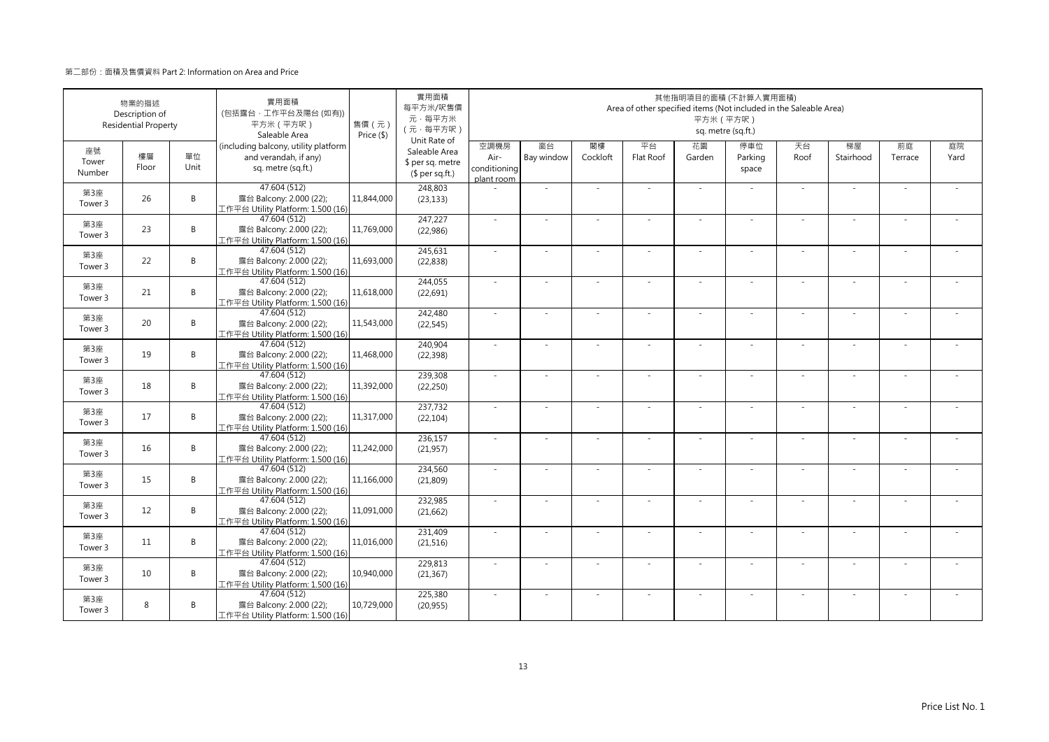|                       | 物業的描述<br>Description of<br><b>Residential Property</b> |            | 實用面積<br>(包括露台·工作平台及陽台(如有))<br>平方米 (平方呎)<br>Saleable Area                            | 售價 (元)<br>Price (\$) | 實用面積<br>每平方米/呎售價<br>元·每平方米<br>(元·每平方呎)<br>Unit Rate of |                                            |                  |                | Area of other specified items (Not included in the Saleable Area) | 平方米 (平方呎)    | 其他指明項目的面積 (不計算入實用面積)<br>sq. metre (sq.ft.) |            |                          |               |            |
|-----------------------|--------------------------------------------------------|------------|-------------------------------------------------------------------------------------|----------------------|--------------------------------------------------------|--------------------------------------------|------------------|----------------|-------------------------------------------------------------------|--------------|--------------------------------------------|------------|--------------------------|---------------|------------|
| 座號<br>Tower<br>Number | 樓層<br>Floor                                            | 單位<br>Unit | (including balcony, utility platform<br>and verandah, if any)<br>sq. metre (sq.ft.) |                      | Saleable Area<br>\$ per sq. metre<br>$$$ per sq.ft.)   | 空調機房<br>Air-<br>conditioning<br>plant room | 窗台<br>Bay window | 閣樓<br>Cockloft | 平台<br>Flat Roof                                                   | 花園<br>Garden | 停車位<br>Parking<br>space                    | 天台<br>Roof | 梯屋<br>Stairhood          | 前庭<br>Terrace | 庭院<br>Yard |
| 第3座<br>Tower 3        | 26                                                     | B          | 47.604 (512)<br>露台 Balcony: 2.000 (22);<br>工作平台 Utility Platform: 1.500 (16)        | 11,844,000           | 248,803<br>(23, 133)                                   |                                            | $\sim$           |                |                                                                   | ÷.           |                                            | ×.         | ×.                       |               |            |
| 第3座<br>Tower 3        | 23                                                     | B          | 47.604 (512)<br>露台 Balcony: 2.000 (22);<br>工作平台 Utility Platform: 1.500 (16)        | 11,769,000           | 247,227<br>(22,986)                                    | $\sim$                                     | ×.               | $\sim$         | ÷.                                                                | ÷.           | $\sim$                                     | ×.         | ×.                       |               |            |
| 第3座<br>Tower 3        | 22                                                     | B          | 47.604 (512)<br>露台 Balcony: 2.000 (22);<br>工作平台 Utility Platform: 1.500 (16)        | 11,693,000           | 245,631<br>(22, 838)                                   | $\sim$                                     | ÷,               |                |                                                                   | ÷            |                                            | $\sim$     | ÷                        |               |            |
| 第3座<br>Tower 3        | 21                                                     | B          | 47.604 (512)<br>露台 Balcony: 2.000 (22);<br>工作平台 Utility Platform: 1.500 (16)        | 11,618,000           | 244,055<br>(22, 691)                                   | $\sim$                                     | $\sim$           |                |                                                                   | ÷,           |                                            | $\sim$     | $\sim$                   |               |            |
| 第3座<br>Tower 3        | 20                                                     | B          | 47.604 (512)<br>露台 Balcony: 2.000 (22);<br>工作平台 Utility Platform: 1.500 (16)        | 11,543,000           | 242,480<br>(22, 545)                                   | $\sim$                                     | $\sim$           |                | $\overline{\phantom{a}}$                                          | $\sim$       | $\sim$                                     | $\sim$     | $\sim$                   |               |            |
| 第3座<br>Tower 3        | 19                                                     | B          | 47.604 (512)<br>露台 Balcony: 2.000 (22);<br>工作平台 Utility Platform: 1.500 (16)        | 11,468,000           | 240,904<br>(22, 398)                                   | $\sim$                                     | ÷,               |                | ÷                                                                 | ä,           |                                            | $\sim$     | ÷,                       |               |            |
| 第3座<br>Tower 3        | 18                                                     | B          | 47.604 (512)<br>露台 Balcony: 2.000 (22);<br>工作平台 Utility Platform: 1.500 (16)        | 11,392,000           | 239,308<br>(22, 250)                                   | ×.                                         | ×.               |                | ÷.                                                                | ä,           |                                            | ×.         | ×.                       |               |            |
| 第3座<br>Tower 3        | 17                                                     | B          | 47.604 (512)<br>露台 Balcony: 2.000 (22);<br>工作平台 Utility Platform: 1.500 (16)        | 11,317,000           | 237,732<br>(22, 104)                                   | $\sim$                                     | ä,               |                |                                                                   |              |                                            | ×.         | ä,                       |               |            |
| 第3座<br>Tower 3        | 16                                                     | B          | 47.604 (512)<br>露台 Balcony: 2.000 (22);<br>工作平台 Utility Platform: 1.500 (16)        | 11,242,000           | 236,157<br>(21, 957)                                   | $\sim$                                     | $\sim$           |                | ÷.                                                                | ÷,           |                                            | $\sim$     | $\sim$                   |               |            |
| 第3座<br>Tower 3        | 15                                                     | B          | 47.604 (512)<br>露台 Balcony: 2.000 (22);<br>工作平台 Utility Platform: 1.500 (16)        | 11,166,000           | 234,560<br>(21, 809)                                   | $\sim$                                     | ×.               |                | ÷.                                                                | ÷.           | $\sim$                                     | $\sim$     | $\bar{a}$                |               |            |
| 第3座<br>Tower 3        | 12                                                     | B          | 47.604 (512)<br>露台 Balcony: 2.000 (22);<br>工作平台 Utility Platform: 1.500 (16)        | 11,091,000           | 232,985<br>(21, 662)                                   | $\sim$                                     | ٠                |                | ٠                                                                 | ÷            |                                            | $\sim$     | $\overline{\phantom{a}}$ |               |            |
| 第3座<br>Tower 3        | 11                                                     | B          | 47.604 (512)<br>露台 Balcony: 2.000 (22);<br>工作平台 Utility Platform: 1.500 (16)        | 11,016,000           | 231,409<br>(21, 516)                                   | $\sim$                                     |                  |                |                                                                   |              |                                            | $\sim$     | ä,                       |               |            |
| 第3座<br>Tower 3        | 10                                                     | B          | 47.604 (512)<br>露台 Balcony: 2.000 (22);<br>工作平台 Utility Platform: 1.500 (16)        | 10,940,000           | 229,813<br>(21, 367)                                   | $\sim$                                     | ×.               | - 1            | $\sim$                                                            | ÷.           | $\sim$                                     | $\sim$     | ×.                       | - 1           |            |
| 第3座<br>Tower 3        | 8                                                      | B          | 47.604 (512)<br>露台 Balcony: 2.000 (22);<br>工作平台 Utility Platform: 1.500 (16)        | 10,729,000           | 225,380<br>(20, 955)                                   | $\sim$                                     | ä,               |                | ÷.                                                                | ÷.           |                                            | ×.         | ä,                       |               |            |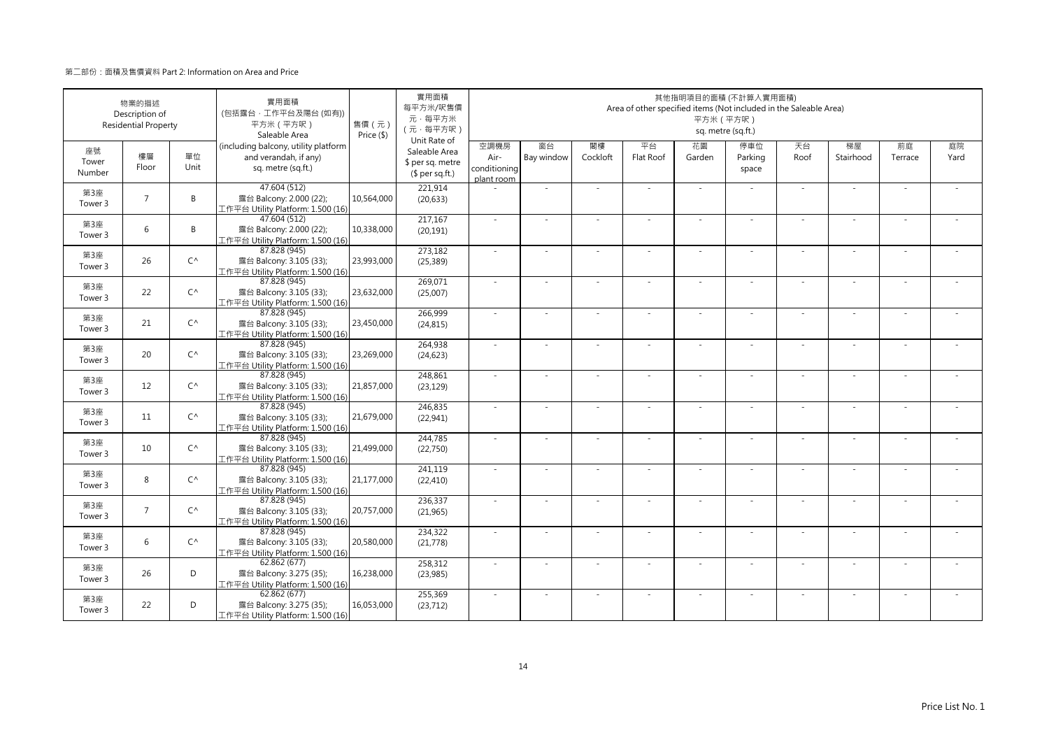|                       | 物業的描述<br>Description of<br><b>Residential Property</b> |              | 實用面積<br>(包括露台·工作平台及陽台(如有))<br>平方米 (平方呎)<br>Saleable Area                            | 售價 (元)<br>Price (\$) | 實用面積<br>每平方米/呎售價<br>元·每平方米<br>(元·每平方呎)<br>Unit Rate of |                                            |                  |                | Area of other specified items (Not included in the Saleable Area) | 平方米 (平方呎)    | 其他指明項目的面積 (不計算入實用面積)<br>sq. metre (sq.ft.) |            |                          |               |            |
|-----------------------|--------------------------------------------------------|--------------|-------------------------------------------------------------------------------------|----------------------|--------------------------------------------------------|--------------------------------------------|------------------|----------------|-------------------------------------------------------------------|--------------|--------------------------------------------|------------|--------------------------|---------------|------------|
| 座號<br>Tower<br>Number | 樓層<br>Floor                                            | 單位<br>Unit   | (including balcony, utility platform<br>and verandah, if any)<br>sq. metre (sq.ft.) |                      | Saleable Area<br>\$ per sq. metre<br>$$$ per sq.ft.)   | 空調機房<br>Air-<br>conditioning<br>plant room | 窗台<br>Bay window | 閣樓<br>Cockloft | 平台<br>Flat Roof                                                   | 花園<br>Garden | 停車位<br>Parking<br>space                    | 天台<br>Roof | 梯屋<br>Stairhood          | 前庭<br>Terrace | 庭院<br>Yard |
| 第3座<br>Tower 3        | $\overline{7}$                                         | B            | 47.604 (512)<br>露台 Balcony: 2.000 (22);<br>工作平台 Utility Platform: 1.500 (16)        | 10,564,000           | 221,914<br>(20, 633)                                   |                                            | $\sim$           |                |                                                                   | ÷.           |                                            | ×.         | ×.                       |               |            |
| 第3座<br>Tower 3        | 6                                                      | B            | 47.604 (512)<br>露台 Balcony: 2.000 (22);<br>工作平台 Utility Platform: 1.500 (16)        | 10,338,000           | 217,167<br>(20, 191)                                   | $\sim$                                     | ×.               | $\sim$         | ÷.                                                                | ÷.           | $\sim$                                     | ×.         | ×.                       |               |            |
| 第3座<br>Tower 3        | 26                                                     | $C^{\wedge}$ | 87.828 (945)<br>露台 Balcony: 3.105 (33);<br>工作平台 Utility Platform: 1.500 (16)        | 23,993,000           | 273,182<br>(25, 389)                                   | $\sim$                                     | ÷,               |                |                                                                   | ÷            |                                            | $\sim$     | ÷                        |               |            |
| 第3座<br>Tower 3        | 22                                                     | $C^{\wedge}$ | 87.828 (945)<br>露台 Balcony: 3.105 (33);<br>工作平台 Utility Platform: 1.500 (16)        | 23,632,000           | 269,071<br>(25,007)                                    | $\sim$                                     | $\sim$           |                |                                                                   | ÷,           |                                            | $\sim$     | $\sim$                   |               |            |
| 第3座<br>Tower 3        | 21                                                     | $C^{\wedge}$ | 87.828 (945)<br>露台 Balcony: 3.105 (33);<br>工作平台 Utility Platform: 1.500 (16)        | 23,450,000           | 266,999<br>(24, 815)                                   | $\sim$                                     | $\sim$           |                | $\overline{\phantom{a}}$                                          | $\sim$       | $\sim$                                     | $\sim$     | $\sim$                   |               |            |
| 第3座<br>Tower 3        | 20                                                     | $C^{\wedge}$ | 87.828 (945)<br>露台 Balcony: 3.105 (33);<br>工作平台 Utility Platform: 1.500 (16)        | 23,269,000           | 264,938<br>(24, 623)                                   | $\sim$                                     | ÷,               |                | ÷                                                                 | ä,           |                                            | $\sim$     | ÷,                       |               |            |
| 第3座<br>Tower 3        | 12                                                     | $C^{\wedge}$ | 87.828 (945)<br>露台 Balcony: 3.105 (33);<br>工作平台 Utility Platform: 1.500 (16)        | 21,857,000           | 248,861<br>(23, 129)                                   | ×.                                         | ×.               |                | ÷.                                                                | ä,           |                                            | ×.         | ×.                       |               |            |
| 第3座<br>Tower 3        | 11                                                     | $C^{\wedge}$ | 87.828 (945)<br>露台 Balcony: 3.105 (33);<br>工作平台 Utility Platform: 1.500 (16)        | 21,679,000           | 246,835<br>(22, 941)                                   | $\sim$                                     | ä,               |                |                                                                   |              |                                            | ×.         | ä,                       |               |            |
| 第3座<br>Tower 3        | 10                                                     | $C^{\wedge}$ | 87.828 (945)<br>露台 Balcony: 3.105 (33);<br>工作平台 Utility Platform: 1.500 (16)        | 21,499,000           | 244,785<br>(22,750)                                    | $\sim$                                     | $\sim$           |                | ÷.                                                                | ÷,           |                                            | $\sim$     | $\sim$                   |               |            |
| 第3座<br>Tower 3        | 8                                                      | $C^{\wedge}$ | 87.828 (945)<br>露台 Balcony: 3.105 (33);<br>工作平台 Utility Platform: 1.500 (16)        | 21,177,000           | 241.119<br>(22, 410)                                   | $\sim$                                     | ×.               |                | ÷.                                                                | ÷.           | $\sim$                                     | $\sim$     | $\bar{a}$                |               |            |
| 第3座<br>Tower 3        | $\overline{7}$                                         | $C^{\wedge}$ | 87.828 (945)<br>露台 Balcony: 3.105 (33);<br>工作平台 Utility Platform: 1.500 (16)        | 20,757,000           | 236,337<br>(21,965)                                    | $\sim$                                     | ٠                |                | ٠                                                                 | ÷            |                                            | $\sim$     | $\overline{\phantom{a}}$ |               |            |
| 第3座<br>Tower 3        | 6                                                      | $C^{\wedge}$ | 87.828 (945)<br>露台 Balcony: 3.105 (33);<br>工作平台 Utility Platform: 1.500 (16)        | 20,580,000           | 234,322<br>(21, 778)                                   | $\sim$                                     |                  |                |                                                                   |              |                                            | $\sim$     | ä,                       |               |            |
| 第3座<br>Tower 3        | 26                                                     | D            | 62.862 (677)<br>露台 Balcony: 3.275 (35);<br>工作平台 Utility Platform: 1.500 (16)        | 16,238,000           | 258,312<br>(23,985)                                    | $\sim$                                     | ×.               | - 1            | $\sim$                                                            | ÷.           | $\sim$                                     | $\sim$     | ×.                       | - 1           |            |
| 第3座<br>Tower 3        | 22                                                     | D            | 62.862 (677)<br>露台 Balcony: 3.275 (35);<br>工作平台 Utility Platform: 1.500 (16)        | 16,053,000           | 255,369<br>(23, 712)                                   | $\sim$                                     | ä,               |                | ÷.                                                                | ÷.           | ×.                                         | ×.         | ä,                       |               |            |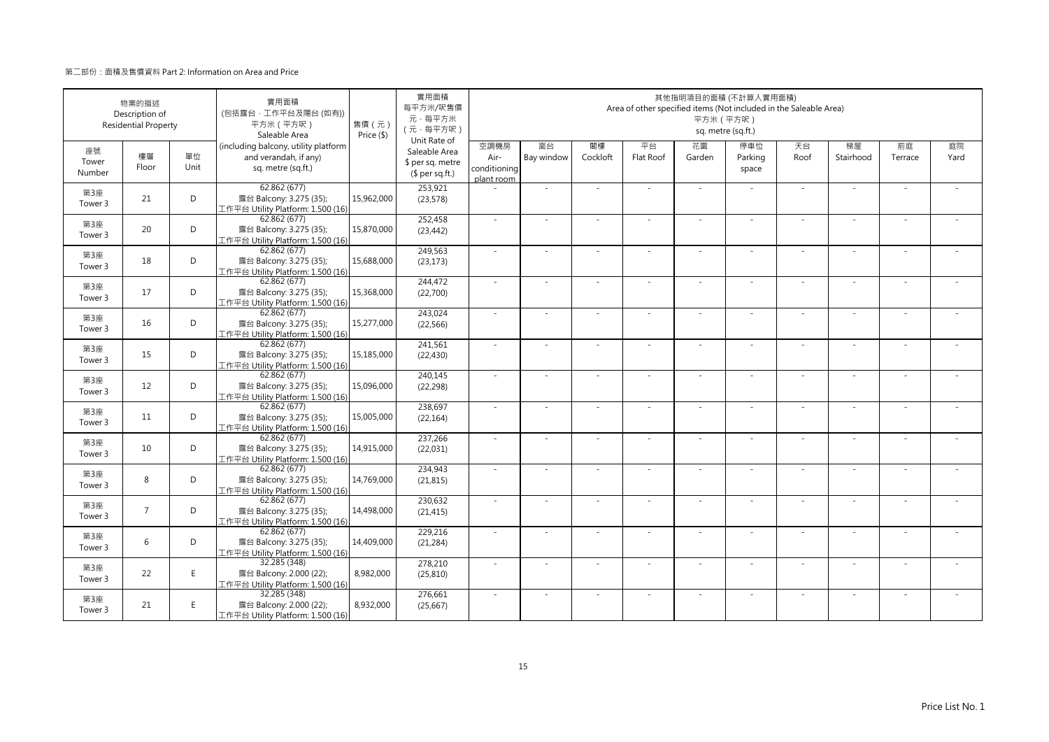|                       | 物業的描述<br>Description of<br><b>Residential Property</b> |            | 實用面積<br>(包括露台·工作平台及陽台(如有))<br>平方米 (平方呎)<br>Saleable Area                            | 售價 (元)<br>Price (\$) | 實用面積<br>每平方米/呎售價<br>元·每平方米<br>(元·每平方呎)<br>Unit Rate of |                                            |                  |                | Area of other specified items (Not included in the Saleable Area) |              | 其他指明項目的面積 (不計算入實用面積)<br>平方米 (平方呎)<br>sq. metre (sq.ft.) |            |                 |               |            |
|-----------------------|--------------------------------------------------------|------------|-------------------------------------------------------------------------------------|----------------------|--------------------------------------------------------|--------------------------------------------|------------------|----------------|-------------------------------------------------------------------|--------------|---------------------------------------------------------|------------|-----------------|---------------|------------|
| 座號<br>Tower<br>Number | 樓層<br>Floor                                            | 單位<br>Unit | (including balcony, utility platform<br>and verandah, if any)<br>sq. metre (sq.ft.) |                      | Saleable Area<br>\$ per sq. metre<br>$$$ per sq.ft.)   | 空調機房<br>Air-<br>conditioning<br>plant room | 窗台<br>Bay window | 閣樓<br>Cockloft | 平台<br>Flat Roof                                                   | 花園<br>Garden | 停車位<br>Parking<br>space                                 | 天台<br>Roof | 梯屋<br>Stairhood | 前庭<br>Terrace | 庭院<br>Yard |
| 第3座<br>Tower 3        | 21                                                     | D          | 62.862(677)<br>露台 Balcony: 3.275 (35);<br>工作平台 Utility Platform: 1.500 (16)         | 15,962,000           | 253,921<br>(23,578)                                    |                                            | $\sim$           |                |                                                                   | ÷,           |                                                         | $\sim$     | $\sim$          |               |            |
| 第3座<br>Tower 3        | 20                                                     | D          | 62.862(677)<br>露台 Balcony: 3.275 (35);<br>工作平台 Utility Platform: 1.500 (16)         | 15,870,000           | 252,458<br>(23, 442)                                   | $\sim$                                     | $\sim$           | $\sim$         | ×                                                                 | ÷.           | $\sim$                                                  | $\sim$     | $\sim$          | $\sim$        |            |
| 第3座<br>Tower 3        | 18                                                     | D          | 62.862(677)<br>露台 Balcony: 3.275 (35);<br>工作平台 Utility Platform: 1.500 (16)         | 15,688,000           | 249,563<br>(23, 173)                                   | $\sim$                                     | ÷,               |                |                                                                   | ٠            |                                                         | $\sim$     | ÷               |               |            |
| 第3座<br>Tower 3        | 17                                                     | D          | 62.862 (677)<br>露台 Balcony: 3.275 (35);<br>工作平台 Utility Platform: 1.500 (16)        | 15,368,000           | 244,472<br>(22,700)                                    | ×.                                         | ä,               |                |                                                                   |              |                                                         | $\sim$     | ä,              |               |            |
| 第3座<br>Tower 3        | 16                                                     | D          | 62.862 (677)<br>露台 Balcony: 3.275 (35);<br>[作平台 Utility Platform: 1.500 (16)        | 15,277,000           | 243,024<br>(22, 566)                                   | $\sim$                                     | $\sim$           |                | ÷.                                                                | ÷.           | $\sim$                                                  | $\sim$     | $\sim$          |               |            |
| 第3座<br>Tower 3        | 15                                                     | D          | 62.862 (677)<br>露台 Balcony: 3.275 (35);<br>工作平台 Utility Platform: 1.500 (16)        | 15,185,000           | 241,561<br>(22, 430)                                   | ×.                                         | ä,               |                | J.                                                                | ä,           |                                                         | ×.         | ×.              |               |            |
| 第3座<br>Tower 3        | 12                                                     | D          | 62.862(677)<br>露台 Balcony: 3.275 (35);<br>工作平台 Utility Platform: 1.500 (16)         | 15,096,000           | 240,145<br>(22, 298)                                   | $\sim$                                     | $\sim$           |                | ÷.                                                                | ÷.           | $\sim$                                                  | $\sim$     | $\bar{a}$       |               |            |
| 第3座<br>Tower 3        | 11                                                     | D          | 62.862(677)<br>露台 Balcony: 3.275 (35);<br>工作平台 Utility Platform: 1.500 (16)         | 15,005,000           | 238,697<br>(22, 164)                                   | ×.                                         |                  |                |                                                                   |              |                                                         | $\sim$     |                 |               |            |
| 第3座<br>Tower 3        | 10                                                     | D          | 62.862(677)<br>露台 Balcony: 3.275 (35);<br>工作平台 Utility Platform: 1.500 (16)         | 14,915,000           | 237,266<br>(22, 031)                                   | $\sim$                                     | ×.               |                | ÷.                                                                | ÷.           | in 1919.                                                | $\sim$     | ×.              |               |            |
| 第3座<br>Tower 3        | 8                                                      | D          | 62.862 (677)<br>露台 Balcony: 3.275 (35);<br>工作平台 Utility Platform: 1.500 (16)        | 14,769,000           | 234,943<br>(21, 815)                                   | $\sim$                                     | ×.               |                | $\sim$                                                            | ÷.           | $\sim$                                                  | $\sim$     | $\sim$          |               |            |
| 第3座<br>Tower 3        | $\overline{7}$                                         | D          | 62.862(677)<br>露台 Balcony: 3.275 (35);<br>工作平台 Utility Platform: 1.500 (16)         | 14,498,000           | 230,632<br>(21, 415)                                   | $\sim$                                     | ÷                |                | ٠                                                                 | ä,           |                                                         | $\sim$     | ä,              |               |            |
| 第3座<br>Tower 3        | 6                                                      | D          | 62.862 (677)<br>露台 Balcony: 3.275 (35);<br>工作平台 Utility Platform: 1.500 (16)        | 14,409,000           | 229,216<br>(21, 284)                                   | $\sim$                                     | ×,               |                | ÷                                                                 | ä,           |                                                         | $\sim$     | ×.              |               |            |
| 第3座<br>Tower 3        | 22                                                     | E.         | 32.285 (348)<br>露台 Balcony: 2.000 (22);<br>工作平台 Utility Platform: 1.500 (16)        | 8,982,000            | 278,210<br>(25, 810)                                   | $\sim$                                     | $\sim$           |                |                                                                   |              |                                                         | $\sim$     | ٠               |               |            |
| 第3座<br>Tower 3        | 21                                                     | E          | 32.285 (348)<br>露台 Balcony: 2.000 (22);<br>工作平台 Utility Platform: 1.500 (16)        | 8,932,000            | 276,661<br>(25,667)                                    | $\sim$                                     | $\sim$           |                | $\overline{\phantom{a}}$                                          | ÷.           |                                                         | $\sim$     | ×.              |               |            |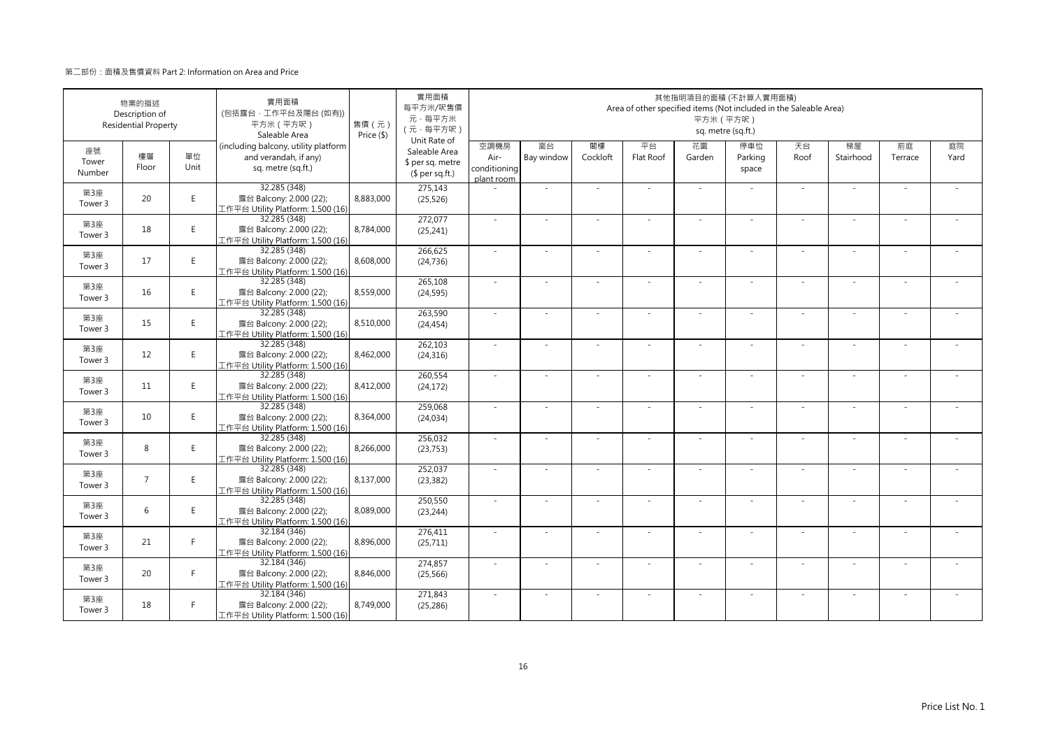|                       | 物業的描述<br>Description of<br><b>Residential Property</b> |            | 實用面積<br>(包括露台·工作平台及陽台(如有))<br>平方米 (平方呎)<br>Saleable Area                            | 售價(元)<br>Price (\$) | 實用面積<br>每平方米/呎售價<br>元·每平方米<br>(元·每平方呎)<br>Unit Rate of |                                            |                          |                | Area of other specified items (Not included in the Saleable Area) | 其他指明項目的面積 (不計算入實用面積)<br>平方米 (平方呎) | sq. metre (sq.ft.)      |            |                          |               |            |
|-----------------------|--------------------------------------------------------|------------|-------------------------------------------------------------------------------------|---------------------|--------------------------------------------------------|--------------------------------------------|--------------------------|----------------|-------------------------------------------------------------------|-----------------------------------|-------------------------|------------|--------------------------|---------------|------------|
| 座號<br>Tower<br>Number | 樓層<br>Floor                                            | 單位<br>Unit | (including balcony, utility platform<br>and verandah, if any)<br>sq. metre (sq.ft.) |                     | Saleable Area<br>\$ per sq. metre<br>(\$ per sq.ft.)   | 空調機房<br>Air-<br>conditioning<br>plant room | 窗台<br>Bay window         | 閣樓<br>Cockloft | 平台<br>Flat Roof                                                   | 花園<br>Garden                      | 停車位<br>Parking<br>space | 天台<br>Roof | 梯屋<br>Stairhood          | 前庭<br>Terrace | 庭院<br>Yard |
| 第3座<br>Tower 3        | 20                                                     | E          | 32.285 (348)<br>露台 Balcony: 2.000 (22);<br>工作平台 Utility Platform: 1.500 (16)        | 8,883,000           | 275,143<br>(25, 526)                                   |                                            | ÷,                       |                |                                                                   | ×.                                |                         | ×.         | ×.                       |               |            |
| 第3座<br>Tower 3        | 18                                                     | E          | 32.285 (348)<br>露台 Balcony: 2.000 (22);<br>工作平台 Utility Platform: 1.500 (16)        | 8,784,000           | 272,077<br>(25, 241)                                   | $\sim$                                     | ×.                       | $\sim$         | ÷.                                                                | ×.                                | $\sim$                  | ×.         | ×.                       | $\sim$        |            |
| 第3座<br>Tower 3        | 17                                                     | E          | 32.285 (348)<br>露台 Balcony: 2.000 (22);<br>工作平台 Utility Platform: 1.500 (16)        | 8,608,000           | 266,625<br>(24, 736)                                   | ×.                                         | ä,                       |                |                                                                   | ÷                                 |                         | $\sim$     | ÷                        |               |            |
| 第3座<br>Tower 3        | 16                                                     | E.         | 32.285 (348)<br>露台 Balcony: 2.000 (22);<br>工作平台 Utility Platform: 1.500 (16)        | 8,559,000           | 265,108<br>(24, 595)                                   | $\sim$                                     | $\overline{\phantom{a}}$ |                |                                                                   | $\overline{a}$                    |                         | $\sim$     | $\overline{\phantom{a}}$ |               |            |
| 第3座<br>Tower 3        | 15                                                     | E.         | 32.285 (348)<br>露台 Balcony: 2.000 (22);<br>[作平台 Utility Platform: 1.500 (16)        | 8,510,000           | 263,590<br>(24, 454)                                   | ×.                                         | $\sim$                   |                | ÷.                                                                | $\sim$                            | $\sim$                  | $\sim$     | $\sim$                   |               |            |
| 第3座<br>Tower 3        | 12                                                     | E.         | 32.285 (348)<br>露台 Balcony: 2.000 (22);<br>L作平台 Utility Platform: 1.500 (16)        | 8,462,000           | 262,103<br>(24, 316)                                   | ×.                                         | i.                       |                | ÷.                                                                | $\sim$                            |                         | $\sim$     | ÷.                       |               |            |
| 第3座<br>Tower 3        | 11                                                     | E          | 32.285 (348)<br>露台 Balcony: 2.000 (22);<br>工作平台 Utility Platform: 1.500 (16)        | 8,412,000           | 260,554<br>(24, 172)                                   | ×.                                         | ×,                       |                | ÷.                                                                | ×.                                |                         | ×.         | ٠                        |               |            |
| 第3座<br>Tower 3        | 10                                                     | E          | 32.285 (348)<br>露台 Balcony: 2.000 (22);<br>工作平台 Utility Platform: 1.500 (16)        | 8,364,000           | 259,068<br>(24, 034)                                   | ÷.                                         | ×,                       |                |                                                                   | ä,                                |                         | ×.         | ٠                        |               |            |
| 第3座<br>Tower 3        | 8                                                      | E          | 32.285 (348)<br>露台 Balcony: 2.000 (22);<br>工作平台 Utility Platform: 1.500 (16)        | 8,266,000           | 256,032<br>(23, 753)                                   | ÷.                                         | $\sim$                   |                | ÷.                                                                | $\sim$                            |                         | $\sim$     | $\sim$                   |               |            |
| 第3座<br>Tower 3        | $\overline{7}$                                         | E.         | 32.285 (348)<br>露台 Balcony: 2.000 (22);<br>工作平台 Utility Platform: 1.500 (16)        | 8,137,000           | 252,037<br>(23, 382)                                   | $\sim$                                     | $\sim$                   |                | ÷,                                                                | $\overline{\phantom{a}}$          | $\sim$                  | $\sim$     | $\sim$                   |               |            |
| 第3座<br>Tower 3        | 6                                                      | E.         | 32.285 (348)<br>露台 Balcony: 2.000 (22);<br>工作平台 Utility Platform: 1.500 (16)        | 8,089,000           | 250,550<br>(23, 244)                                   | ×.                                         | $\sim$                   |                | ٠                                                                 | ٠                                 |                         | $\sim$     | ÷,                       |               |            |
| 第3座<br>Tower 3        | 21                                                     | F.         | 32.184 (346)<br>露台 Balcony: 2.000 (22);<br>工作平台 Utility Platform: 1.500 (16)        | 8,896,000           | 276,411<br>(25, 711)                                   | $\sim$                                     |                          |                |                                                                   |                                   |                         | $\sim$     | ÷,                       |               |            |
| 第3座<br>Tower 3        | 20                                                     | F.         | 32.184 (346)<br>露台 Balcony: 2.000 (22);<br>工作平台 Utility Platform: 1.500 (16)        | 8,846,000           | 274,857<br>(25, 566)                                   | $\sim$                                     | ×.                       | $\sim$         | ÷.                                                                | ×.                                | $\sim$                  | $\sim$     | ٠                        | - 1           |            |
| 第3座<br>Tower 3        | 18                                                     | F.         | 32.184 (346)<br>露台 Balcony: 2.000 (22);<br>工作平台 Utility Platform: 1.500 (16)        | 8,749,000           | 271,843<br>(25, 286)                                   | ÷.                                         | ×,                       |                | ÷.                                                                | ×.                                |                         | ×.         | ٠                        |               |            |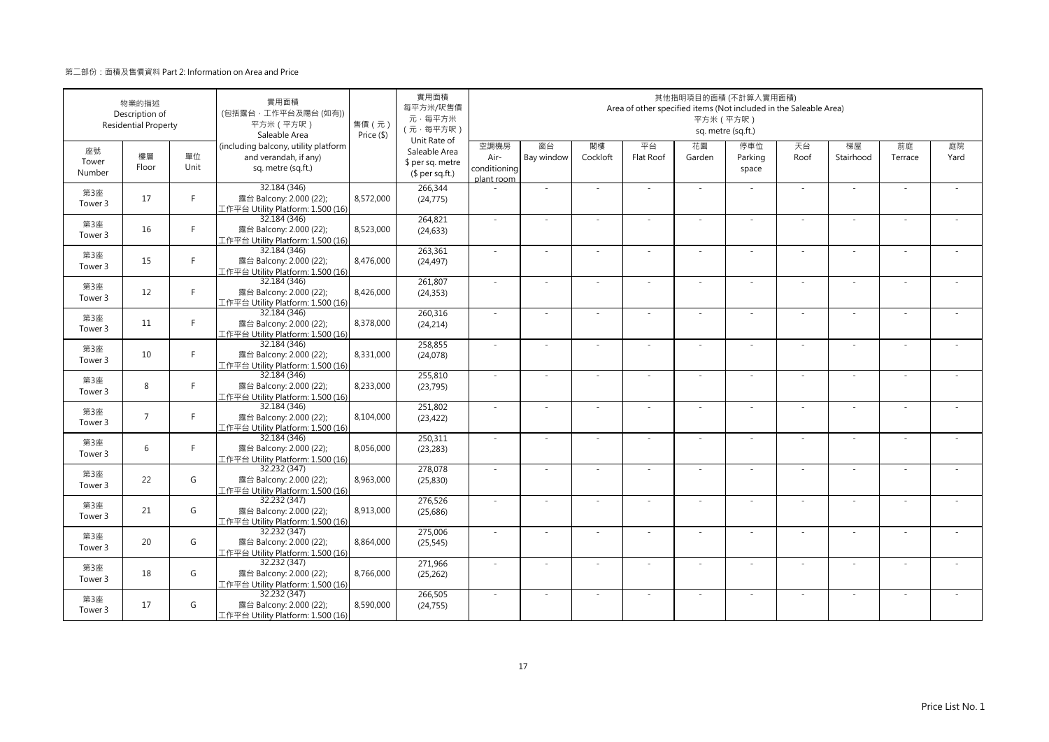|                       | 物業的描述<br>Description of<br><b>Residential Property</b> |            | 實用面積<br>(包括露台·工作平台及陽台(如有))<br>平方米 (平方呎)<br>Saleable Area                            | 售價(元)<br>Price (\$) | 實用面積<br>每平方米/呎售價<br>元·每平方米<br>(元·每平方呎)                               |                                            |                  |                | Area of other specified items (Not included in the Saleable Area) | 其他指明項目的面積 (不計算入實用面積)<br>平方米 (平方呎) | sq. metre (sq.ft.)      |            |                          |               |            |
|-----------------------|--------------------------------------------------------|------------|-------------------------------------------------------------------------------------|---------------------|----------------------------------------------------------------------|--------------------------------------------|------------------|----------------|-------------------------------------------------------------------|-----------------------------------|-------------------------|------------|--------------------------|---------------|------------|
| 座號<br>Tower<br>Number | 樓層<br>Floor                                            | 單位<br>Unit | (including balcony, utility platform<br>and verandah, if any)<br>sq. metre (sq.ft.) |                     | Unit Rate of<br>Saleable Area<br>\$ per sq. metre<br>$$$ per sq.ft.) | 空調機房<br>Air-<br>conditioning<br>plant room | 窗台<br>Bay window | 閣樓<br>Cockloft | 平台<br>Flat Roof                                                   | 花園<br>Garden                      | 停車位<br>Parking<br>space | 天台<br>Roof | 梯屋<br>Stairhood          | 前庭<br>Terrace | 庭院<br>Yard |
| 第3座<br>Tower 3        | 17                                                     | F.         | 32.184 (346)<br>露台 Balcony: 2.000 (22);<br>工作平台 Utility Platform: 1.500 (16)        | 8,572,000           | 266,344<br>(24, 775)                                                 |                                            | ÷,               |                |                                                                   | $\sim$                            |                         | $\sim$     | ä,                       |               |            |
| 第3座<br>Tower 3        | 16                                                     | F.         | 32.184 (346)<br>露台 Balcony: 2.000 (22);<br>工作平台 Utility Platform: 1.500 (16)        | 8,523,000           | 264,821<br>(24, 633)                                                 | $\sim$                                     | $\sim$           | $\sim$         | ÷.                                                                | $\overline{\phantom{a}}$          | $\sim$                  | $\sim$     | $\overline{\phantom{a}}$ | $\sim$        |            |
| 第3座<br>Tower 3        | 15                                                     | F.         | 32.184 (346)<br>露台 Balcony: 2.000 (22);<br>工作平台 Utility Platform: 1.500 (16)        | 8,476,000           | 263,361<br>(24, 497)                                                 | $\sim$                                     | i.               |                |                                                                   | ٠                                 |                         | $\sim$     | ÷                        |               |            |
| 第3座<br>Tower 3        | 12                                                     | F.         | 32.184 (346)<br>露台 Balcony: 2.000 (22);<br>工作平台 Utility Platform: 1.500 (16)        | 8,426,000           | 261,807<br>(24, 353)                                                 | ×.                                         | ×,               |                |                                                                   |                                   |                         | ×.         | ä,                       |               |            |
| 第3座<br>Tower 3        | 11                                                     | F.         | 32.184 (346)<br>露台 Balcony: 2.000 (22);<br>[作平台 Utility Platform: 1.500 (16)        | 8,378,000           | 260,316<br>(24, 214)                                                 | $\sim$                                     | $\sim$           |                | ÷.                                                                | $\sim$                            | $\sim$                  | $\sim$     | $\sim$                   |               |            |
| 第3座<br>Tower 3        | 10                                                     | F.         | 32.184 (346)<br>露台 Balcony: 2.000 (22);<br>[作平台 Utility Platform: 1.500 (16)        | 8,331,000           | 258,855<br>(24,078)                                                  | ×.                                         | ×,               |                | ÷,                                                                | ÷,                                |                         | ×.         | $\overline{\phantom{a}}$ |               |            |
| 第3座<br>Tower 3        | 8                                                      | F.         | 32.184 (346)<br>露台 Balcony: 2.000 (22);<br>工作平台 Utility Platform: 1.500 (16)        | 8,233,000           | 255,810<br>(23, 795)                                                 | $\sim$                                     | $\sim$           |                | ÷.                                                                | ×.                                | $\sim$                  | $\sim$     | $\sim$                   |               |            |
| 第3座<br>Tower 3        | $\overline{7}$                                         | F          | 32.184 (346)<br>露台 Balcony: 2.000 (22);<br>工作平台 Utility Platform: 1.500 (16)        | 8,104,000           | 251,802<br>(23, 422)                                                 | ×.                                         |                  |                |                                                                   |                                   |                         | $\sim$     |                          |               |            |
| 第3座<br>Tower 3        | 6                                                      | F          | 32.184 (346)<br>露台 Balcony: 2.000 (22);<br>工作平台 Utility Platform: 1.500 (16)        | 8,056,000           | 250,311<br>(23, 283)                                                 | $\sim$                                     | ×.               |                | ÷.                                                                | $\sim$                            |                         | ×.         | ٠                        |               |            |
| 第3座<br>Tower 3        | 22                                                     | G          | 32.232 (347)<br>露台 Balcony: 2.000 (22);<br>工作平台 Utility Platform: 1.500 (16)        | 8,963,000           | 278,078<br>(25, 830)                                                 | $\sim$                                     | $\sim$           |                | ÷.                                                                | ×.                                | $\sim$                  | $\sim$     | $\sim$                   |               |            |
| 第3座<br>Tower 3        | 21                                                     | G          | 32.232 (347)<br>露台 Balcony: 2.000 (22);<br>工作平台 Utility Platform: 1.500 (16)        | 8,913,000           | 276,526<br>(25, 686)                                                 | ÷.                                         | i.               |                | ÷.                                                                | $\overline{\phantom{a}}$          |                         | $\sim$     | ÷,                       |               |            |
| 第3座<br>Tower 3        | 20                                                     | G          | 32.232 (347)<br>露台 Balcony: 2.000 (22);<br>工作平台 Utility Platform: 1.500 (16)        | 8.864.000           | 275,006<br>(25, 545)                                                 | $\sim$                                     | ×.               |                |                                                                   | ä,                                |                         | $\sim$     | ×.                       |               |            |
| 第3座<br>Tower 3        | 18                                                     | G          | 32.232 (347)<br>露台 Balcony: 2.000 (22);<br>工作平台 Utility Platform: 1.500 (16)        | 8,766,000           | 271,966<br>(25, 262)                                                 | ×.                                         | $\sim$           |                |                                                                   | ٠                                 |                         | $\sim$     | $\sim$                   |               |            |
| 第3座<br>Tower 3        | 17                                                     | G          | 32.232 (347)<br>露台 Balcony: 2.000 (22);<br>工作平台 Utility Platform: 1.500 (16)        | 8,590,000           | 266,505<br>(24, 755)                                                 | ×.                                         | ÷,               |                |                                                                   | ×.                                |                         | $\sim$     | ×.                       |               |            |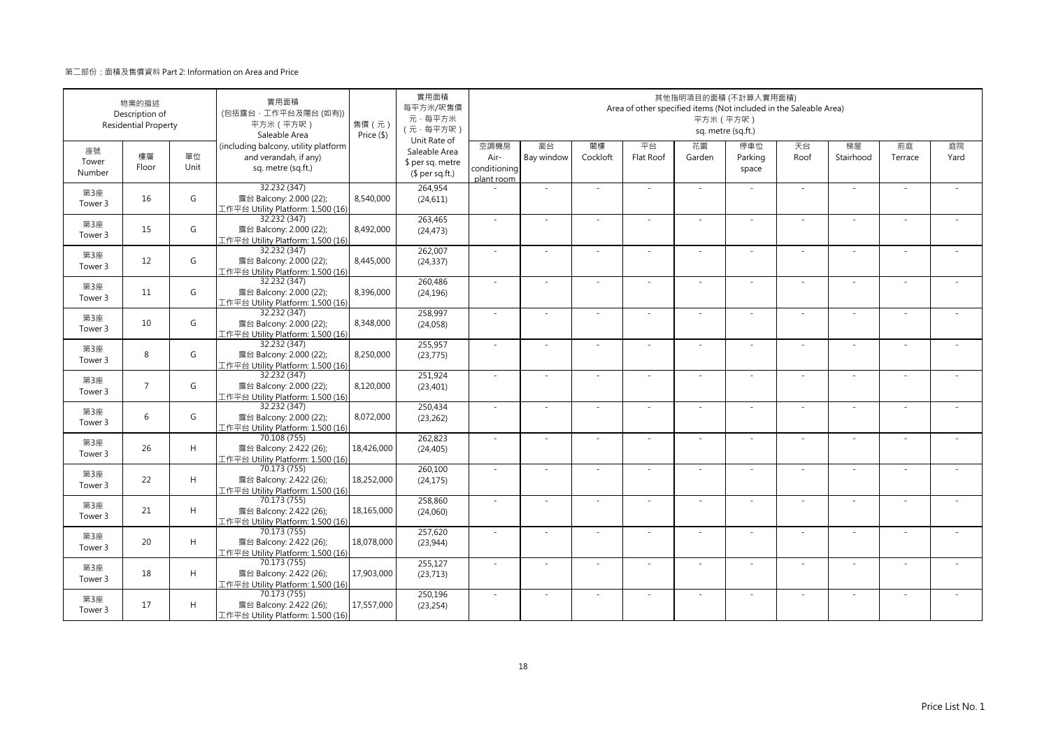|                       | 物業的描述<br>Description of<br><b>Residential Property</b> |             | 實用面積<br>(包括露台·工作平台及陽台(如有))<br>平方米 (平方呎)<br>Saleable Area                            | 售價(元)<br>Price (\$) | 實用面積<br>每平方米/呎售價<br>元·每平方米<br>(元·每平方呎)<br>Unit Rate of |                                            |                  |                | Area of other specified items (Not included in the Saleable Area) | 其他指明項目的面積 (不計算入實用面積)<br>平方米 (平方呎) | sq. metre (sq.ft.)      |            |                          |               |            |
|-----------------------|--------------------------------------------------------|-------------|-------------------------------------------------------------------------------------|---------------------|--------------------------------------------------------|--------------------------------------------|------------------|----------------|-------------------------------------------------------------------|-----------------------------------|-------------------------|------------|--------------------------|---------------|------------|
| 座號<br>Tower<br>Number | 樓層<br>Floor                                            | 單位<br>Unit  | (including balcony, utility platform<br>and verandah, if any)<br>sq. metre (sq.ft.) |                     | Saleable Area<br>\$ per sq. metre<br>$$$ per sq.ft.)   | 空調機房<br>Air-<br>conditioning<br>plant room | 窗台<br>Bay window | 閣樓<br>Cockloft | 平台<br>Flat Roof                                                   | 花園<br>Garden                      | 停車位<br>Parking<br>space | 天台<br>Roof | 梯屋<br>Stairhood          | 前庭<br>Terrace | 庭院<br>Yard |
| 第3座<br>Tower 3        | 16                                                     | G           | 32.232 (347)<br>露台 Balcony: 2.000 (22);<br>工作平台 Utility Platform: 1.500 (16)        | 8,540,000           | 264,954<br>(24, 611)                                   |                                            | ÷,               |                |                                                                   | $\sim$                            |                         | $\sim$     | ä,                       |               |            |
| 第3座<br>Tower 3        | 15                                                     | G           | 32.232 (347)<br>露台 Balcony: 2.000 (22);<br>工作平台 Utility Platform: 1.500 (16)        | 8,492,000           | 263,465<br>(24, 473)                                   | $\sim$                                     | $\sim$           | $\sim$         | ×                                                                 | $\overline{\phantom{a}}$          | $\sim$                  | $\sim$     | $\overline{\phantom{a}}$ | $\sim$        |            |
| 第3座<br>Tower 3        | 12                                                     | G           | 32.232 (347)<br>露台 Balcony: 2.000 (22);<br>工作平台 Utility Platform: 1.500 (16)        | 8,445,000           | 262,007<br>(24, 337)                                   | $\sim$                                     | i.               |                |                                                                   | ٠                                 |                         | $\sim$     | ÷                        |               |            |
| 第3座<br>Tower 3        | 11                                                     | G           | 32.232 (347)<br>露台 Balcony: 2.000 (22);<br>工作平台 Utility Platform: 1.500 (16)        | 8,396,000           | 260,486<br>(24, 196)                                   | ×.                                         | ÷,               |                |                                                                   |                                   |                         | ×.         | ä,                       |               |            |
| 第3座<br>Tower 3        | 10                                                     | G           | 32.232 (347)<br>露台 Balcony: 2.000 (22);<br>L作平台 Utility Platform: 1.500 (16)        | 8,348,000           | 258,997<br>(24, 058)                                   | $\sim$                                     | $\sim$           |                | ÷.                                                                | $\sim$                            | $\sim$                  | $\sim$     | $\sim$                   |               |            |
| 第3座<br>Tower 3        | 8                                                      | G           | 32.232 (347)<br>露台 Balcony: 2.000 (22);<br>L作平台 Utility Platform: 1.500 (16)        | 8,250,000           | 255,957<br>(23, 775)                                   | ÷.                                         | ÷,               |                | ÷,                                                                | ÷,                                |                         | ×.         | $\overline{\phantom{a}}$ |               |            |
| 第3座<br>Tower 3        | $\overline{7}$                                         | G           | 32.232 (347)<br>露台 Balcony: 2.000 (22);<br>工作平台 Utility Platform: 1.500 (16)        | 8,120,000           | 251,924<br>(23, 401)                                   | $\sim$                                     | $\sim$           |                | ÷.                                                                | ×.                                | $\sim$                  | $\sim$     | $\sim$                   | $\sim$        |            |
| 第3座<br>Tower 3        | 6                                                      | G           | 32.232 (347)<br>露台 Balcony: 2.000 (22);<br>工作平台 Utility Platform: 1.500 (16)        | 8,072,000           | 250,434<br>(23, 262)                                   | ×.                                         |                  |                |                                                                   |                                   |                         | $\sim$     |                          |               |            |
| 第3座<br>Tower 3        | 26                                                     | H           | 70.108 (755)<br>露台 Balcony: 2.422 (26);<br>工作平台 Utility Platform: 1.500 (16)        | 18,426,000          | 262,823<br>(24, 405)                                   | $\sim$                                     | ×.               |                | ÷.                                                                | $\sim$                            |                         | ×.         | ×.                       |               |            |
| 第3座<br>Tower 3        | 22                                                     | H           | 70.173 (755)<br>露台 Balcony: 2.422 (26);<br>工作平台 Utility Platform: 1.500 (16)        | 18,252,000          | 260,100<br>(24, 175)                                   | $\sim$                                     | $\sim$           |                | ÷.                                                                | $\overline{\phantom{a}}$          | $\sim$                  | $\sim$     | $\sim$                   |               |            |
| 第3座<br>Tower 3        | 21                                                     | $\mathsf H$ | 70.173 (755)<br>露台 Balcony: 2.422 (26);<br>工作平台 Utility Platform: 1.500 (16)        | 18,165,000          | 258,860<br>(24,060)                                    | ÷.                                         | $\sim$           |                | $\overline{\phantom{a}}$                                          | $\overline{\phantom{a}}$          |                         | $\sim$     | ÷,                       |               |            |
| 第3座<br>Tower 3        | 20                                                     | H           | 70.173 (755)<br>露台 Balcony: 2.422 (26);<br>工作平台 Utility Platform: 1.500 (16)        | 18,078,000          | 257,620<br>(23, 944)                                   | $\sim$                                     | ×.               |                |                                                                   | ä,                                |                         | $\sim$     | ×.                       |               |            |
| 第3座<br>Tower 3        | 18                                                     | H           | 70.173 (755)<br>露台 Balcony: 2.422 (26);<br>工作平台 Utility Platform: 1.500 (16)        | 17,903,000          | 255,127<br>(23, 713)                                   | ×.                                         | $\sim$           |                |                                                                   | ٠                                 |                         | $\sim$     | ٠                        |               |            |
| 第3座<br>Tower 3        | 17                                                     | H           | 70.173 (755)<br>露台 Balcony: 2.422 (26);<br>工作平台 Utility Platform: 1.500 (16)        | 17,557,000          | 250,196<br>(23, 254)                                   | ×.                                         | ÷,               |                |                                                                   | ×.                                |                         | $\sim$     | ×.                       |               |            |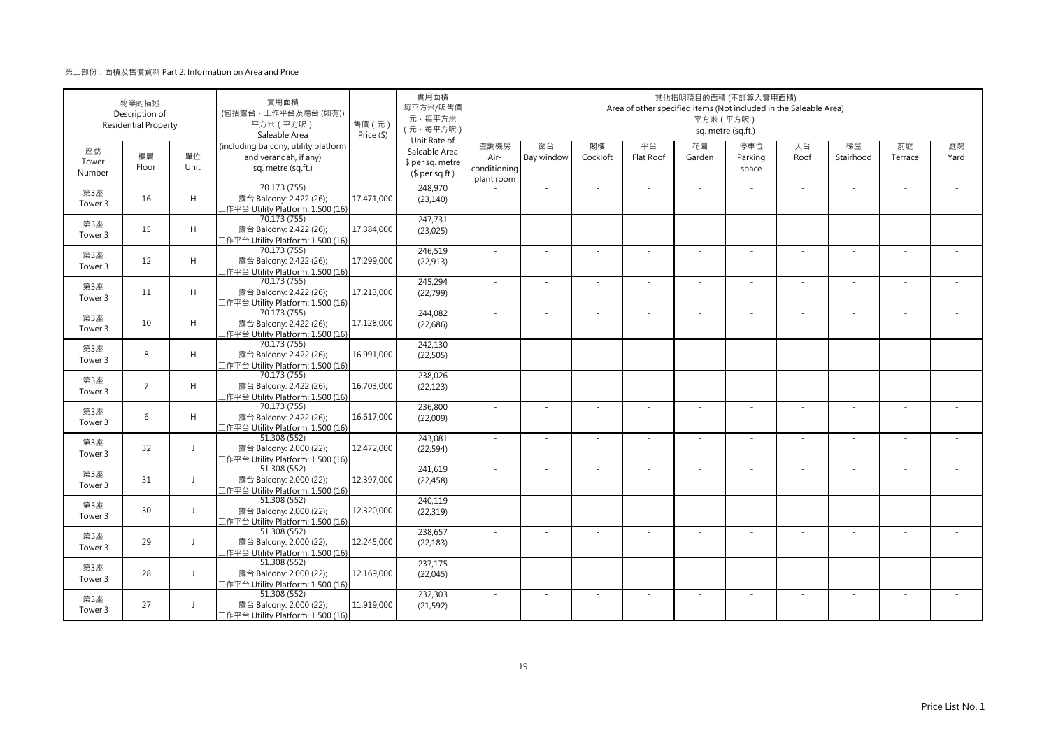|                       | 物業的描述<br>Description of<br><b>Residential Property</b> |              | 實用面積<br>(包括露台·工作平台及陽台(如有))<br>平方米 (平方呎)<br>Saleable Area                            | 售價(元)<br>Price (\$) | 實用面積<br>每平方米/呎售價<br>元·每平方米<br>(元·每平方呎)<br>Unit Rate of |                                            |                          |                | Area of other specified items (Not included in the Saleable Area) | 其他指明項目的面積 (不計算入實用面積)<br>平方米 (平方呎) | sq. metre (sq.ft.)      |            |                          |               |            |
|-----------------------|--------------------------------------------------------|--------------|-------------------------------------------------------------------------------------|---------------------|--------------------------------------------------------|--------------------------------------------|--------------------------|----------------|-------------------------------------------------------------------|-----------------------------------|-------------------------|------------|--------------------------|---------------|------------|
| 座號<br>Tower<br>Number | 樓層<br>Floor                                            | 單位<br>Unit   | (including balcony, utility platform<br>and verandah, if any)<br>sq. metre (sq.ft.) |                     | Saleable Area<br>\$ per sq. metre<br>(\$ per sq.ft.)   | 空調機房<br>Air-<br>conditioning<br>plant room | 窗台<br>Bay window         | 閣樓<br>Cockloft | 平台<br>Flat Roof                                                   | 花園<br>Garden                      | 停車位<br>Parking<br>space | 天台<br>Roof | 梯屋<br>Stairhood          | 前庭<br>Terrace | 庭院<br>Yard |
| 第3座<br>Tower 3        | 16                                                     | H            | 70.173 (755)<br>露台 Balcony: 2.422 (26);<br>工作平台 Utility Platform: 1.500 (16)        | 17,471,000          | 248,970<br>(23, 140)                                   |                                            | ÷,                       |                |                                                                   | ×.                                |                         | ×.         | ×.                       |               |            |
| 第3座<br>Tower 3        | 15                                                     | $\mathsf H$  | 70.173 (755)<br>露台 Balcony: 2.422 (26);<br>工作平台 Utility Platform: 1.500 (16)        | 17,384,000          | 247,731<br>(23, 025)                                   | $\sim$                                     | ×.                       | $\sim$         | ÷.                                                                | ×.                                | $\sim$                  | ×.         | ×.                       | $\sim$        |            |
| 第3座<br>Tower 3        | 12                                                     | H            | 70.173 (755)<br>露台 Balcony: 2.422 (26);<br>工作平台 Utility Platform: 1.500 (16)        | 17,299,000          | 246,519<br>(22, 913)                                   | ×.                                         | ä,                       |                |                                                                   | ÷                                 |                         | $\sim$     | ÷                        |               |            |
| 第3座<br>Tower 3        | 11                                                     | H            | 70.173 (755)<br>露台 Balcony: 2.422 (26);<br>工作平台 Utility Platform: 1.500 (16)        | 17,213,000          | 245,294<br>(22, 799)                                   | $\sim$                                     | $\overline{\phantom{a}}$ |                |                                                                   | $\overline{a}$                    |                         | $\sim$     | $\overline{\phantom{a}}$ |               |            |
| 第3座<br>Tower 3        | 10                                                     | H            | 70.173 (755)<br>露台 Balcony: 2.422 (26);<br>工作平台 Utility Platform: 1.500 (16)        | 17,128,000          | 244,082<br>(22, 686)                                   | ×.                                         | $\sim$                   |                | ÷.                                                                | $\sim$                            | $\sim$                  | $\sim$     | ×.                       |               |            |
| 第3座<br>Tower 3        | 8                                                      | H            | 70.173 (755)<br>露台 Balcony: 2.422 (26);<br>工作平台 Utility Platform: 1.500 (16)        | 16,991,000          | 242,130<br>(22, 505)                                   | ×.                                         | i.                       |                | ÷.                                                                | $\sim$                            |                         | $\sim$     | ÷.                       |               |            |
| 第3座<br>Tower 3        | $\overline{7}$                                         | H            | 70.173 (755)<br>露台 Balcony: 2.422 (26);<br>工作平台 Utility Platform: 1.500 (16)        | 16,703,000          | 238,026<br>(22, 123)                                   | ×.                                         | ÷,                       |                | ÷.                                                                | ×.                                |                         | ×.         | ä,                       |               |            |
| 第3座<br>Tower 3        | 6                                                      | H            | 70.173 (755)<br>露台 Balcony: 2.422 (26);<br>工作平台 Utility Platform: 1.500 (16)        | 16,617,000          | 236,800<br>(22,009)                                    | ÷.                                         | ×.                       |                |                                                                   | ä,                                |                         | ×.         | ٠                        |               |            |
| 第3座<br>Tower 3        | 32                                                     | $\mathsf{J}$ | 51.308 (552)<br>露台 Balcony: 2.000 (22);<br>工作平台 Utility Platform: 1.500 (16)        | 12,472,000          | 243,081<br>(22, 594)                                   | ÷.                                         | $\sim$                   |                | ÷.                                                                | $\sim$                            |                         | $\sim$     | ä,                       |               |            |
| 第3座<br>Tower 3        | 31                                                     | $\mathsf{J}$ | 51.308 (552)<br>露台 Balcony: 2.000 (22);<br>工作平台 Utility Platform: 1.500 (16)        | 12,397,000          | 241.619<br>(22, 458)                                   | $\sim$                                     | $\sim$                   |                | ÷,                                                                | $\overline{\phantom{a}}$          | $\sim$                  | $\sim$     | $\sim$                   |               |            |
| 第3座<br>Tower 3        | 30                                                     | $\perp$      | 51.308 (552)<br>露台 Balcony: 2.000 (22);<br>工作平台 Utility Platform: 1.500 (16)        | 12,320,000          | 240,119<br>(22, 319)                                   | ×.                                         | $\sim$                   |                | ٠                                                                 | ٠                                 |                         | $\sim$     | ÷,                       |               |            |
| 第3座<br>Tower 3        | 29                                                     | $\perp$      | 51.308 (552)<br>露台 Balcony: 2.000 (22);<br>工作平台 Utility Platform: 1.500 (16)        | 12,245,000          | 238,657<br>(22, 183)                                   | $\sim$                                     |                          |                |                                                                   |                                   |                         | $\sim$     | ÷,                       |               |            |
| 第3座<br>Tower 3        | 28                                                     | $\mathbf{I}$ | 51.308 (552)<br>露台 Balcony: 2.000 (22);<br>工作平台 Utility Platform: 1.500 (16)        | 12,169,000          | 237,175<br>(22,045)                                    | $\sim$                                     | ×.                       | $\sim$         | ÷.                                                                | ×.                                | $\sim$                  | $\sim$     | ٠                        | - 1           |            |
| 第3座<br>Tower 3        | 27                                                     | $\mathbf{J}$ | 51.308 (552)<br>露台 Balcony: 2.000 (22);<br>工作平台 Utility Platform: 1.500 (16)        | 11,919,000          | 232,303<br>(21, 592)                                   | ÷.                                         | ×.                       |                |                                                                   | ×.                                |                         | ×.         | ٠                        |               |            |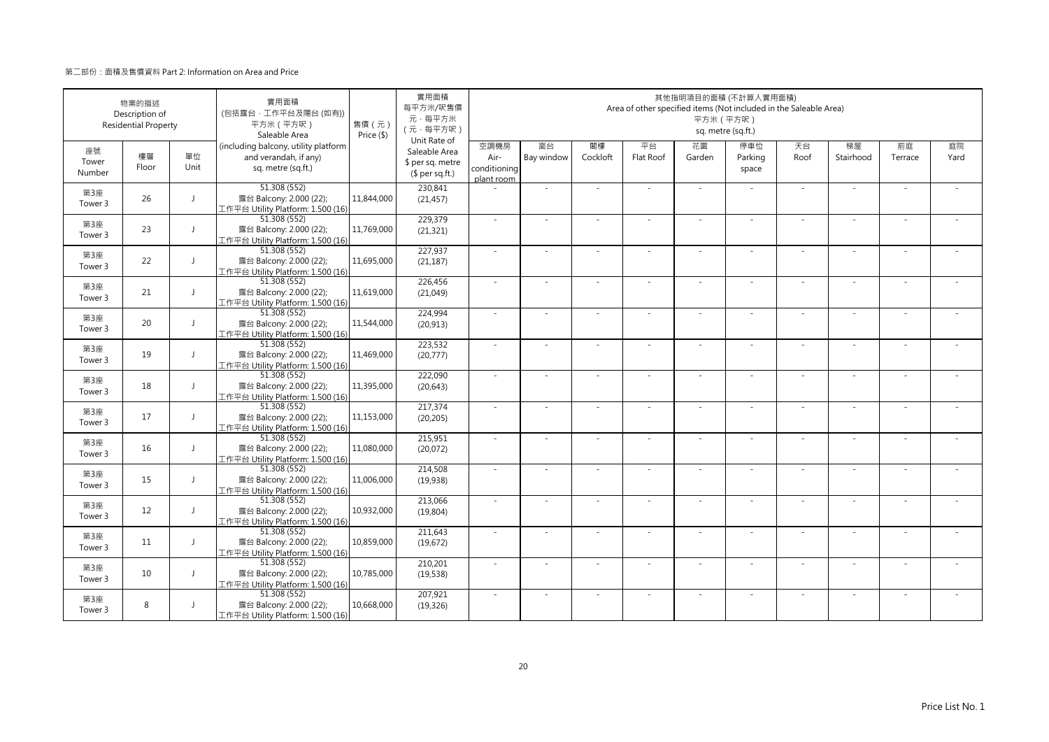|                       | 物業的描述<br>Description of<br><b>Residential Property</b> |                | 實用面積<br>(包括露台·工作平台及陽台(如有))<br>平方米 (平方呎)<br>Saleable Area                            | 售價(元)<br>Price (\$) | 實用面積<br>每平方米/呎售價<br>元·每平方米<br>(元·每平方呎)<br>Unit Rate of |                                            |                  |                | Area of other specified items (Not included in the Saleable Area) | 其他指明項目的面積 (不計算入實用面積)<br>平方米 (平方呎) | sq. metre (sq.ft.)      |            |                          |               |            |
|-----------------------|--------------------------------------------------------|----------------|-------------------------------------------------------------------------------------|---------------------|--------------------------------------------------------|--------------------------------------------|------------------|----------------|-------------------------------------------------------------------|-----------------------------------|-------------------------|------------|--------------------------|---------------|------------|
| 座號<br>Tower<br>Number | 樓層<br>Floor                                            | 單位<br>Unit     | (including balcony, utility platform<br>and verandah, if any)<br>sq. metre (sq.ft.) |                     | Saleable Area<br>\$ per sq. metre<br>$$$ per sq.ft.)   | 空調機房<br>Air-<br>conditioning<br>plant room | 窗台<br>Bay window | 閣樓<br>Cockloft | 平台<br>Flat Roof                                                   | 花園<br>Garden                      | 停車位<br>Parking<br>space | 天台<br>Roof | 梯屋<br>Stairhood          | 前庭<br>Terrace | 庭院<br>Yard |
| 第3座<br>Tower 3        | 26                                                     | $\mathbf{I}$   | 51.308 (552)<br>露台 Balcony: 2.000 (22);<br>工作平台 Utility Platform: 1.500 (16)        | 11,844,000          | 230,841<br>(21, 457)                                   |                                            | ÷,               |                |                                                                   | $\sim$                            |                         | $\sim$     | ä,                       |               |            |
| 第3座<br>Tower 3        | 23                                                     | $\mathsf{J}$   | 51.308 (552)<br>露台 Balcony: 2.000 (22);<br>工作平台 Utility Platform: 1.500 (16)        | 11,769,000          | 229.379<br>(21, 321)                                   | $\sim$                                     | $\sim$           | $\sim$         | ÷.                                                                | $\overline{\phantom{a}}$          | $\sim$                  | $\sim$     | $\overline{\phantom{a}}$ | $\sim$        |            |
| 第3座<br>Tower 3        | 22                                                     | $\mathbf{I}$   | 51.308 (552)<br>露台 Balcony: 2.000 (22);<br>工作平台 Utility Platform: 1.500 (16)        | 11,695,000          | 227,937<br>(21, 187)                                   | $\sim$                                     | i.               |                |                                                                   | ٠                                 |                         | $\sim$     | ÷                        |               |            |
| 第3座<br>Tower 3        | 21                                                     | $\perp$        | 51.308 (552)<br>露台 Balcony: 2.000 (22);<br>工作平台 Utility Platform: 1.500 (16)        | 11,619,000          | 226,456<br>(21,049)                                    | ×.                                         | ×.               |                |                                                                   |                                   |                         | ×.         | ä,                       |               |            |
| 第3座<br>Tower 3        | 20                                                     | $\mathbf{I}$   | 51.308 (552)<br>露台 Balcony: 2.000 (22);<br>[作平台 Utility Platform: 1.500 (16)        | 11,544,000          | 224,994<br>(20, 913)                                   | $\sim$                                     | $\sim$           |                | ÷.                                                                | $\sim$                            | $\sim$                  | $\sim$     | $\sim$                   |               |            |
| 第3座<br>Tower 3        | 19                                                     | J              | 51.308 (552)<br>露台 Balcony: 2.000 (22);<br>L作平台 Utility Platform: 1.500 (16)        | 11,469,000          | 223,532<br>(20,777)                                    | ÷.                                         | ÷,               |                | ÷,                                                                | ÷,                                |                         | ×.         | ×.                       |               |            |
| 第3座<br>Tower 3        | 18                                                     | $\mathbf{J}$   | 51.308 (552)<br>露台 Balcony: 2.000 (22);<br>工作平台 Utility Platform: 1.500 (16)        | 11,395,000          | 222,090<br>(20, 643)                                   | ÷.                                         | $\sim$           |                | ÷.                                                                | ×.                                | $\sim$                  | $\sim$     | $\sim$                   |               |            |
| 第3座<br>Tower 3        | 17                                                     | $\mathbf{I}$   | 51.308 (552)<br>露台 Balcony: 2.000 (22);<br>工作平台 Utility Platform: 1.500 (16)        | 11,153,000          | 217,374<br>(20, 205)                                   | ×.                                         |                  |                |                                                                   |                                   |                         | $\sim$     |                          |               |            |
| 第3座<br>Tower 3        | 16                                                     | J              | 51.308 (552)<br>露台 Balcony: 2.000 (22);<br>工作平台 Utility Platform: 1.500 (16)        | 11,080,000          | 215,951<br>(20,072)                                    | $\sim$                                     | ×.               |                | ÷.                                                                | $\sim$                            |                         | ×.         | ×.                       |               |            |
| 第3座<br>Tower 3        | 15                                                     | $\mathsf{J}$   | 51.308 (552)<br>露台 Balcony: 2.000 (22);<br>工作平台 Utility Platform: 1.500 (16)        | 11,006,000          | 214,508<br>(19,938)                                    | $\sim$                                     | $\sim$           |                | ÷.                                                                | $\overline{\phantom{a}}$          | $\sim$                  | $\sim$     | $\sim$                   |               |            |
| 第3座<br>Tower 3        | 12                                                     | $\overline{1}$ | 51.308 (552)<br>露台 Balcony: 2.000 (22);<br>工作平台 Utility Platform: 1.500 (16)        | 10,932,000          | 213,066<br>(19, 804)                                   | ÷.                                         | i.               |                | ÷.                                                                | $\overline{\phantom{a}}$          |                         | $\sim$     | ÷,                       |               |            |
| 第3座<br>Tower 3        | 11                                                     | J              | 51.308 (552)<br>露台 Balcony: 2.000 (22);<br>工作平台 Utility Platform: 1.500 (16)        | 10,859,000          | 211,643<br>(19,672)                                    | $\sim$                                     | ×.               |                |                                                                   | ä,                                |                         | $\sim$     | ×.                       |               |            |
| 第3座<br>Tower 3        | 10                                                     | J              | 51.308 (552)<br>露台 Balcony: 2.000 (22);<br>工作平台 Utility Platform: 1.500 (16)        | 10,785,000          | 210,201<br>(19, 538)                                   | ×.                                         | $\sim$           |                |                                                                   | ٠                                 |                         | $\sim$     | ٠                        |               |            |
| 第3座<br>Tower 3        | 8                                                      | $\mathbf{J}$   | 51.308 (552)<br>露台 Balcony: 2.000 (22);<br>工作平台 Utility Platform: 1.500 (16)        | 10,668,000          | 207,921<br>(19, 326)                                   | ×.                                         | ÷,               |                |                                                                   | ×.                                |                         | $\sim$     | ×.                       |               |            |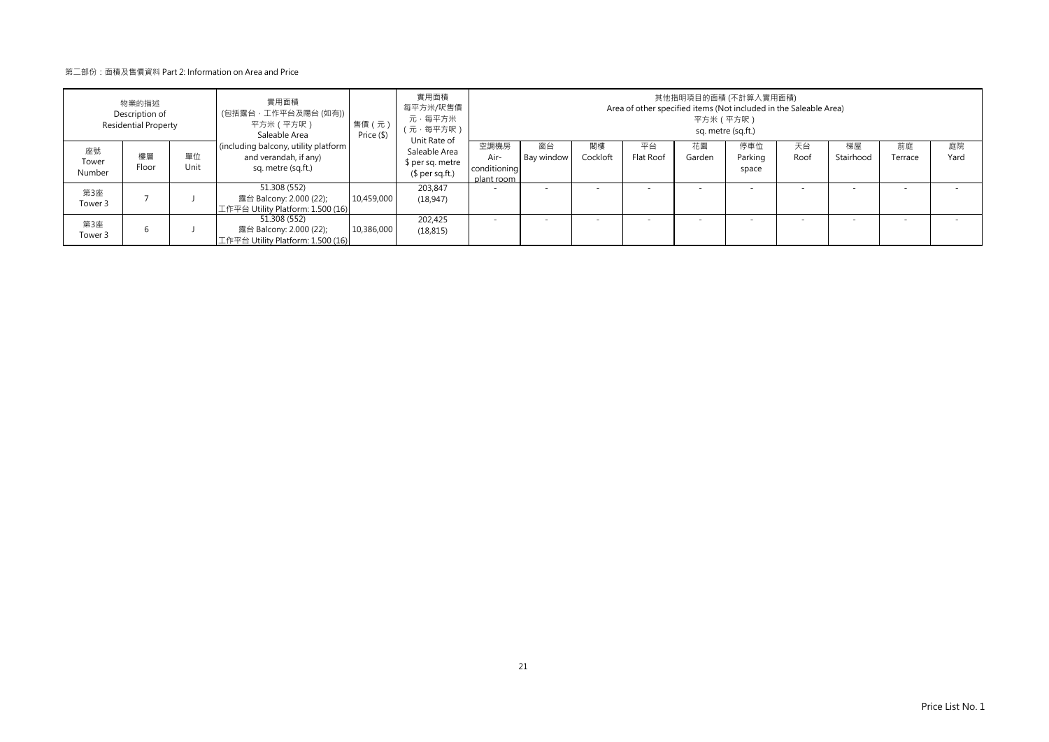|                       | 物業的描述<br>Description of<br><b>Residential Property</b> |            | 實用面積<br>(包括露台‧工作平台及陽台 (如有))┃<br>平方米(平方呎)<br>Saleable Area                           | 售價 (元)<br>Price (\$) | 實用面積<br>每平方米/呎售價<br>元·每平方米<br>(元·每平方呎)                               |                                            |                  |                          | Area of other specified items (Not included in the Saleable Area) |              | 其他指明項目的面積 (不計算入實用面積)<br>平方米 (平方呎)<br>sq. metre (sq.ft.) |            |                 |                          |            |
|-----------------------|--------------------------------------------------------|------------|-------------------------------------------------------------------------------------|----------------------|----------------------------------------------------------------------|--------------------------------------------|------------------|--------------------------|-------------------------------------------------------------------|--------------|---------------------------------------------------------|------------|-----------------|--------------------------|------------|
| 座號<br>Tower<br>Number | 樓層<br>Floor                                            | 單位<br>Unit | (including balcony, utility platform<br>and verandah, if any)<br>sq. metre (sq.ft.) |                      | Unit Rate of<br>Saleable Area<br>\$ per sq. metre<br>$$per sq.ft.$ ) | 空調機房<br>Air-<br>conditioning<br>plant room | 窗台<br>Bay window | 閣樓<br>Cockloft           | 平台<br>Flat Roof                                                   | 花園<br>Garden | 停車位<br>Parking<br>space                                 | 天台<br>Roof | 梯屋<br>Stairhood | 前庭<br>Terrace            | 庭院<br>Yard |
| 第3座<br>Tower 3        |                                                        |            | 51.308 (552)<br>露台 Balcony: 2.000 (22);<br>工作平台 Utility Platform: 1.500 (16)        | 10,459,000           | 203.847<br>(18, 947)                                                 |                                            |                  |                          |                                                                   |              |                                                         |            |                 | $\overline{\phantom{a}}$ |            |
| 第3座<br>Tower 3        |                                                        |            | 51.308 (552)<br>露台 Balcony: 2.000 (22);<br>工作平台 Utility Platform: 1.500 (16)        | 10,386,000           | 202.425<br>(18, 815)                                                 |                                            |                  | $\overline{\phantom{a}}$ |                                                                   |              | $\overline{\phantom{a}}$                                |            |                 |                          |            |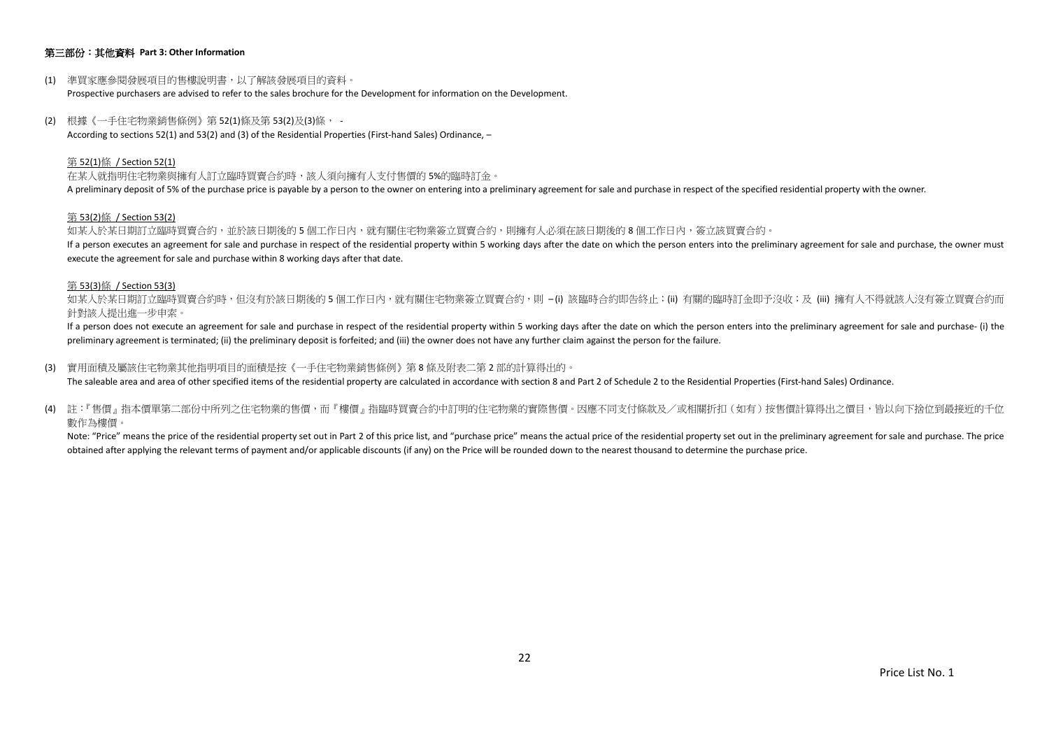## 第三部份:其他資料 **Part 3: Other Information**

- (1) 準買家應參閱發展項目的售樓說明書,以了解該發展項目的資料。 Prospective purchasers are advised to refer to the sales brochure for the Development for information on the Development.
- (2) 根據《一手住宅物業銷售條例》第 52(1)條及第 53(2)及(3)條, According to sections 52(1) and 53(2) and (3) of the Residential Properties (First-hand Sales) Ordinance, –

#### 第 52(1)條 / Section 52(1)

在某人就指明住宅物業與擁有人訂立臨時買賣合約時,該人須向擁有人支付售價的 5%的臨時訂金。 A preliminary deposit of 5% of the purchase price is payable by a person to the owner on entering into a preliminary agreement for sale and purchase in respect of the specified residential property with the owner.

#### 第 53(2)條 / Section 53(2)

如某人於某日期訂立臨時買賣合約,並於該日期後的5個工作日內,就有關住宅物業簽立買賣合約,則擁有人必須在該日期後的8個工作日内,簽立該買賣合約。 If a person executes an agreement for sale and purchase in respect of the residential property within 5 working days after the date on which the person enters into the preliminary agreement for sale and purchase, the owner execute the agreement for sale and purchase within 8 working days after that date.

#### 第 53(3)條 / Section 53(3)

如某人於某日期訂立臨時買賣合約時,但沒有於該日期後的 5 個工作日内,就有關住宅物業簽立買賣合約,則 –(i) 該臨時合約即告終止;(ii) 有關的臨時訂金即予沒收;及 (iii) 擁有人不得就該人沒有簽立買賣合約而 針對該人提出進一步申索。

If a person does not execute an agreement for sale and purchase in respect of the residential property within 5 working days after the date on which the person enters into the preliminary agreement for sale and purchase- ( preliminary agreement is terminated; (ii) the preliminary deposit is forfeited; and (iii) the owner does not have any further claim against the person for the failure.

(3) 實用面積及屬該住宅物業其他指明項目的面積是按《一手住宅物業銷售條例》第 8 條及附表二第 2 部的計算得出的。

The saleable area and area of other specified items of the residential property are calculated in accordance with section 8 and Part 2 of Schedule 2 to the Residential Properties (First-hand Sales) Ordinance.

(4) 註:『售價』指本價單第二部份中所列之住宅物業的售價,而『樓價』指臨時買賣合約中訂明的住宅物業的實際售價。因應不同支付條款及/或相關折扣(如有)按售價計算得出之價目,皆以向下捨位到最接近的千位 數作為樓價。

Note: "Price" means the price of the residential property set out in Part 2 of this price list, and "purchase price" means the actual price of the residential property set out in the preliminary agreement for sale and purc obtained after applying the relevant terms of payment and/or applicable discounts (if any) on the Price will be rounded down to the nearest thousand to determine the purchase price.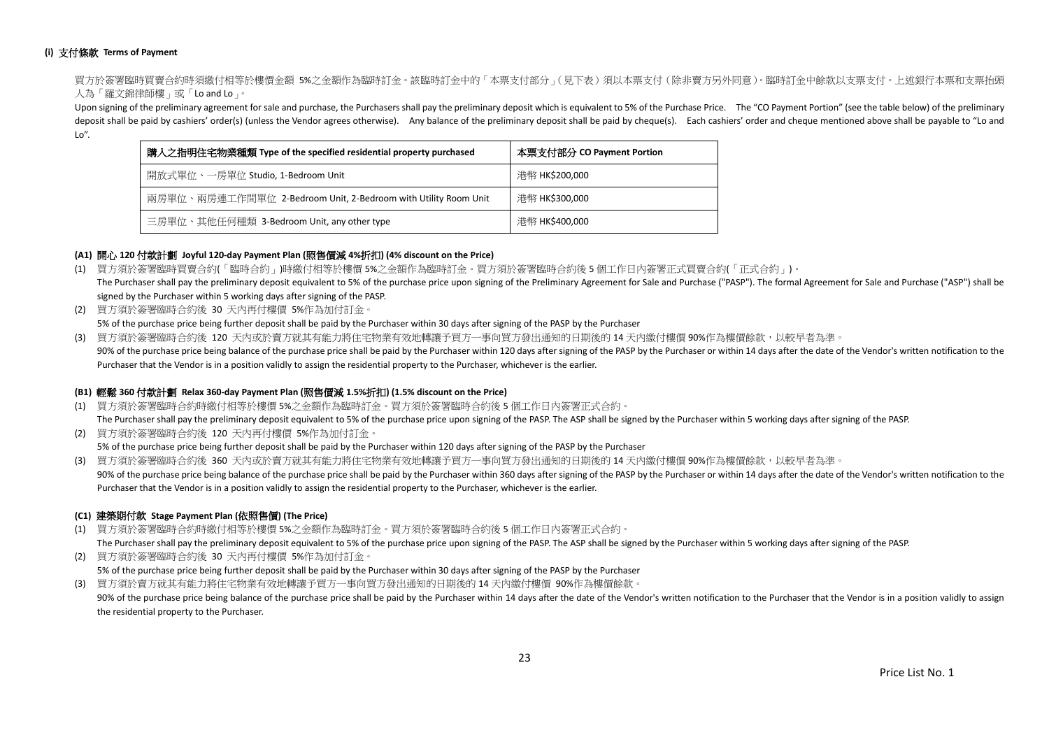## **(i)** 支付條款 **Terms of Payment**

買方於簽署臨時買賣合約時須繳付相等於樓價金額 5%之金額作為臨時訂金。該臨時訂金中的「本票支付部分」(見下表)須以本票支付(除非賣方另外同意)。臨時訂金中餘款以支票支付。上述銀行本票和支票抬頭 人為「羅文錦律師樓」或「Lo and Lo」。

Upon signing of the preliminary agreement for sale and purchase, the Purchasers shall pay the preliminary deposit which is equivalent to 5% of the Purchase Price. The "CO Payment Portion" (see the table below) of the preli deposit shall be paid by cashiers' order(s) (unless the Vendor agrees otherwise). Any balance of the preliminary deposit shall be paid by cheque(s). Each cashiers' order and cheque mentioned above shall be payable to "Lo a Lo".

| 購入之指明住宅物業種類 Type of the specified residential property purchased | 本票支付部分 CO Payment Portion |
|------------------------------------------------------------------|---------------------------|
| 開放式單位、一房單位 Studio, 1-Bedroom Unit                                | 港幣 HK\$200,000            |
| 兩房單位、兩房連工作間單位 2-Bedroom Unit, 2-Bedroom with Utility Room Unit   | 港幣 HK\$300,000            |
| 三房單位、其他任何種類 3-Bedroom Unit, any other type                       | 港幣 HK\$400,000            |

## **(A1)** 開心 **120** 付款計劃 **Joyful 120-day Payment Plan (**照售價減 **4%**折扣**) (4% discount on the Price)**

- (1) 買方須於簽署臨時買賣合約(「臨時合約」)時繳付相等於樓價 5%之金額作為臨時訂金。買方須於簽署臨時合約後 5 個工作日內簽署正式買賣合約(「正式合約」)。 The Purchaser shall pay the preliminary deposit equivalent to 5% of the purchase price upon signing of the Preliminary Agreement for Sale and Purchase ("PASP"). The formal Agreement for Sale and Purchase ("ASP") shall be signed by the Purchaser within 5 working days after signing of the PASP.
- (2) 買方須於簽署臨時合約後 30 天內再付樓價 5%作為加付訂金。

5% of the purchase price being further deposit shall be paid by the Purchaser within 30 days after signing of the PASP by the Purchaser

(3) 買方須於簽署臨時合約後 120 天內或於賣方就其有能力將住宅物業有效地轉讓予買方一事向買方發出通知的日期後的 14 天內繳付樓價 90%作為樓價餘款,以較早者為準。 90% of the purchase price being balance of the purchase price shall be paid by the Purchaser within 120 days after signing of the PASP by the Purchaser or within 14 days after the date of the Vendor's written notification Purchaser that the Vendor is in a position validly to assign the residential property to the Purchaser, whichever is the earlier.

## **(B1)** 輕鬆 **360** 付款計劃 **Relax 360-day Payment Plan (**照售價減 **1.5%**折扣**) (1.5% discount on the Price)**

(1) 買方須於簽署臨時合約時繳付相等於樓價 5%之金額作為臨時訂金。買方須於簽署臨時合約後 5 個工作日內簽署正式合約。

The Purchaser shall pay the preliminary deposit equivalent to 5% of the purchase price upon signing of the PASP. The ASP shall be signed by the Purchaser within 5 working days after signing of the PASP. (2) 買方須於簽署臨時合約後 120 天內再付樓價 5%作為加付訂金。

5% of the purchase price being further deposit shall be paid by the Purchaser within 120 days after signing of the PASP by the Purchaser

(3) 買方須於簽署臨時合約後 360 天內或於賣方就其有能力將住宅物業有效地轉讓予買方一事向買方發出通知的日期後的 14 天內繳付樓價 90%作為樓價餘款,以較早者為準。 90% of the purchase price being balance of the purchase price shall be paid by the Purchaser within 360 days after signing of the PASP by the Purchaser or within 14 days after the date of the Vendor's written notification Purchaser that the Vendor is in a position validly to assign the residential property to the Purchaser, whichever is the earlier.

## **(C1)** 建築期付款 **Stage Payment Plan (**依照售價**) (The Price)**

(1) 買方須於簽署臨時合約時繳付相等於樓價 5%之金額作為臨時訂金。買方須於簽署臨時合約後 5 個工作日內簽署正式合約。

The Purchaser shall pay the preliminary deposit equivalent to 5% of the purchase price upon signing of the PASP. The ASP shall be signed by the Purchaser within 5 working days after signing of the PASP.

- (2) 買方須於簽署臨時合約後 30 天內再付樓價 5%作為加付訂金。
- 5% of the purchase price being further deposit shall be paid by the Purchaser within 30 days after signing of the PASP by the Purchaser

(3) 買方須於賣方就其有能力將住宅物業有效地轉讓予買方一事向買方發出通知的日期後的 14 天內繳付樓價 90%作為樓價餘款。 90% of the purchase price being balance of the purchase price shall be paid by the Purchaser within 14 days after the date of the Vendor's written notification to the Purchaser that the Vendor is in a position validly to a the residential property to the Purchaser.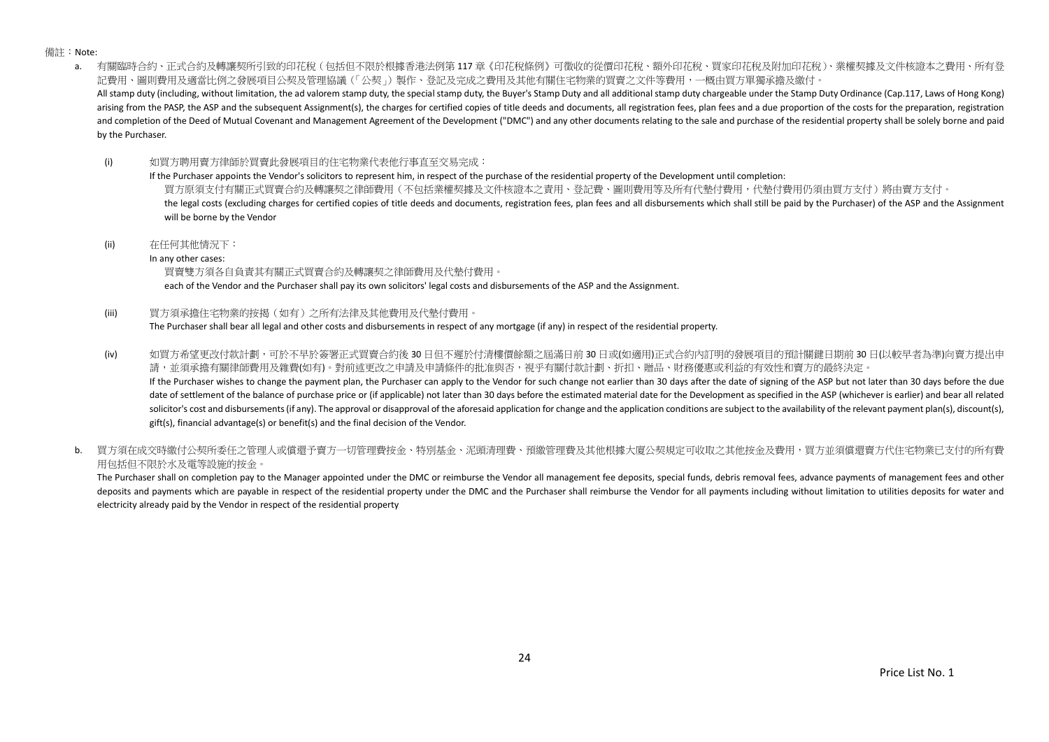備註:Note:

a. 有關臨時合約、正式合約及轉讓契所引致的印花稅(包括但不限於根據香港法例第 117 章《印花稅條例》可徵收的從價印花稅、額外印花稅、買家印花稅及附加印花稅)、業權契據及文件核證本之費用、所有登 記費用、圖則費用及適當比例之發展項目公契及管理協議(「公契」)製作、登記及完成之費用及其他有關住宅物業的買賣之文件等費用,一概由買方單獨承擔及繳付。 All stamp duty (including, without limitation, the ad valorem stamp duty, the special stamp duty, the Buyer's Stamp Duty and all additional stamp duty chargeable under the Stamp Duty Ordinance (Cap.117, Laws of Hong Kong) arising from the PASP, the ASP and the subsequent Assignment(s), the charges for certified copies of title deeds and documents, all registration fees, plan fees and a due proportion of the costs for the preparation, regist and completion of the Deed of Mutual Covenant and Management Agreement of the Development ("DMC") and any other documents relating to the sale and purchase of the residential property shall be solely borne and paid by the Purchaser.

(i) 如買方聘用賣方律師於買賣此發展項目的住宅物業代表他行事直至交易完成:

If the Purchaser appoints the Vendor's solicitors to represent him, in respect of the purchase of the residential property of the Development until completion: 買方原須支付有關正式買賣合約及轉讓契之律師費用(不包括業權契據及文件核證本之責用、登記費、圖則費用等及所有代墊付費用,代墊付費用仍須由買方支付)將由賣方支付。 the legal costs (excluding charges for certified copies of title deeds and documents, registration fees, plan fees and all disbursements which shall still be paid by the Purchaser) of the ASP and the Assignment will be borne by the Vendor

(ii) 在任何其他情況下:

In any other cases:

買賣雙方須各自負責其有關正式買賣合約及轉讓契之律師費用及代墊付費用。

each of the Vendor and the Purchaser shall pay its own solicitors' legal costs and disbursements of the ASP and the Assignment.

(iii) 買方須承擔住宅物業的按揭(如有)之所有法律及其他費用及代墊付費用。

The Purchaser shall bear all legal and other costs and disbursements in respect of any mortgage (if any) in respect of the residential property.

(iv) 如買方希望更改付款計劃,可於不早於簽署正式買賣合約後 30 日但不遲於付清樓價餘額之屆滿日前 30 日或(如適用)正式合約內訂明的發展項目的預計關鍵日期前 30 日(以較早者為準)向賣方提出申 請,並須承擔有關律師費用及雜費(如有)。對前述更改之申請及申請條件的批准與否,視乎有關付款計劃、折扣、贈品、財務優惠或利益的有效性和賣方的最終決定。 If the Purchaser wishes to change the payment plan, the Purchaser can apply to the Vendor for such change not earlier than 30 days after the date of signing of the ASP but not later than 30 days before the due

date of settlement of the balance of purchase price or (if applicable) not later than 30 days before the estimated material date for the Development as specified in the ASP (whichever is earlier) and bear all related solicitor's cost and disbursements (if any). The approval or disapproval of the aforesaid application for change and the application conditions are subject to the availability of the relevant payment plan(s), discount(s), gift(s), financial advantage(s) or benefit(s) and the final decision of the Vendor.

b. 冒方須在成交時繳付公契所委任之管理人或償還予賣方一切管理費按金、特別基金、泥頭清理費、預繳管理費及其他根據大廈公契規定可收取之其他按金及費用,買方並須償還賣方代住宅物業已支付的所有費 用包括但不限於水及電等設施的按金。

The Purchaser shall on completion pay to the Manager appointed under the DMC or reimburse the Vendor all management fee deposits, special funds, debris removal fees, advance payments of management fees and other deposits and payments which are payable in respect of the residential property under the DMC and the Purchaser shall reimburse the Vendor for all payments including without limitation to utilities deposits for water and electricity already paid by the Vendor in respect of the residential property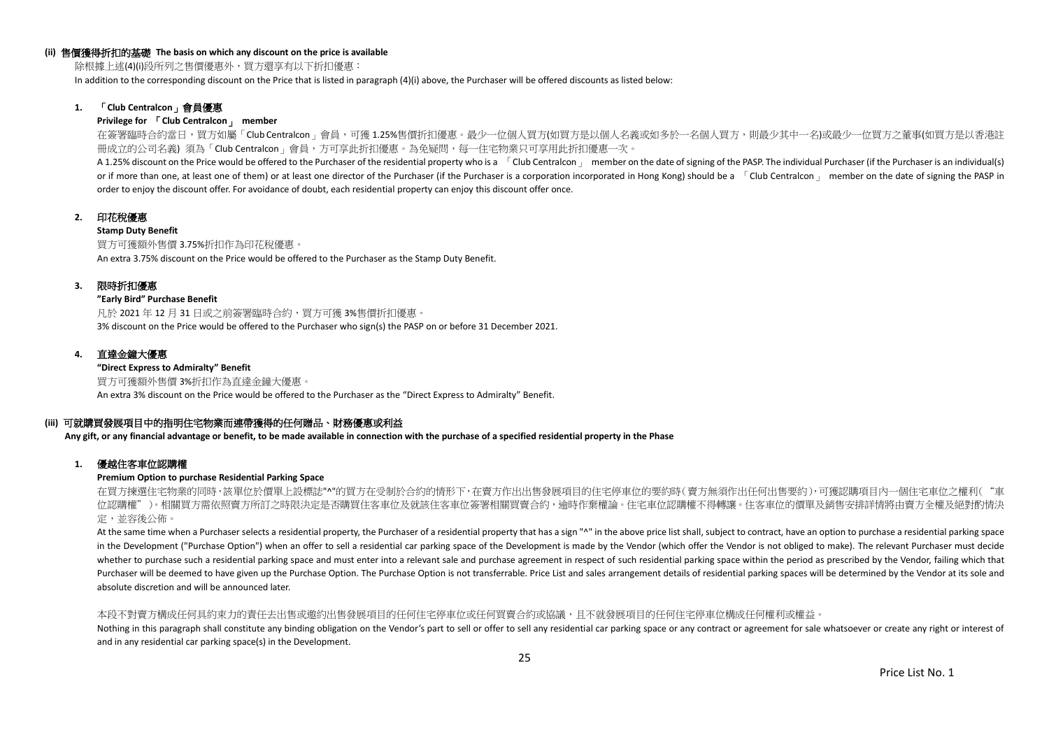#### **(ii)** 售價獲得折扣的基礎 **The basis on which any discount on the price is available**

除根據上述(4)(i)段所列之售價優惠外,買方還享有以下折扣優惠:

In addition to the corresponding discount on the Price that is listed in paragraph (4)(i) above, the Purchaser will be offered discounts as listed below:

## **1.** 「**Club Centralcon**」會員優惠

#### **Privilege for** 「**Club Centralcon**」 **member**

在簽署臨時合約當日,買方如屬「Club Centralcon」會員,可獲 1.25%售價折扣優惠。最少一位個人買方(如買方是以個人名義或如多於一名個人買方,則最少其中一名)或最少一位買方之董事(如買方是以香港註 冊成立的公司名義) 須為「Club Centralcon」會員,方可享此折扣優惠。為免疑問,每一住宅物業只可享用此折扣優惠一次。

A 1.25% discount on the Price would be offered to the Purchaser of the residential property who is a [Club Centralcon ] member on the date of signing of the PASP. The individual Purchaser (if the Purchaser is an individual or if more than one, at least one of them) or at least one director of the Purchaser (if the Purchaser is a corporation incorporated in Hong Kong) should be a  $\overline{C}$ Club Centralcon  $\overline{C}$  member on the date of signing order to enjoy the discount offer. For avoidance of doubt, each residential property can enjoy this discount offer once.

## **2.** 印花稅優惠

#### **Stamp Duty Benefit**

買方可獲額外售價 3.75%折扣作為印花稅優惠。 An extra 3.75% discount on the Price would be offered to the Purchaser as the Stamp Duty Benefit.

#### **3.** 限時折扣優惠

#### **"Early Bird" Purchase Benefit**

凡於 2021 年 12 月 31 日或之前簽署臨時合約,買方可獲 3%售價折扣優惠。 3% discount on the Price would be offered to the Purchaser who sign(s) the PASP on or before 31 December 2021.

## **4.** 直達金鐘大優惠

**"Direct Express to Admiralty" Benefit** 買方可獲額外售價 3%折扣作為直達金鐘大優惠。 An extra 3% discount on the Price would be offered to the Purchaser as the "Direct Express to Admiralty" Benefit.

## **(iii)** 可就購買發展項目中的指明住宅物業而連帶獲得的任何贈品、財務優惠或利益

**Any gift, or any financial advantage or benefit, to be made available in connection with the purchase of a specified residential property in the Phase**

#### **1.** 優越住客車位認購權

## **Premium Option to purchase Residential Parking Space**

在買方揀選住宅物業的同時,該單位於價單上設標誌"^"的買方在受制於合約的情形下,在賣方作出出售發展項目的住宅停車位的要約時(賣方無須作出任何出售要約),可獲認購項目內一個住宅車位之權利("車 位認購權")。相關買方需依照賣方所訂之時限決定是否購買住客車位及就該住客車位簽署相關買賣合約,逾時作棄權論。住宅車位認購權不得轉讓。住客車位的價單及銷售安排詳情將由賣方全權及絕對酌情決 定,並容後公佈。

At the same time when a Purchaser selects a residential property, the Purchaser of a residential property that has a sign "^" in the above price list shall, subject to contract, have an option to purchase a residential par in the Development ("Purchase Option") when an offer to sell a residential car parking space of the Development is made by the Vendor (which offer the Vendor is not obliged to make). The relevant Purchaser must decide whether to purchase such a residential parking space and must enter into a relevant sale and purchase agreement in respect of such residential parking space within the period as prescribed by the Vendor, failing which that Purchaser will be deemed to have given up the Purchase Option. The Purchase Option is not transferrable. Price List and sales arrangement details of residential parking spaces will be determined by the Vendor at its sole a absolute discretion and will be announced later.

#### 本段不對賣方構成任何具約束力的責任去出售或邀約出售發展項目的任何住宅停車位或任何買賣合約或協議,且不就發展項目的任何住宅停車位構成任何權利或權益。

Nothing in this paragraph shall constitute any binding obligation on the Vendor's part to sell or offer to sell any residential car parking space or any contract or agreement for sale whatsoever or create any right or inte and in any residential car parking space(s) in the Development.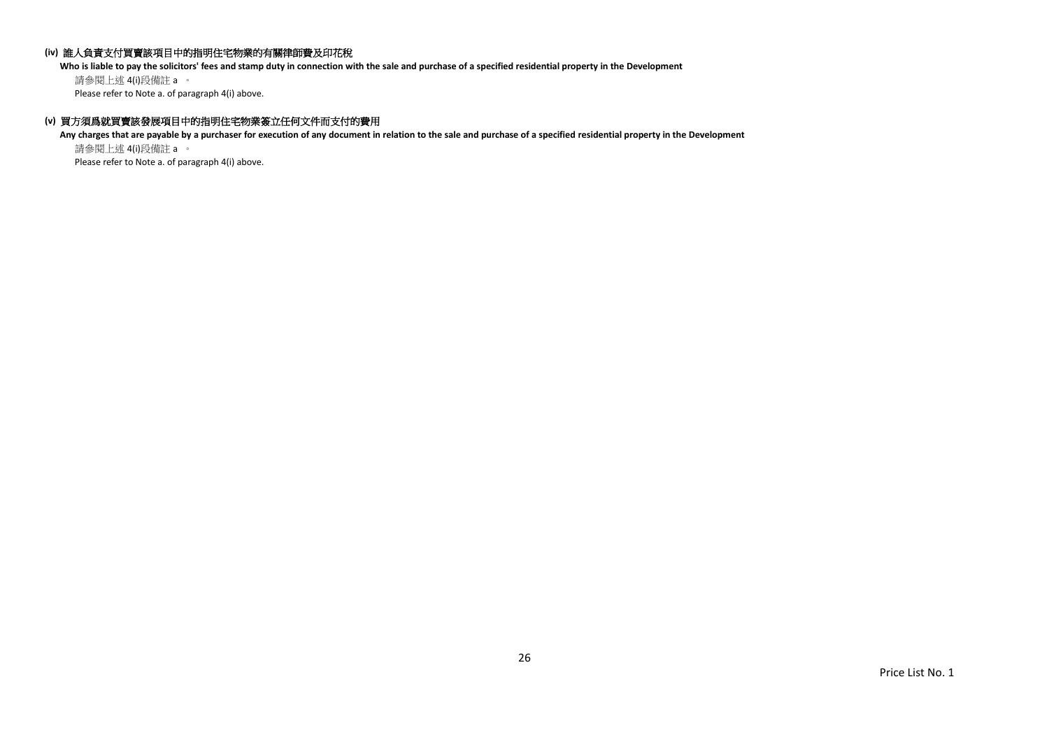## **(iv)** 誰人負責支付買賣該項目中的指明住宅物業的有關律師費及印花稅

**Who is liable to pay the solicitors' fees and stamp duty in connection with the sale and purchase of a specified residential property in the Development**

請參閱上述 4(i)段備註 a 。 Please refer to Note a. of paragraph 4(i) above.

## **(v)** 買方須爲就買賣該發展項目中的指明住宅物業簽立任何文件而支付的費用

**Any charges that are payable by a purchaser for execution of any document in relation to the sale and purchase of a specified residential property in the Development** 請參閱上述 4(i)段備註 a 。

Please refer to Note a. of paragraph 4(i) above.